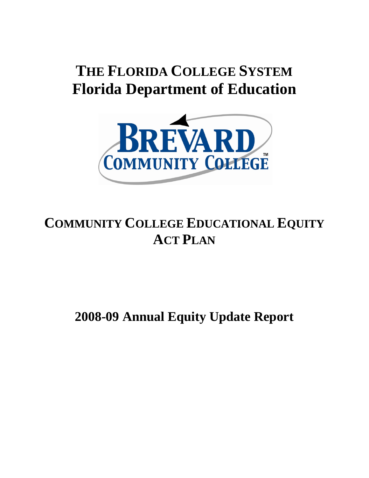# **THE FLORIDA COLLEGE SYSTEM Florida Department of Education**



# **COMMUNITY COLLEGE EDUCATIONAL EQUITY ACT PLAN**

# **2008-09 Annual Equity Update Report**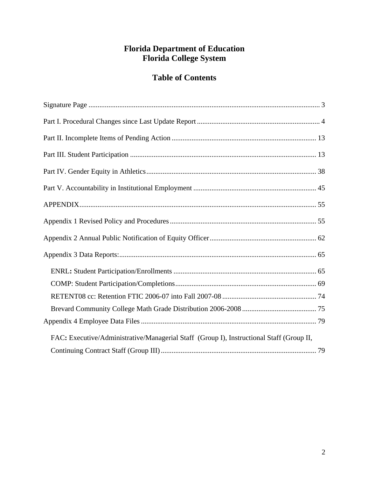### **Florida Department of Education Florida College System**

## **Table of Contents**

| FAC: Executive/Administrative/Managerial Staff (Group I), Instructional Staff (Group II, |  |
|------------------------------------------------------------------------------------------|--|
|                                                                                          |  |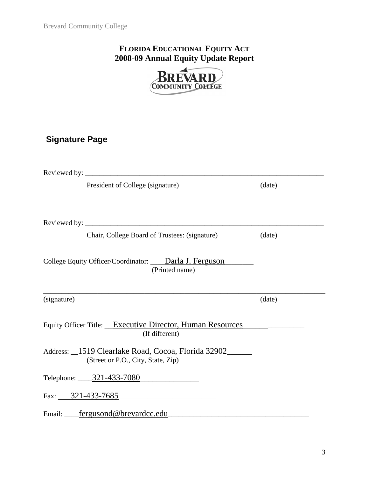## **FLORIDA EDUCATIONAL EQUITY ACT 2008-09 Annual Equity Update Report**



## **Signature Page**

|                                                                                          | Reviewed by: $\frac{1}{2}$ Reviewed by:                                                             |        |  |  |  |  |  |
|------------------------------------------------------------------------------------------|-----------------------------------------------------------------------------------------------------|--------|--|--|--|--|--|
|                                                                                          | President of College (signature)                                                                    | (date) |  |  |  |  |  |
|                                                                                          |                                                                                                     |        |  |  |  |  |  |
|                                                                                          |                                                                                                     |        |  |  |  |  |  |
|                                                                                          | Chair, College Board of Trustees: (signature)                                                       | (date) |  |  |  |  |  |
|                                                                                          | College Equity Officer/Coordinator: ____Darla J. Ferguson________________________<br>(Printed name) |        |  |  |  |  |  |
| (signature)                                                                              |                                                                                                     | (date) |  |  |  |  |  |
|                                                                                          | Equity Officer Title: __Executive Director, Human Resources<br>(If different)                       |        |  |  |  |  |  |
| Address: 1519 Clearlake Road, Cocoa, Florida 32902<br>(Street or P.O., City, State, Zip) |                                                                                                     |        |  |  |  |  |  |
|                                                                                          | Telephone: $\underline{\hspace{1cm}321-433-7080}$                                                   |        |  |  |  |  |  |
|                                                                                          | Fax: $321-433-7685$                                                                                 |        |  |  |  |  |  |
|                                                                                          | Email: __fergusond@brevardcc.edu                                                                    |        |  |  |  |  |  |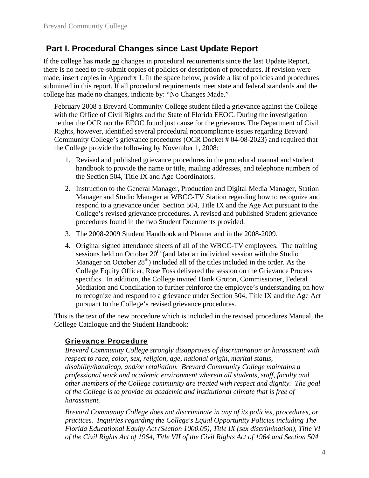### **Part I. Procedural Changes since Last Update Report**

If the college has made no changes in procedural requirements since the last Update Report, there is no need to re-submit copies of policies or description of procedures. If revision were made, insert copies in Appendix 1. In the space below, provide a list of policies and procedures submitted in this report. If all procedural requirements meet state and federal standards and the college has made no changes, indicate by: "No Changes Made."

February 2008 a Brevard Community College student filed a grievance against the College with the Office of Civil Rights and the State of Florida EEOC. During the investigation neither the OCR nor the EEOC found just cause for the grievance**.** The Department of Civil Rights, however, identified several procedural noncompliance issues regarding Brevard Community College's grievance procedures (OCR Docket # 04-08-2023) and required that the College provide the following by November 1, 2008:

- 1. Revised and published grievance procedures in the procedural manual and student handbook to provide the name or title, mailing addresses, and telephone numbers of the Section 504, Title IX and Age Coordinators.
- 2. Instruction to the General Manager, Production and Digital Media Manager, Station Manager and Studio Manager at WBCC-TV Station regarding how to recognize and respond to a grievance under Section 504, Title IX and the Age Act pursuant to the College's revised grievance procedures. A revised and published Student grievance procedures found in the two Student Documents provided.
- 3. The 2008-2009 Student Handbook and Planner and in the 2008-2009.
- 4. Original signed attendance sheets of all of the WBCC-TV employees. The training sessions held on October  $20<sup>th</sup>$  (and later an individual session with the Studio Manager on October  $28<sup>th</sup>$ ) included all of the titles included in the order. As the College Equity Officer, Rose Foss delivered the session on the Grievance Process specifics. In addition, the College invited Hank Groton, Commissioner, Federal Mediation and Conciliation to further reinforce the employee's understanding on how to recognize and respond to a grievance under Section 504, Title IX and the Age Act pursuant to the College's revised grievance procedures.

This is the text of the new procedure which is included in the revised procedures Manual, the College Catalogue and the Student Handbook:

#### Grievance Procedure

*Brevard Community College strongly disapproves of discrimination or harassment with respect to race, color, sex, religion, age, national origin, marital status, disability/handicap, and/or retaliation. Brevard Community College maintains a professional work and academic environment wherein all students, staff, faculty and other members of the College community are treated with respect and dignity. The goal of the College is to provide an academic and institutional climate that is free of harassment.* 

*Brevard Community College does not discriminate in any of its policies, procedures, or practices. Inquiries regarding the College's Equal Opportunity Policies including The Florida Educational Equity Act (Section 1000.05), Title IX (sex discrimination), Title VI of the Civil Rights Act of 1964, Title VII of the Civil Rights Act of 1964 and Section 504*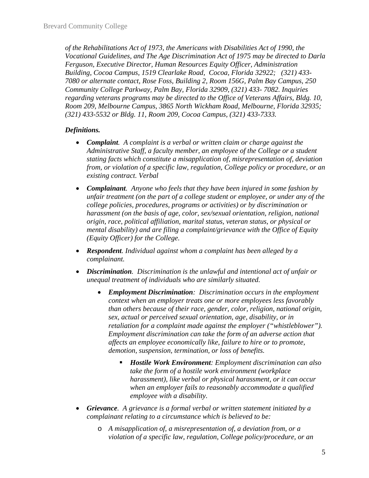*of the Rehabilitations Act of 1973, the Americans with Disabilities Act of 1990, the Vocational Guidelines, and The Age Discrimination Act of 1975 may be directed to Darla Ferguson, Executive Director, Human Resources Equity Officer, Administration Building, Cocoa Campus, 1519 Clearlake Road, Cocoa, Florida 32922; (321) 433- 7080 or alternate contact, Rose Foss, Building 2, Room 156G, Palm Bay Campus, 250 Community College Parkway, Palm Bay, Florida 32909, (321) 433- 7082. Inquiries regarding veterans programs may be directed to the Office of Veterans Affairs, Bldg. 10, Room 209, Melbourne Campus, 3865 North Wickham Road, Melbourne, Florida 32935; (321) 433-5532 or Bldg. 11, Room 209, Cocoa Campus, (321) 433-7333.* 

#### *Definitions.*

- *Complaint. A complaint is a verbal or written claim or charge against the Administrative Staff, a faculty member, an employee of the College or a student stating facts which constitute a misapplication of, misrepresentation of, deviation from, or violation of a specific law, regulation, College policy or procedure, or an existing contract. Verbal*
- *Complainant. Anyone who feels that they have been injured in some fashion by unfair treatment (on the part of a college student or employee, or under any of the college policies, procedures, programs or activities) or by discrimination or harassment (on the basis of age, color, sex/sexual orientation, religion, national origin, race, political affiliation, marital status, veteran status, or physical or mental disability) and are filing a complaint/grievance with the Office of Equity (Equity Officer) for the College.*
- *Respondent. Individual against whom a complaint has been alleged by a complainant.*
- *Discrimination. Discrimination is the unlawful and intentional act of unfair or unequal treatment of individuals who are similarly situated.* 
	- *Employment Discrimination: Discrimination occurs in the employment context when an employer treats one or more employees less favorably than others because of their race, gender, color, religion, national origin, sex, actual or perceived sexual orientation, age, disability, or in retaliation for a complaint made against the employer ("whistleblower"). Employment discrimination can take the form of an adverse action that affects an employee economically like, failure to hire or to promote, demotion, suspension, termination, or loss of benefits.* 
		- *Hostile Work Environment: Employment discrimination can also take the form of a hostile work environment (workplace harassment), like verbal or physical harassment, or it can occur when an employer fails to reasonably accommodate a qualified employee with a disability.*
- *Grievance. A grievance is a formal verbal or written statement initiated by a complainant relating to a circumstance which is believed to be:* 
	- o *A misapplication of, a misrepresentation of, a deviation from, or a violation of a specific law, regulation, College policy/procedure, or an*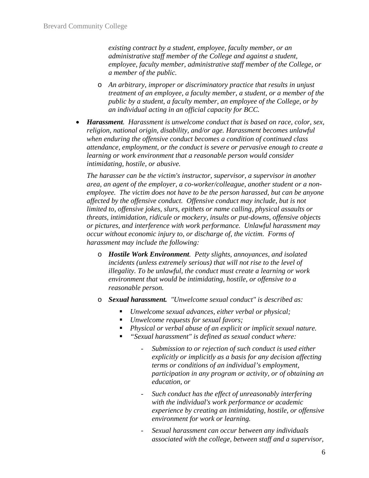*existing contract by a student, employee, faculty member, or an administrative staff member of the College and against a student, employee, faculty member, administrative staff member of the College, or a member of the public.* 

- o *An arbitrary, improper or discriminatory practice that results in unjust treatment of an employee, a faculty member, a student, or a member of the public by a student, a faculty member, an employee of the College, or by an individual acting in an official capacity for BCC.*
- *Harassment. Harassment is unwelcome conduct that is based on race, color, sex, religion, national origin, disability, and/or age. Harassment becomes unlawful when enduring the offensive conduct becomes a condition of continued class attendance, employment, or the conduct is severe or pervasive enough to create a learning or work environment that a reasonable person would consider intimidating, hostile, or abusive.*

*The harasser can be the victim's instructor, supervisor, a supervisor in another area, an agent of the employer, a co-worker/colleague, another student or a nonemployee. The victim does not have to be the person harassed, but can be anyone affected by the offensive conduct. Offensive conduct may include, but is not limited to, offensive jokes, slurs, epithets or name calling, physical assaults or threats, intimidation, ridicule or mockery, insults or put-downs, offensive objects or pictures, and interference with work performance. Unlawful harassment may occur without economic injury to, or discharge of, the victim. Forms of harassment may include the following:* 

- o *Hostile Work Environment. Petty slights, annoyances, and isolated incidents (unless extremely serious) that will not rise to the level of illegality. To be unlawful, the conduct must create a learning or work environment that would be intimidating, hostile, or offensive to a reasonable person.*
- o *Sexual harassment. "Unwelcome sexual conduct" is described as:* 
	- *Unwelcome sexual advances, either verbal or physical;*
	- *Unwelcome requests for sexual favors;*
	- *Physical or verbal abuse of an explicit or implicit sexual nature.*
	- *"Sexual harassment" is defined as sexual conduct where:* 
		- *Submission to or rejection of such conduct is used either explicitly or implicitly as a basis for any decision affecting terms or conditions of an individual's employment, participation in any program or activity, or of obtaining an education, or*
		- *Such conduct has the effect of unreasonably interfering with the individual's work performance or academic experience by creating an intimidating, hostile, or offensive environment for work or learning.*
		- *Sexual harassment can occur between any individuals associated with the college, between staff and a supervisor,*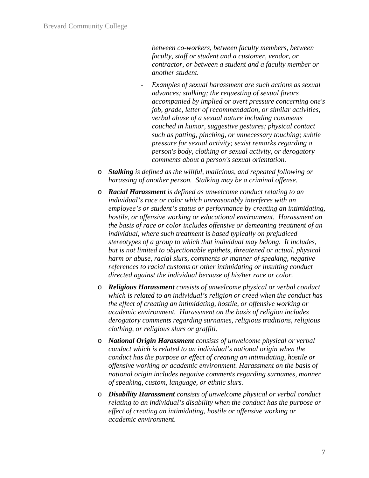*between co-workers, between faculty members, between faculty, staff or student and a customer, vendor, or contractor, or between a student and a faculty member or another student.* 

- Examples of sexual harassment are such actions as sexual *advances; stalking; the requesting of sexual favors accompanied by implied or overt pressure concerning one's job, grade, letter of recommendation, or similar activities; verbal abuse of a sexual nature including comments couched in humor, suggestive gestures; physical contact such as patting, pinching, or unnecessary touching; subtle pressure for sexual activity; sexist remarks regarding a person's body, clothing or sexual activity, or derogatory comments about a person's sexual orientation.*
- o *Stalking is defined as the willful, malicious, and repeated following or harassing of another person. Stalking may be a criminal offense.*
- o *Racial Harassment is defined as unwelcome conduct relating to an individual's race or color which unreasonably interferes with an employee's or student's status or performance by creating an intimidating, hostile, or offensive working or educational environment. Harassment on the basis of race or color includes offensive or demeaning treatment of an individual, where such treatment is based typically on prejudiced stereotypes of a group to which that individual may belong. It includes, but is not limited to objectionable epithets, threatened or actual, physical harm or abuse, racial slurs, comments or manner of speaking, negative references to racial customs or other intimidating or insulting conduct directed against the individual because of his/her race or color.*
- o *Religious Harassment consists of unwelcome physical or verbal conduct which is related to an individual's religion or creed when the conduct has the effect of creating an intimidating, hostile, or offensive working or academic environment. Harassment on the basis of religion includes derogatory comments regarding surnames, religious traditions, religious clothing, or religious slurs or graffiti.*
- o *National Origin Harassment consists of unwelcome physical or verbal conduct which is related to an individual's national origin when the conduct has the purpose or effect of creating an intimidating, hostile or offensive working or academic environment. Harassment on the basis of national origin includes negative comments regarding surnames, manner of speaking, custom, language, or ethnic slurs.*
- o *Disability Harassment consists of unwelcome physical or verbal conduct relating to an individual's disability when the conduct has the purpose or effect of creating an intimidating, hostile or offensive working or academic environment.*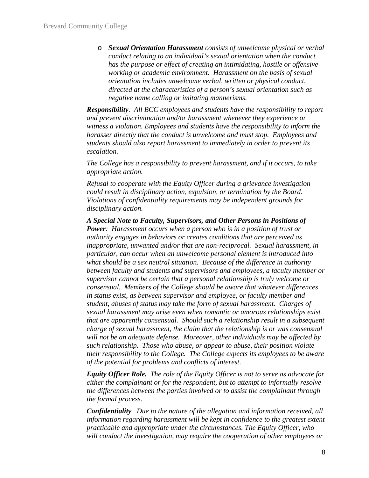o *Sexual Orientation Harassment consists of unwelcome physical or verbal conduct relating to an individual's sexual orientation when the conduct has the purpose or effect of creating an intimidating, hostile or offensive working or academic environment. Harassment on the basis of sexual orientation includes unwelcome verbal, written or physical conduct, directed at the characteristics of a person's sexual orientation such as negative name calling or imitating mannerisms.*

*Responsibility. All BCC employees and students have the responsibility to report and prevent discrimination and/or harassment whenever they experience or witness a violation. Employees and students have the responsibility to inform the harasser directly that the conduct is unwelcome and must stop. Employees and students should also report harassment to immediately in order to prevent its escalation.* 

*The College has a responsibility to prevent harassment, and if it occurs, to take appropriate action.* 

*Refusal to cooperate with the Equity Officer during a grievance investigation could result in disciplinary action, expulsion, or termination by the Board. Violations of confidentiality requirements may be independent grounds for disciplinary action.* 

*A Special Note to Faculty, Supervisors, and Other Persons in Positions of Power: Harassment occurs when a person who is in a position of trust or authority engages in behaviors or creates conditions that are perceived as inappropriate, unwanted and/or that are non-reciprocal. Sexual harassment, in particular, can occur when an unwelcome personal element is introduced into what should be a sex neutral situation. Because of the difference in authority between faculty and students and supervisors and employees, a faculty member or supervisor cannot be certain that a personal relationship is truly welcome or consensual. Members of the College should be aware that whatever differences in status exist, as between supervisor and employee, or faculty member and student, abuses of status may take the form of sexual harassment. Charges of sexual harassment may arise even when romantic or amorous relationships exist that are apparently consensual. Should such a relationship result in a subsequent charge of sexual harassment, the claim that the relationship is or was consensual will not be an adequate defense. Moreover, other individuals may be affected by such relationship. Those who abuse, or appear to abuse, their position violate their responsibility to the College. The College expects its employees to be aware of the potential for problems and conflicts of interest.* 

*Equity Officer Role. The role of the Equity Officer is not to serve as advocate for either the complainant or for the respondent, but to attempt to informally resolve the differences between the parties involved or to assist the complainant through the formal process.* 

*Confidentiality. Due to the nature of the allegation and information received, all information regarding harassment will be kept in confidence to the greatest extent practicable and appropriate under the circumstances. The Equity Officer, who will conduct the investigation, may require the cooperation of other employees or*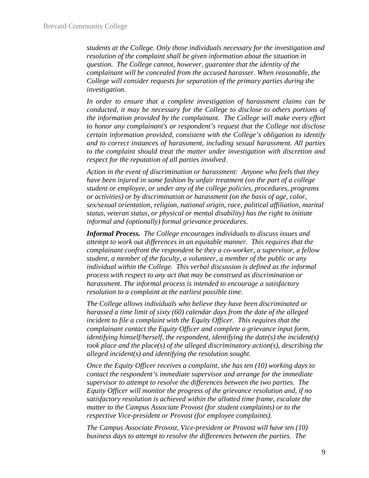*students at the College. Only those individuals necessary for the investigation and resolution of the complaint shall be given information about the situation in question. The College cannot, however, guarantee that the identity of the complainant will be concealed from the accused harasser. When reasonable, the College will consider requests for separation of the primary parties during the investigation.* 

*In order to ensure that a complete investigation of harassment claims can be conducted, it may be necessary for the College to disclose to others portions of the information provided by the complainant. The College will make every effort to honor any complainant's or respondent's request that the College not disclose certain information provided, consistent with the College's obligation to identify and to correct instances of harassment, including sexual harassment. All parties to the complaint should treat the matter under investigation with discretion and respect for the reputation of all parties involved.* 

*Action in the event of discrimination or harassment: Anyone who feels that they have been injured in some fashion by unfair treatment (on the part of a college student or employee, or under any of the college policies, procedures, programs or activities) or by discrimination or harassment (on the basis of age, color, sex/sexual orientation, religion, national origin, race, political affiliation, marital status, veteran status, or physical or mental disability) has the right to initiate informal and (optionally) formal grievance procedures.* 

*Informal Process. The College encourages individuals to discuss issues and attempt to work out differences in an equitable manner. This requires that the complainant confront the respondent be they a co-worker, a supervisor, a fellow student, a member of the faculty, a volunteer, a member of the public or any individual within the College. This verbal discussion is defined as the informal process with respect to any act that may be construed as discrimination or harassment. The informal process is intended to encourage a satisfactory resolution to a complaint at the earliest possible time.* 

*The College allows individuals who believe they have been discriminated or harassed a time limit of sixty (60) calendar days from the date of the alleged incident to file a complaint with the Equity Officer. This requires that the complainant contact the Equity Officer and complete a grievance input form, identifying himself/herself, the respondent, identifying the date(s) the incident(s) took place and the place(s) of the alleged discriminatory action(s), describing the alleged incident(s) and identifying the resolution sought.* 

*Once the Equity Officer receives a complaint, she has ten (10) working days to contact the respondent's immediate supervisor and arrange for the immediate supervisor to attempt to resolve the differences between the two parties. The Equity Officer will monitor the progress of the grievance resolution and, if no satisfactory resolution is achieved within the allotted time frame, escalate the matter to the Campus Associate Provost (for student complaints) or to the respective Vice-president or Provost (for employee complaints).* 

*The Campus Associate Provost, Vice-president or Provost will have ten (10) business days to attempt to resolve the differences between the parties. The*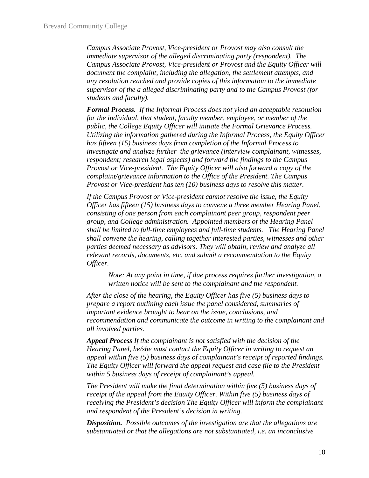*Campus Associate Provost, Vice-president or Provost may also consult the immediate supervisor of the alleged discriminating party (respondent). The Campus Associate Provost, Vice-president or Provost and the Equity Officer will document the complaint, including the allegation, the settlement attempts, and any resolution reached and provide copies of this information to the immediate supervisor of the a alleged discriminating party and to the Campus Provost (for students and faculty).* 

*Formal Process. If the Informal Process does not yield an acceptable resolution for the individual, that student, faculty member, employee, or member of the public, the College Equity Officer will initiate the Formal Grievance Process. Utilizing the information gathered during the Informal Process, the Equity Officer has fifteen (15) business days from completion of the Informal Process to investigate and analyze further the grievance (interview complainant, witnesses, respondent; research legal aspects) and forward the findings to the Campus Provost or Vice-president. The Equity Officer will also forward a copy of the complaint/grievance information to the Office of the President. The Campus Provost or Vice-president has ten (10) business days to resolve this matter.* 

*If the Campus Provost or Vice-president cannot resolve the issue, the Equity Officer has fifteen (15) business days to convene a three member Hearing Panel, consisting of one person from each complainant peer group, respondent peer group, and College administration. Appointed members of the Hearing Panel shall be limited to full-time employees and full-time students. The Hearing Panel shall convene the hearing, calling together interested parties, witnesses and other parties deemed necessary as advisors. They will obtain, review and analyze all relevant records, documents, etc. and submit a recommendation to the Equity Officer.* 

*Note: At any point in time, if due process requires further investigation, a written notice will be sent to the complainant and the respondent.* 

*After the close of the hearing, the Equity Officer has five (5) business days to prepare a report outlining each issue the panel considered, summaries of important evidence brought to bear on the issue, conclusions, and recommendation and communicate the outcome in writing to the complainant and all involved parties.* 

*Appeal Process If the complainant is not satisfied with the decision of the Hearing Panel, he/she must contact the Equity Officer in writing to request an appeal within five (5) business days of complainant's receipt of reported findings. The Equity Officer will forward the appeal request and case file to the President within 5 business days of receipt of complainant's appeal.* 

*The President will make the final determination within five (5) business days of receipt of the appeal from the Equity Officer. Within five (5) business days of receiving the President's decision The Equity Officer will inform the complainant and respondent of the President's decision in writing.* 

*Disposition. Possible outcomes of the investigation are that the allegations are substantiated or that the allegations are not substantiated, i.e. an inconclusive*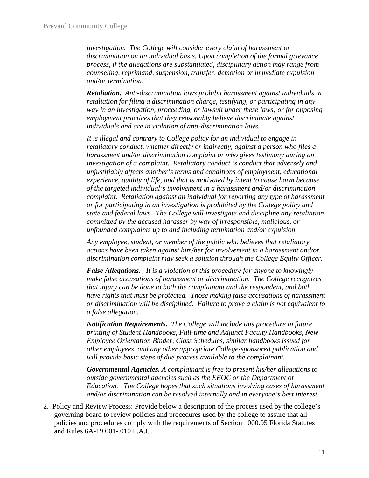*investigation. The College will consider every claim of harassment or discrimination on an individual basis. Upon completion of the formal grievance process, if the allegations are substantiated, disciplinary action may range from counseling, reprimand, suspension, transfer, demotion or immediate expulsion and/or termination.* 

*Retaliation. Anti-discrimination laws prohibit harassment against individuals in retaliation for filing a discrimination charge, testifying, or participating in any way in an investigation, proceeding, or lawsuit under these laws; or for opposing employment practices that they reasonably believe discriminate against individuals and are in violation of anti-discrimination laws.* 

*It is illegal and contrary to College policy for an individual to engage in retaliatory conduct, whether directly or indirectly, against a person who files a harassment and/or discrimination complaint or who gives testimony during an investigation of a complaint. Retaliatory conduct is conduct that adversely and unjustifiably affects another's terms and conditions of employment, educational experience, quality of life, and that is motivated by intent to cause harm because of the targeted individual's involvement in a harassment and/or discrimination complaint. Retaliation against an individual for reporting any type of harassment or for participating in an investigation is prohibited by the College policy and state and federal laws. The College will investigate and discipline any retaliation committed by the accused harasser by way of irresponsible, malicious, or unfounded complaints up to and including termination and/or expulsion.* 

*Any employee, student, or member of the public who believes that retaliatory actions have been taken against him/her for involvement in a harassment and/or discrimination complaint may seek a solution through the College Equity Officer.* 

*False Allegations. It is a violation of this procedure for anyone to knowingly make false accusations of harassment or discrimination. The College recognizes that injury can be done to both the complainant and the respondent, and both have rights that must be protected. Those making false accusations of harassment or discrimination will be disciplined. Failure to prove a claim is not equivalent to a false allegation.* 

*Notification Requirements. The College will include this procedure in future printing of Student Handbooks, Full-time and Adjunct Faculty Handbooks, New Employee Orientation Binder, Class Schedules, similar handbooks issued for other employees, and any other appropriate College-sponsored publication and will provide basic steps of due process available to the complainant.* 

*Governmental Agencies. A complainant is free to present his/her allegations to outside governmental agencies such as the EEOC or the Department of Education. The College hopes that such situations involving cases of harassment and/or discrimination can be resolved internally and in everyone's best interest.*

2. Policy and Review Process: Provide below a description of the process used by the college's governing board to review policies and procedures used by the college to assure that all policies and procedures comply with the requirements of Section 1000.05 Florida Statutes and Rules 6A-19.001-.010 F.A.C.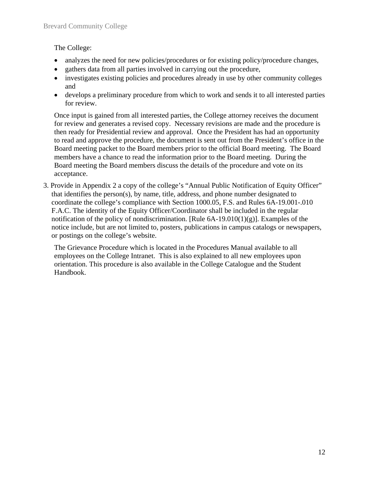The College:

- analyzes the need for new policies/procedures or for existing policy/procedure changes,
- gathers data from all parties involved in carrying out the procedure,
- investigates existing policies and procedures already in use by other community colleges and
- develops a preliminary procedure from which to work and sends it to all interested parties for review.

Once input is gained from all interested parties, the College attorney receives the document for review and generates a revised copy. Necessary revisions are made and the procedure is then ready for Presidential review and approval. Once the President has had an opportunity to read and approve the procedure, the document is sent out from the President's office in the Board meeting packet to the Board members prior to the official Board meeting. The Board members have a chance to read the information prior to the Board meeting. During the Board meeting the Board members discuss the details of the procedure and vote on its acceptance.

3. Provide in Appendix 2 a copy of the college's "Annual Public Notification of Equity Officer" that identifies the person(s), by name, title, address, and phone number designated to coordinate the college's compliance with Section 1000.05, F.S. and Rules 6A-19.001-.010 F.A.C. The identity of the Equity Officer/Coordinator shall be included in the regular notification of the policy of nondiscrimination. [Rule  $6A-19.010(1)(g)$ ]. Examples of the notice include, but are not limited to, posters, publications in campus catalogs or newspapers, or postings on the college's website.

The Grievance Procedure which is located in the Procedures Manual available to all employees on the College Intranet. This is also explained to all new employees upon orientation. This procedure is also available in the College Catalogue and the Student Handbook.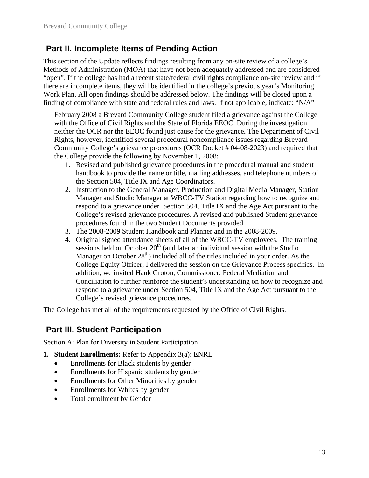### **Part II. Incomplete Items of Pending Action**

This section of the Update reflects findings resulting from any on-site review of a college's Methods of Administration (MOA) that have not been adequately addressed and are considered "open". If the college has had a recent state/federal civil rights compliance on-site review and if there are incomplete items, they will be identified in the college's previous year's Monitoring Work Plan. All open findings should be addressed below. The findings will be closed upon a finding of compliance with state and federal rules and laws. If not applicable, indicate: "N/A"

February 2008 a Brevard Community College student filed a grievance against the College with the Office of Civil Rights and the State of Florida EEOC. During the investigation neither the OCR nor the EEOC found just cause for the grievance**.** The Department of Civil Rights, however, identified several procedural noncompliance issues regarding Brevard Community College's grievance procedures (OCR Docket # 04-08-2023) and required that the College provide the following by November 1, 2008:

- 1. Revised and published grievance procedures in the procedural manual and student handbook to provide the name or title, mailing addresses, and telephone numbers of the Section 504, Title IX and Age Coordinators.
- 2. Instruction to the General Manager, Production and Digital Media Manager, Station Manager and Studio Manager at WBCC-TV Station regarding how to recognize and respond to a grievance under Section 504, Title IX and the Age Act pursuant to the College's revised grievance procedures. A revised and published Student grievance procedures found in the two Student Documents provided.
- 3. The 2008-2009 Student Handbook and Planner and in the 2008-2009.
- 4. Original signed attendance sheets of all of the WBCC-TV employees. The training sessions held on October  $20<sup>th</sup>$  (and later an individual session with the Studio Manager on October  $28<sup>th</sup>$ ) included all of the titles included in your order. As the College Equity Officer, I delivered the session on the Grievance Process specifics. In addition, we invited Hank Groton, Commissioner, Federal Mediation and Conciliation to further reinforce the student's understanding on how to recognize and respond to a grievance under Section 504, Title IX and the Age Act pursuant to the College's revised grievance procedures.

The College has met all of the requirements requested by the Office of Civil Rights.

### **Part III. Student Participation**

Section A: Plan for Diversity in Student Participation

- **1. Student Enrollments:** Refer to Appendix 3(a): ENRL
	- Enrollments for Black students by gender
	- Enrollments for Hispanic students by gender
	- Enrollments for Other Minorities by gender
	- Enrollments for Whites by gender
	- Total enrollment by Gender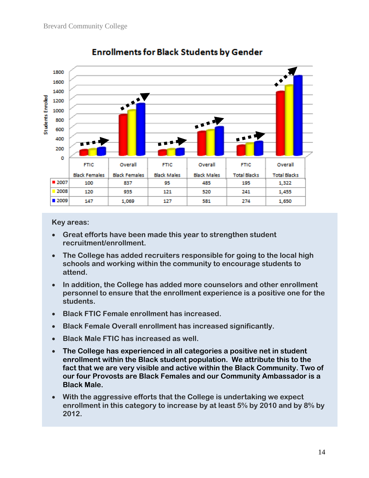

## **Enrollments for Black Students by Gender**

- **Great efforts have been made this year to strengthen student recruitment/enrollment.**
- **The College has added recruiters responsible for going to the local high schools and working within the community to encourage students to attend.**
- **In addition, the College has added more counselors and other enrollment personnel to ensure that the enrollment experience is a positive one for the students.**
- **Black FTIC Female enrollment has increased.**
- **Black Female Overall enrollment has increased significantly.**
- **Black Male FTIC has increased as well.**
- **The College has experienced in all categories a positive net in student enrollment within the Black student population. We attribute this to the fact that we are very visible and active within the Black Community. Two of our four Provosts are Black Females and our Community Ambassador is a Black Male.**
- **With the aggressive efforts that the College is undertaking we expect enrollment in this category to increase by at least 5% by 2010 and by 8% by 2012.**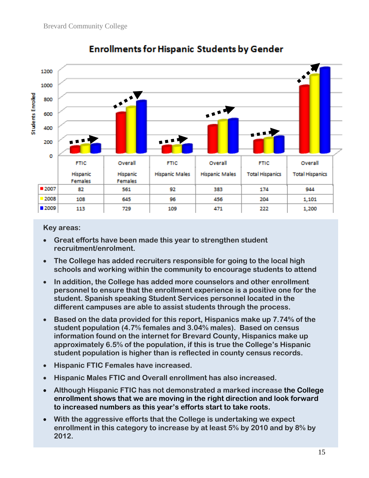

## **Enrollments for Hispanic Students by Gender**

- **Great efforts have been made this year to strengthen student recruitment/enrolment.**
- **The College has added recruiters responsible for going to the local high schools and working within the community to encourage students to attend**
- **In addition, the College has added more counselors and other enrollment personnel to ensure that the enrollment experience is a positive one for the student. Spanish speaking Student Services personnel located in the different campuses are able to assist students through the process.**
- **Based on the data provided for this report, Hispanics make up 7.74% of the student population (4.7% females and 3.04% males). Based on census information found on the internet for Brevard County, Hispanics make up approximately 6.5% of the population, if this is true the College's Hispanic student population is higher than is reflected in county census records.**
- **Hispanic FTIC Females have increased.**
- **Hispanic Males FTIC and Overall enrollment has also increased.**
- **Although Hispanic FTIC has not demonstrated a marked increase the College enrollment shows that we are moving in the right direction and look forward to increased numbers as this year's efforts start to take roots.**
- **With the aggressive efforts that the College is undertaking we expect enrollment in this category to increase by at least 5% by 2010 and by 8% by 2012.**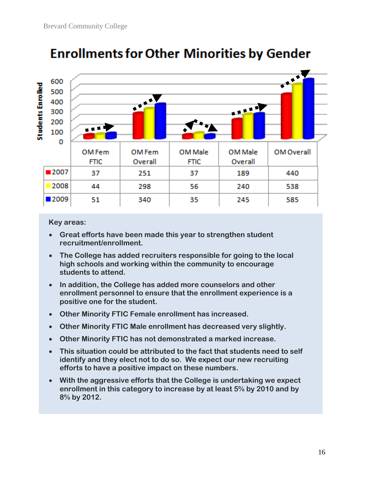

## **Enrollments for Other Minorities by Gender**

- **Great efforts have been made this year to strengthen student recruitment/enrollment.**
- **The College has added recruiters responsible for going to the local high schools and working within the community to encourage students to attend.**
- **In addition, the College has added more counselors and other enrollment personnel to ensure that the enrollment experience is a positive one for the student.**
- **Other Minority FTIC Female enrollment has increased.**
- **Other Minority FTIC Male enrollment has decreased very slightly.**
- **Other Minority FTIC has not demonstrated a marked increase.**
- **This situation could be attributed to the fact that students need to self identify and they elect not to do so. We expect our new recruiting efforts to have a positive impact on these numbers.**
- **With the aggressive efforts that the College is undertaking we expect enrollment in this category to increase by at least 5% by 2010 and by 8% by 2012.**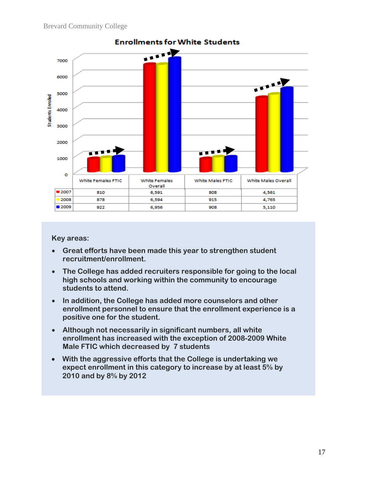

- **Great efforts have been made this year to strengthen student recruitment/enrollment.**
- **The College has added recruiters responsible for going to the local high schools and working within the community to encourage students to attend.**
- **In addition, the College has added more counselors and other enrollment personnel to ensure that the enrollment experience is a positive one for the student.**
- **Although not necessarily in significant numbers, all white enrollment has increased with the exception of 2008-2009 White Male FTIC which decreased by 7 students**
- **With the aggressive efforts that the College is undertaking we expect enrollment in this category to increase by at least 5% by 2010 and by 8% by 2012**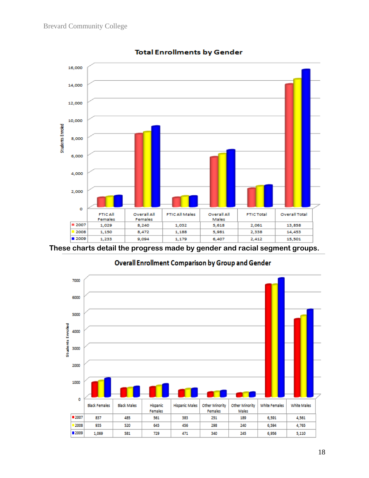

#### **Total Enrollments by Gender**

**These charts detail the progress made by gender and racial segment groups.** 



#### Overall Enrollment Comparison by Group and Gender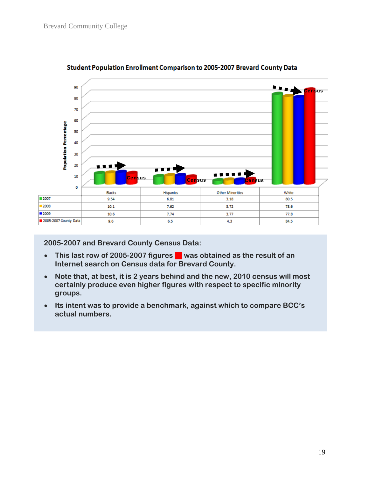

#### Student Population Enrollment Comparison to 2005-2007 Brevard County Data

**2005-2007 and Brevard County Census Data:** 

- This last row of 2005-2007 figures **in** was obtained as the result of an **Internet search on Census data for Brevard County.**
- **Note that, at best, it is 2 years behind and the new, 2010 census will most certainly produce even higher figures with respect to specific minority groups.**
- **Its intent was to provide a benchmark, against which to compare BCC's actual numbers.**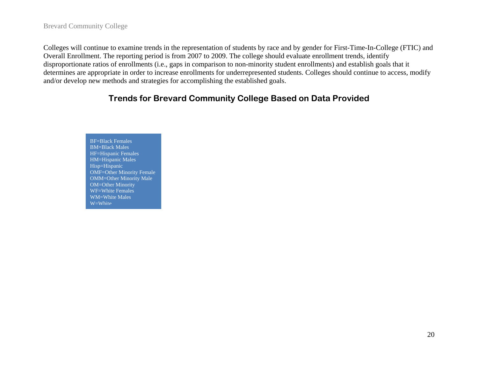#### Brevard Community College

Colleges will continue to examine trends in the representation of students by race and by gender for First-Time-In-College (FTIC) and Overall Enrollment. The reporting period is from 2007 to 2009. The college should evaluate enrollment trends, identify disproportionate ratios of enrollments (i.e., gaps in comparison to non-minority student enrollments) and establish goals that it determines are appropriate in order to increase enrollments for underrepresented students. Colleges should continue to access, modify and/or develop new methods and strategies for accomplishing the established goals.

### **Trends for Brevard Community College Based on Data Provided**

BF=Black Females BM=Black Males HF=Hispanic Females HM=Hispanic Males Hisp=Hispanic OMF=Other Minority Female OMM=Other Minority Male OM=Other Minority WF=White Females WM=White Males W=White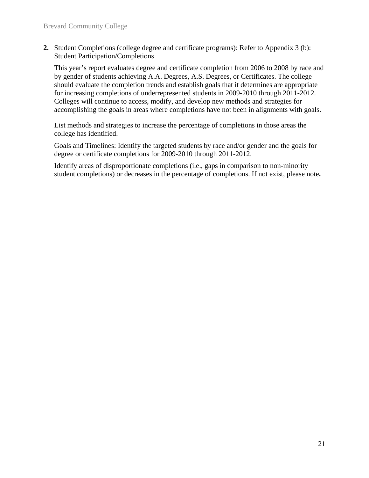**2.** Student Completions (college degree and certificate programs): Refer to Appendix 3 (b): Student Participation/Completions

This year's report evaluates degree and certificate completion from 2006 to 2008 by race and by gender of students achieving A.A. Degrees, A.S. Degrees, or Certificates. The college should evaluate the completion trends and establish goals that it determines are appropriate for increasing completions of underrepresented students in 2009-2010 through 2011-2012. Colleges will continue to access, modify, and develop new methods and strategies for accomplishing the goals in areas where completions have not been in alignments with goals.

List methods and strategies to increase the percentage of completions in those areas the college has identified.

Goals and Timelines: Identify the targeted students by race and/or gender and the goals for degree or certificate completions for 2009-2010 through 2011-2012.

Identify areas of disproportionate completions (i.e., gaps in comparison to non-minority student completions) or decreases in the percentage of completions. If not exist, please note**.**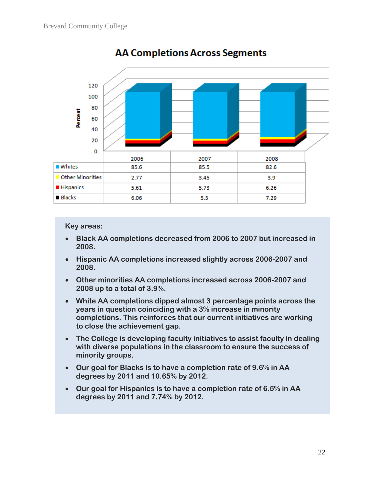

## **AA Completions Across Segments**

- **Black AA completions decreased from 2006 to 2007 but increased in 2008.**
- **Hispanic AA completions increased slightly across 2006-2007 and 2008.**
- **Other minorities AA completions increased across 2006-2007 and 2008 up to a total of 3.9%.**
- **White AA completions dipped almost 3 percentage points across the years in question coinciding with a 3% increase in minority completions. This reinforces that our current initiatives are working to close the achievement gap.**
- **The College is developing faculty initiatives to assist faculty in dealing with diverse populations in the classroom to ensure the success of minority groups.**
- **Our goal for Blacks is to have a completion rate of 9.6% in AA degrees by 2011 and 10.65% by 2012.**
- **Our goal for Hispanics is to have a completion rate of 6.5% in AA degrees by 2011 and 7.74% by 2012.**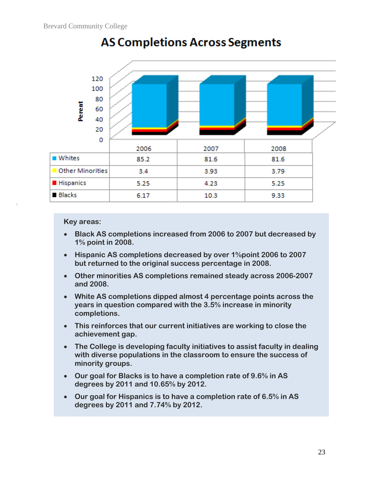

## **AS Completions Across Segments**

- **Black AS completions increased from 2006 to 2007 but decreased by 1% point in 2008.**
- **Hispanic AS completions decreased by over 1%point 2006 to 2007 but returned to the original success percentage in 2008.**
- **Other minorities AS completions remained steady across 2006-2007 and 2008.**
- **White AS completions dipped almost 4 percentage points across the years in question compared with the 3.5% increase in minority completions.**
- **This reinforces that our current initiatives are working to close the achievement gap.**
- **The College is developing faculty initiatives to assist faculty in dealing with diverse populations in the classroom to ensure the success of minority groups.**
- **Our goal for Blacks is to have a completion rate of 9.6% in AS degrees by 2011 and 10.65% by 2012.**
- **Our goal for Hispanics is to have a completion rate of 6.5% in AS degrees by 2011 and 7.74% by 2012.**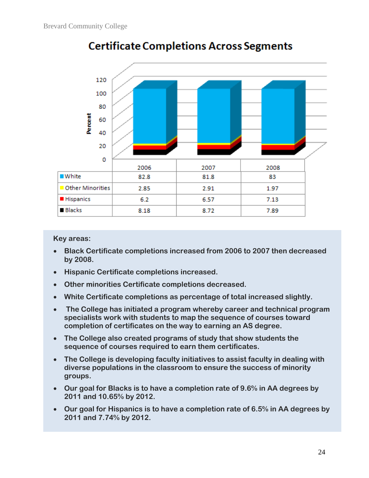

## **Certificate Completions Across Segments**

- **Black Certificate completions increased from 2006 to 2007 then decreased by 2008.**
- **Hispanic Certificate completions increased.**
- **Other minorities Certificate completions decreased.**
- **White Certificate completions as percentage of total increased slightly.**
- **The College has initiated a program whereby career and technical program specialists work with students to map the sequence of courses toward completion of certificates on the way to earning an AS degree.**
- **The College also created programs of study that show students the sequence of courses required to earn them certificates.**
- **The College is developing faculty initiatives to assist faculty in dealing with diverse populations in the classroom to ensure the success of minority groups.**
- **Our goal for Blacks is to have a completion rate of 9.6% in AA degrees by 2011 and 10.65% by 2012.**
- **Our goal for Hispanics is to have a completion rate of 6.5% in AA degrees by 2011 and 7.74% by 2012.**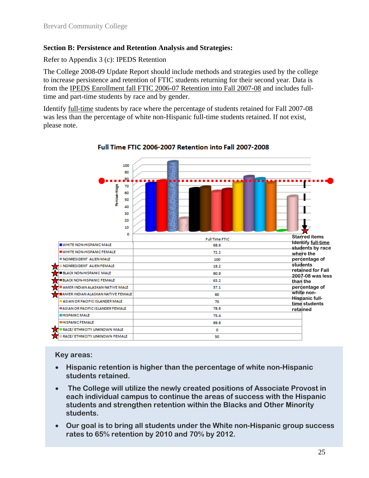#### **Section B: Persistence and Retention Analysis and Strategies:**

Refer to Appendix 3 (c): IPEDS Retention

The College 2008-09 Update Report should include methods and strategies used by the college to increase persistence and retention of FTIC students returning for their second year. Data is from the IPEDS Enrollment fall FTIC 2006-07 Retention into Fall 2007-08 and includes fulltime and part-time students by race and by gender.

Identify full-time students by race where the percentage of students retained for Fall 2007-08 was less than the percentage of white non-Hispanic full-time students retained. If not exist, please note.



Full Time FTIC 2006-2007 Retention into Fall 2007-2008

- **Hispanic retention is higher than the percentage of white non-Hispanic students retained.**
- **The College will utilize the newly created positions of Associate Provost in each individual campus to continue the areas of success with the Hispanic students and strengthen retention within the Blacks and Other Minority students.**
- **Our goal is to bring all students under the White non-Hispanic group success rates to 65% retention by 2010 and 70% by 2012.**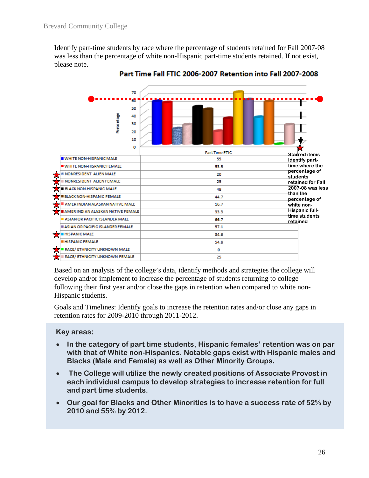Identify part-time students by race where the percentage of students retained for Fall 2007-08 was less than the percentage of white non-Hispanic part-time students retained. If not exist, please note.



Part Time Fall FTIC 2006-2007 Retention into Fall 2007-2008

Based on an analysis of the college's data, identify methods and strategies the college will develop and/or implement to increase the percentage of students returning to college following their first year and/or close the gaps in retention when compared to white non-Hispanic students.

Goals and Timelines: Identify goals to increase the retention rates and/or close any gaps in retention rates for 2009-2010 through 2011-2012.

- **In the category of part time students, Hispanic females' retention was on par with that of White non-Hispanics. Notable gaps exist with Hispanic males and Blacks (Male and Female) as well as Other Minority Groups.**
- **The College will utilize the newly created positions of Associate Provost in each individual campus to develop strategies to increase retention for full and part time students.**
- **Our goal for Blacks and Other Minorities is to have a success rate of 52% by 2010 and 55% by 2012.**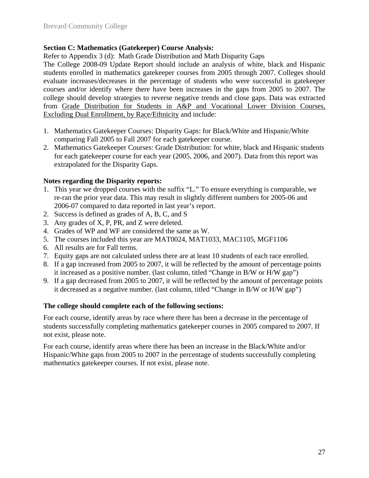#### **Section C: Mathematics (Gatekeeper) Course Analysis:**

Refer to Appendix 3 (d): Math Grade Distribution and Math Disparity Gaps

The College 2008-09 Update Report should include an analysis of white, black and Hispanic students enrolled in mathematics gatekeeper courses from 2005 through 2007. Colleges should evaluate increases/decreases in the percentage of students who were successful in gatekeeper courses and/or identify where there have been increases in the gaps from 2005 to 2007. The college should develop strategies to reverse negative trends and close gaps. Data was extracted from Grade Distribution for Students in A&P and Vocational Lower Division Courses, Excluding Dual Enrollment, by Race/Ethnicity and include:

- 1. Mathematics Gatekeeper Courses: Disparity Gaps: for Black/White and Hispanic/White comparing Fall 2005 to Fall 2007 for each gatekeeper course.
- 2. Mathematics Gatekeeper Courses: Grade Distribution: for white, black and Hispanic students for each gatekeeper course for each year (2005, 2006, and 2007). Data from this report was extrapolated for the Disparity Gaps.

#### **Notes regarding the Disparity reports:**

- 1. This year we dropped courses with the suffix "L." To ensure everything is comparable, we re-ran the prior year data. This may result in slightly different numbers for 2005-06 and 2006-07 compared to data reported in last year's report.
- 2. Success is defined as grades of A, B, C, and S
- 3. Any grades of X, P, PR, and Z were deleted.
- 4. Grades of WP and WF are considered the same as W.
- 5. The courses included this year are MAT0024, MAT1033, MAC1105, MGF1106
- 6. All results are for Fall terms.
- 7. Equity gaps are not calculated unless there are at least 10 students of each race enrolled.
- 8. If a gap increased from 2005 to 2007, it will be reflected by the amount of percentage points it increased as a positive number. (last column, titled "Change in B/W or H/W gap")
- 9. If a gap decreased from 2005 to 2007, it will be reflected by the amount of percentage points it decreased as a negative number. (last column, titled "Change in B/W or H/W gap")

#### **The college should complete each of the following sections:**

For each course, identify areas by race where there has been a decrease in the percentage of students successfully completing mathematics gatekeeper courses in 2005 compared to 2007. If not exist, please note.

For each course, identify areas where there has been an increase in the Black/White and/or Hispanic/White gaps from 2005 to 2007 in the percentage of students successfully completing mathematics gatekeeper courses. If not exist, please note.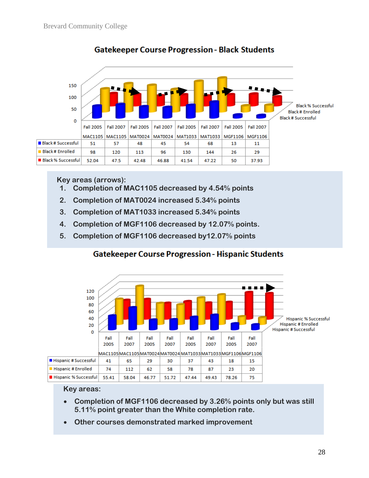

### **Gatekeeper Course Progression - Black Students**

#### **Key areas (arrows):**

- **1. Completion of MAC1105 decreased by 4.54% points**
- **2. Completion of MAT0024 increased 5.34% points**
- **3. Completion of MAT1033 increased 5.34% points**
- **4. Completion of MGF1106 decreased by 12.07% points.**
- **5. Completion of MGF1106 decreased by12.07% points**

#### **Gatekeeper Course Progression - Hispanic Students**



- **Completion of MGF1106 decreased by 3.26% points only but was still 5.11% point greater than the White completion rate.**
- **Other courses demonstrated marked improvement**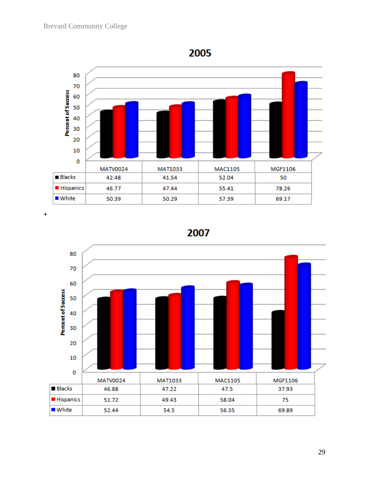

**+**



2007

29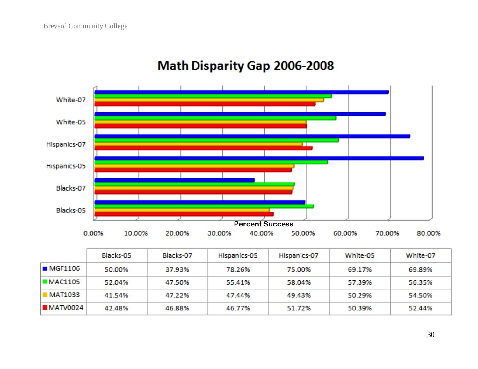

## Math Disparity Gap 2006-2008

|           | Blacks-05 | Blacks-07 | Hispanics-05 | Hispanics-07 | White-05 | White-07 |
|-----------|-----------|-----------|--------------|--------------|----------|----------|
| I∎MGF1106 | 50.00%    | 37.93%    | 78.26%       | 75.00%       | 69.17%   | 69.89%   |
| MAC1105   | 52.04%    | 47.50%    | 55.41%       | 58.04%       | 57.39%   | 56.35%   |
| I MAT1033 | 41.54%    | 47.22%    | 47.44%       | 49.43%       | 50.29%   | 54.50%   |
| ■MATV0024 | 42.48%    | 46.88%    | 46.77%       | 51.72%       | 50.39%   | 52.44%   |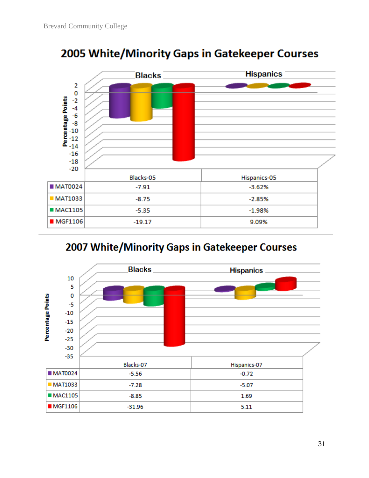

## 2005 White/Minority Gaps in Gatekeeper Courses

## 2007 White/Minority Gaps in Gatekeeper Courses

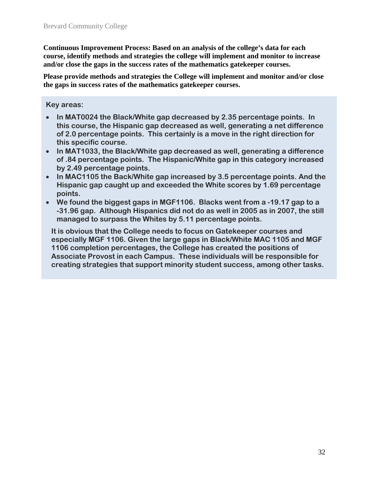**Continuous Improvement Process: Based on an analysis of the college's data for each course, identify methods and strategies the college will implement and monitor to increase and/or close the gaps in the success rates of the mathematics gatekeeper courses.** 

**Please provide methods and strategies the College will implement and monitor and/or close the gaps in success rates of the mathematics gatekeeper courses.** 

#### **Key areas:**

- **In MAT0024 the Black/White gap decreased by 2.35 percentage points. In this course, the Hispanic gap decreased as well, generating a net difference of 2.0 percentage points. This certainly is a move in the right direction for this specific course.**
- **In MAT1033, the Black/White gap decreased as well, generating a difference of .84 percentage points. The Hispanic/White gap in this category increased by 2.49 percentage points.**
- **In MAC1105 the Back/White gap increased by 3.5 percentage points. And the Hispanic gap caught up and exceeded the White scores by 1.69 percentage points.**
- **We found the biggest gaps in MGF1106. Blacks went from a -19.17 gap to a -31.96 gap. Although Hispanics did not do as well in 2005 as in 2007, the still managed to surpass the Whites by 5.11 percentage points.**

**It is obvious that the College needs to focus on Gatekeeper courses and especially MGF 1106. Given the large gaps in Black/White MAC 1105 and MGF 1106 completion percentages, the College has created the positions of Associate Provost in each Campus. These individuals will be responsible for creating strategies that support minority student success, among other tasks.**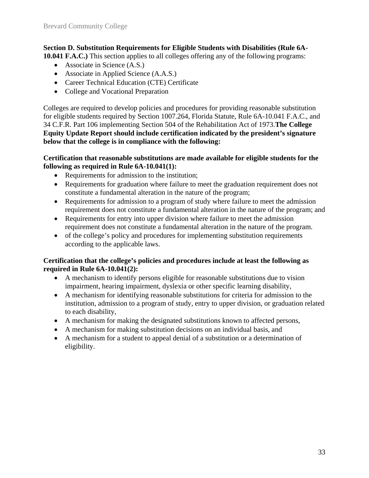#### **Section D. Substitution Requirements for Eligible Students with Disabilities (Rule 6A-**

**10.041 F.A.C.)** This section applies to all colleges offering any of the following programs:

- Associate in Science (A.S.)
- Associate in Applied Science (A.A.S.)
- Career Technical Education (CTE) Certificate
- College and Vocational Preparation

Colleges are required to develop policies and procedures for providing reasonable substitution for eligible students required by Section 1007.264, Florida Statute, Rule 6A-10.041 F.A.C., and 34 C.F.R. Part 106 implementing Section 504 of the Rehabilitation Act of 1973.**The College Equity Update Report should include certification indicated by the president's signature below that the college is in compliance with the following:**

#### **Certification that reasonable substitutions are made available for eligible students for the following as required in Rule 6A-10.041(1):**

- Requirements for admission to the institution;
- Requirements for graduation where failure to meet the graduation requirement does not constitute a fundamental alteration in the nature of the program;
- Requirements for admission to a program of study where failure to meet the admission requirement does not constitute a fundamental alteration in the nature of the program; and
- Requirements for entry into upper division where failure to meet the admission requirement does not constitute a fundamental alteration in the nature of the program.
- of the college's policy and procedures for implementing substitution requirements according to the applicable laws.

#### **Certification that the college's policies and procedures include at least the following as required in Rule 6A-10.041(2):**

- A mechanism to identify persons eligible for reasonable substitutions due to vision impairment, hearing impairment, dyslexia or other specific learning disability,
- A mechanism for identifying reasonable substitutions for criteria for admission to the institution, admission to a program of study, entry to upper division, or graduation related to each disability,
- A mechanism for making the designated substitutions known to affected persons,
- A mechanism for making substitution decisions on an individual basis, and
- A mechanism for a student to appeal denial of a substitution or a determination of eligibility.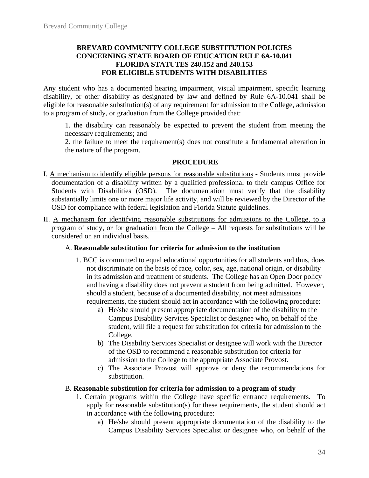#### **BREVARD COMMUNITY COLLEGE SUBSTITUTION POLICIES CONCERNING STATE BOARD OF EDUCATION RULE 6A-10.041 FLORIDA STATUTES 240.152 and 240.153 FOR ELIGIBLE STUDENTS WITH DISABILITIES**

Any student who has a documented hearing impairment, visual impairment, specific learning disability, or other disability as designated by law and defined by Rule 6A-10.041 shall be eligible for reasonable substitution(s) of any requirement for admission to the College, admission to a program of study, or graduation from the College provided that:

1. the disability can reasonably be expected to prevent the student from meeting the necessary requirements; and

2. the failure to meet the requirement(s) does not constitute a fundamental alteration in the nature of the program.

#### **PROCEDURE**

- I. A mechanism to identify eligible persons for reasonable substitutions Students must provide documentation of a disability written by a qualified professional to their campus Office for Students with Disabilities (OSD). The documentation must verify that the disability substantially limits one or more major life activity, and will be reviewed by the Director of the OSD for compliance with federal legislation and Florida Statute guidelines.
- II. A mechanism for identifying reasonable substitutions for admissions to the College, to a program of study, or for graduation from the College – All requests for substitutions will be considered on an individual basis.

#### A. **Reasonable substitution for criteria for admission to the institution**

- 1. BCC is committed to equal educational opportunities for all students and thus, does not discriminate on the basis of race, color, sex, age, national origin, or disability in its admission and treatment of students. The College has an Open Door policy and having a disability does not prevent a student from being admitted. However, should a student, because of a documented disability, not meet admissions requirements, the student should act in accordance with the following procedure:
	- a) He/she should present appropriate documentation of the disability to the Campus Disability Services Specialist or designee who, on behalf of the student, will file a request for substitution for criteria for admission to the College.
	- b) The Disability Services Specialist or designee will work with the Director of the OSD to recommend a reasonable substitution for criteria for admission to the College to the appropriate Associate Provost.
	- c) The Associate Provost will approve or deny the recommendations for substitution.

#### B. **Reasonable substitution for criteria for admission to a program of study**

- 1. Certain programs within the College have specific entrance requirements. To apply for reasonable substitution(s) for these requirements, the student should act in accordance with the following procedure:
	- a) He/she should present appropriate documentation of the disability to the Campus Disability Services Specialist or designee who, on behalf of the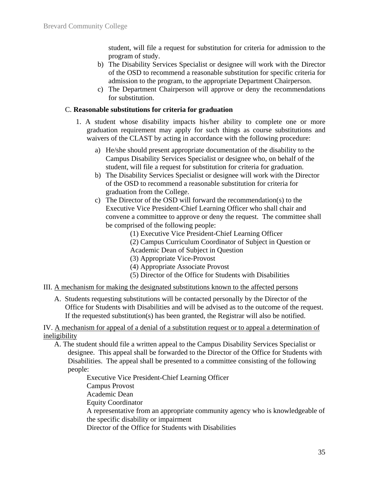student, will file a request for substitution for criteria for admission to the program of study.

- b) The Disability Services Specialist or designee will work with the Director of the OSD to recommend a reasonable substitution for specific criteria for admission to the program, to the appropriate Department Chairperson.
- c) The Department Chairperson will approve or deny the recommendations for substitution.

#### C. **Reasonable substitutions for criteria for graduation**

- 1. A student whose disability impacts his/her ability to complete one or more graduation requirement may apply for such things as course substitutions and waivers of the CLAST by acting in accordance with the following procedure:
	- a) He/she should present appropriate documentation of the disability to the Campus Disability Services Specialist or designee who, on behalf of the student, will file a request for substitution for criteria for graduation.
	- b) The Disability Services Specialist or designee will work with the Director of the OSD to recommend a reasonable substitution for criteria for graduation from the College.
	- c) The Director of the OSD will forward the recommendation(s) to the Executive Vice President-Chief Learning Officer who shall chair and convene a committee to approve or deny the request. The committee shall be comprised of the following people:
		- (1) Executive Vice President-Chief Learning Officer
		- (2) Campus Curriculum Coordinator of Subject in Question or
		- Academic Dean of Subject in Question
		- (3) Appropriate Vice-Provost
		- (4) Appropriate Associate Provost
		- (5) Director of the Office for Students with Disabilities
- III. A mechanism for making the designated substitutions known to the affected persons
	- A. Students requesting substitutions will be contacted personally by the Director of the Office for Students with Disabilities and will be advised as to the outcome of the request. If the requested substitution(s) has been granted, the Registrar will also be notified.

IV. A mechanism for appeal of a denial of a substitution request or to appeal a determination of ineligibility

A. The student should file a written appeal to the Campus Disability Services Specialist or designee. This appeal shall be forwarded to the Director of the Office for Students with Disabilities. The appeal shall be presented to a committee consisting of the following people:

> Executive Vice President-Chief Learning Officer Campus Provost Academic Dean Equity Coordinator A representative from an appropriate community agency who is knowledgeable of the specific disability or impairment Director of the Office for Students with Disabilities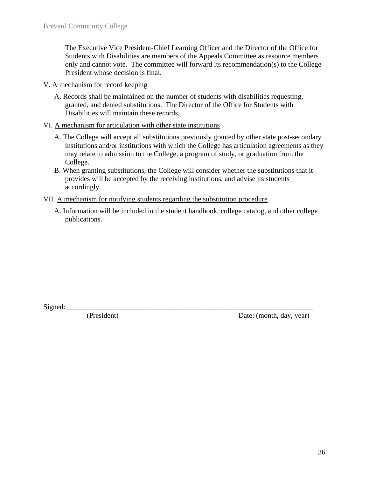The Executive Vice President-Chief Learning Officer and the Director of the Office for Students with Disabilities are members of the Appeals Committee as resource members only and cannot vote. The committee will forward its recommendation(s) to the College President whose decision is final.

- V. A mechanism for record keeping
	- A. Records shall be maintained on the number of students with disabilities requesting, granted, and denied substitutions. The Director of the Office for Students with Disabilities will maintain these records.

#### VI. A mechanism for articulation with other state institutions

- A. The College will accept all substitutions previously granted by other state post-secondary institutions and/or institutions with which the College has articulation agreements as they may relate to admission to the College, a program of study, or graduation from the College.
- B. When granting substitutions, the College will consider whether the substitutions that it provides will be accepted by the receiving institutions, and advise its students accordingly.

#### VII. A mechanism for notifying students regarding the substitution procedure

A. Information will be included in the student handbook, college catalog, and other college publications.

Signed: \_\_\_\_\_\_\_\_\_\_\_\_\_\_\_\_\_\_\_\_\_\_\_\_\_\_\_\_\_\_\_\_\_\_\_\_\_\_\_\_\_\_\_\_\_\_\_\_\_\_\_\_\_\_\_\_\_\_\_\_\_\_\_\_\_\_\_\_

Date: (month, day, year)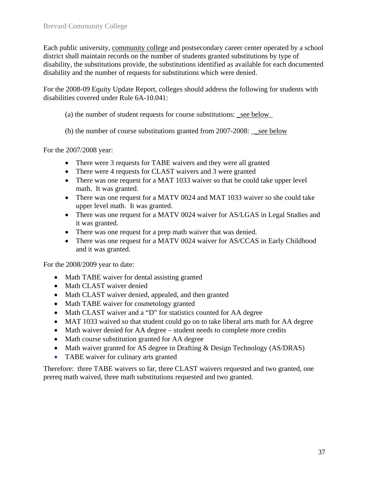Each public university, community college and postsecondary career center operated by a school district shall maintain records on the number of students granted substitutions by type of disability, the substitutions provide, the substitutions identified as available for each documented disability and the number of requests for substitutions which were denied.

For the 2008-09 Equity Update Report, colleges should address the following for students with disabilities covered under Rule 6A-10.041:

- (a) the number of student requests for course substitutions: \_see below\_
- (b) the number of course substitutions granted from 2007-2008: <u>see below</u>

For the 2007/2008 year:

- There were 3 requests for TABE waivers and they were all granted
- There were 4 requests for CLAST waivers and 3 were granted
- There was one request for a MAT 1033 waiver so that he could take upper level math. It was granted.
- There was one request for a MATV 0024 and MAT 1033 waiver so she could take upper level math. It was granted.
- There was one request for a MATV 0024 waiver for AS/LGAS in Legal Studies and it was granted.
- There was one request for a prep math waiver that was denied.
- There was one request for a MATV 0024 waiver for AS/CCAS in Early Childhood and it was granted.

For the 2008/2009 year to date:

- Math TABE waiver for dental assisting granted
- Math CLAST waiver denied
- Math CLAST waiver denied, appealed, and then granted
- Math TABE waiver for cosmetology granted
- Math CLAST waiver and a "D" for statistics counted for AA degree
- MAT 1033 waived so that student could go on to take liberal arts math for AA degree
- Math waiver denied for AA degree student needs to complete more credits
- Math course substitution granted for AA degree
- Math waiver granted for AS degree in Drafting & Design Technology (AS/DRAS)
- TABE waiver for culinary arts granted

Therefore: three TABE waivers so far, three CLAST waivers requested and two granted, one prereq math waived, three math substitutions requested and two granted.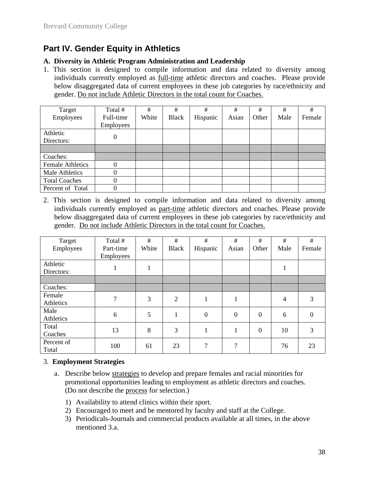## **Part IV. Gender Equity in Athletics**

#### **A. Diversity in Athletic Program Administration and Leadership**

1. This section is designed to compile information and data related to diversity among individuals currently employed as full-time athletic directors and coaches. Please provide below disaggregated data of current employees in these job categories by race/ethnicity and gender. Do not include Athletic Directors in the total count for Coaches.

| Target                  | Total #                | #     | #            | #        | #     | #     | #    | #      |
|-------------------------|------------------------|-------|--------------|----------|-------|-------|------|--------|
| Employees               | Full-time<br>Employees | White | <b>Black</b> | Hispanic | Asian | Other | Male | Female |
| Athletic<br>Directors:  |                        |       |              |          |       |       |      |        |
|                         |                        |       |              |          |       |       |      |        |
| Coaches:                |                        |       |              |          |       |       |      |        |
| <b>Female Athletics</b> |                        |       |              |          |       |       |      |        |
| Male Athletics          |                        |       |              |          |       |       |      |        |
| <b>Total Coaches</b>    |                        |       |              |          |       |       |      |        |
| Percent of Total        |                        |       |              |          |       |       |      |        |

2. This section is designed to compile information and data related to diversity among individuals currently employed as part-time athletic directors and coaches. Please provide below disaggregated data of current employees in these job categories by race/ethnicity and gender. Do not include Athletic Directors in the total count for Coaches.

| Target     | Total #   | #     | #            | #        | #                | #              | #    | #      |
|------------|-----------|-------|--------------|----------|------------------|----------------|------|--------|
| Employees  | Part-time | White | <b>Black</b> | Hispanic | Asian            | Other          | Male | Female |
|            | Employees |       |              |          |                  |                |      |        |
| Athletic   |           | 1     |              |          |                  |                | 1    |        |
| Directors: |           |       |              |          |                  |                |      |        |
|            |           |       |              |          |                  |                |      |        |
| Coaches:   |           |       |              |          |                  |                |      |        |
| Female     | 7         | 3     | 2            |          |                  |                | 4    | 3      |
| Athletics  |           |       |              |          |                  |                |      |        |
| Male       | 6         | 5     | 1            | $\theta$ | $\boldsymbol{0}$ | $\overline{0}$ | 6    | 0      |
| Athletics  |           |       |              |          |                  |                |      |        |
| Total      | 13        | 8     | 3            | 1        | 1                | $\overline{0}$ | 10   | 3      |
| Coaches    |           |       |              |          |                  |                |      |        |
| Percent of | 100       | 61    | 23           | 7        | 7                |                | 76   | 23     |
| Total      |           |       |              |          |                  |                |      |        |

#### 3. **Employment Strategies**

- a. Describe below strategies to develop and prepare females and racial minorities for promotional opportunities leading to employment as athletic directors and coaches. (Do not describe the process for selection.)
	- 1) Availability to attend clinics within their sport.
	- 2) Encouraged to meet and be mentored by faculty and staff at the College.
	- 3) Periodicals-Journals and commercial products available at all times, in the above mentioned 3.a.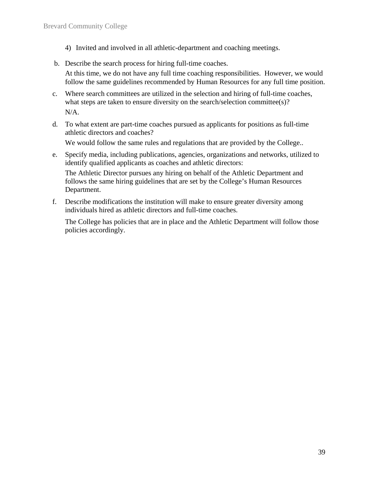- 4) Invited and involved in all athletic-department and coaching meetings.
- b. Describe the search process for hiring full-time coaches.

At this time, we do not have any full time coaching responsibilities. However, we would follow the same guidelines recommended by Human Resources for any full time position.

- c. Where search committees are utilized in the selection and hiring of full-time coaches, what steps are taken to ensure diversity on the search/selection committee(s)? N/A.
- d. To what extent are part-time coaches pursued as applicants for positions as full-time athletic directors and coaches? We would follow the same rules and regulations that are provided by the College..
- e. Specify media, including publications, agencies, organizations and networks, utilized to identify qualified applicants as coaches and athletic directors:

The Athletic Director pursues any hiring on behalf of the Athletic Department and follows the same hiring guidelines that are set by the College's Human Resources Department.

f. Describe modifications the institution will make to ensure greater diversity among individuals hired as athletic directors and full-time coaches.

The College has policies that are in place and the Athletic Department will follow those policies accordingly.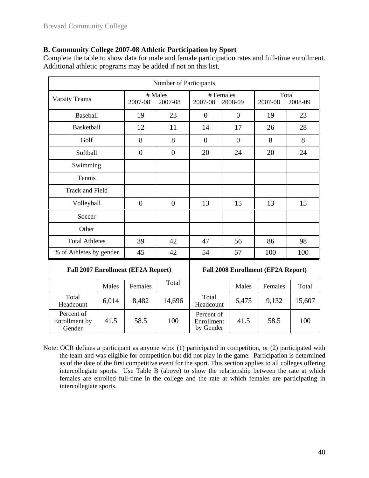#### **B. Community College 2007-08 Athletic Participation by Sport**

Complete the table to show data for male and female participation rates and full-time enrollment. Additional athletic programs may be added if not on this list.

| Number of Participants                |       |                                           |                    |                                       |         |                                           |        |  |  |  |
|---------------------------------------|-------|-------------------------------------------|--------------------|---------------------------------------|---------|-------------------------------------------|--------|--|--|--|
| <b>Varsity Teams</b>                  |       | 2007-08                                   | # Males<br>2007-08 | # Females<br>2007-08                  | 2008-09 | Total<br>2007-08<br>2008-09               |        |  |  |  |
| Baseball                              |       | 19                                        | 23                 | $\overline{0}$<br>$\theta$            |         | 19                                        | 23     |  |  |  |
| Basketball                            |       | 12                                        | 11                 | 14                                    | 17      |                                           | 28     |  |  |  |
| Golf                                  |       | 8                                         | 8                  | $\overline{0}$<br>$\overline{0}$      |         | 8                                         | 8      |  |  |  |
| Softball                              |       | $\overline{0}$                            | $\mathbf{0}$       | 20                                    | 24      | 20                                        | 24     |  |  |  |
| Swimming                              |       |                                           |                    |                                       |         |                                           |        |  |  |  |
| Tennis                                |       |                                           |                    |                                       |         |                                           |        |  |  |  |
| <b>Track and Field</b>                |       |                                           |                    |                                       |         |                                           |        |  |  |  |
| Volleyball                            |       | $\overline{0}$                            | $\overline{0}$     | 13                                    | 15      | 13                                        | 15     |  |  |  |
| Soccer                                |       |                                           |                    |                                       |         |                                           |        |  |  |  |
| Other                                 |       |                                           |                    |                                       |         |                                           |        |  |  |  |
| <b>Total Athletes</b>                 |       | 39                                        | 42                 | 47                                    | 56      | 86                                        | 98     |  |  |  |
| % of Athletes by gender               |       | 45                                        | 42                 | 54                                    | 57      | 100                                       | 100    |  |  |  |
|                                       |       | <b>Fall 2007 Enrollment (EF2A Report)</b> |                    |                                       |         | <b>Fall 2008 Enrollment (EF2A Report)</b> |        |  |  |  |
|                                       | Males | Females                                   | Total              |                                       | Males   | Females                                   | Total  |  |  |  |
| Total<br>Headcount                    | 6,014 | 8,482                                     | 14,696             | Total<br>Headcount                    | 6,475   | 9,132                                     | 15,607 |  |  |  |
| Percent of<br>Enrollment by<br>Gender | 41.5  | 58.5                                      | 100                | Percent of<br>Enrollment<br>by Gender | 41.5    | 58.5                                      | 100    |  |  |  |

Note: OCR defines a participant as anyone who: (1) participated in competition, or (2) participated with the team and was eligible for competition but did not play in the game. Participation is determined as of the date of the first competitive event for the sport. This section applies to all colleges offering intercollegiate sports. Use Table B (above) to show the relationship between the rate at which females are enrolled full-time in the college and the rate at which females are participating in intercollegiate sports.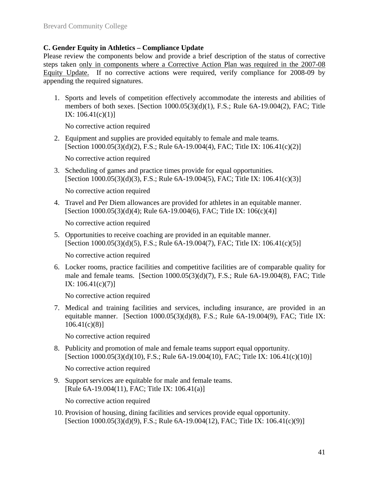#### **C. Gender Equity in Athletics – Compliance Update**

Please review the components below and provide a brief description of the status of corrective steps taken only in components where a Corrective Action Plan was required in the 2007-08 Equity Update. If no corrective actions were required, verify compliance for 2008-09 by appending the required signatures.

1. Sports and levels of competition effectively accommodate the interests and abilities of members of both sexes. [Section 1000.05(3)(d)(1), F.S.; Rule 6A-19.004(2), FAC; Title IX:  $106.41(c)(1)$ ]

No corrective action required

2. Equipment and supplies are provided equitably to female and male teams. [Section  $1000.05(3)(d)(2)$ , F.S.; Rule 6A-19.004(4), FAC; Title IX:  $106.41(c)(2)$ ]

No corrective action required

3. Scheduling of games and practice times provide for equal opportunities. [Section 1000.05(3)(d)(3), F.S.; Rule 6A-19.004(5), FAC; Title IX: 106.41(c)(3)]

No corrective action required

4. Travel and Per Diem allowances are provided for athletes in an equitable manner. [Section 1000.05(3)(d)(4); Rule 6A-19.004(6), FAC; Title IX: 106(c)(4)]

No corrective action required

5. Opportunities to receive coaching are provided in an equitable manner. [Section 1000.05(3)(d)(5), F.S.; Rule 6A-19.004(7), FAC; Title IX: 106.41(c)(5)]

No corrective action required

6. Locker rooms, practice facilities and competitive facilities are of comparable quality for male and female teams. [Section 1000.05(3)(d)(7), F.S.; Rule 6A-19.004(8), FAC; Title IX: 106.41(c)(7)]

No corrective action required

7. Medical and training facilities and services, including insurance, are provided in an equitable manner. [Section  $1000.05(3)(d)(8)$ , F.S.; Rule 6A-19.004(9), FAC; Title IX: 106.41(c)(8)]

No corrective action required

8. Publicity and promotion of male and female teams support equal opportunity. [Section 1000.05(3)(d)(10), F.S.; Rule 6A-19.004(10), FAC; Title IX: 106.41(c)(10)]

No corrective action required

9. Support services are equitable for male and female teams. [Rule 6A-19.004(11), FAC; Title IX: 106.41(a)]

No corrective action required

10. Provision of housing, dining facilities and services provide equal opportunity. [Section 1000.05(3)(d)(9), F.S.; Rule 6A-19.004(12), FAC; Title IX: 106.41(c)(9)]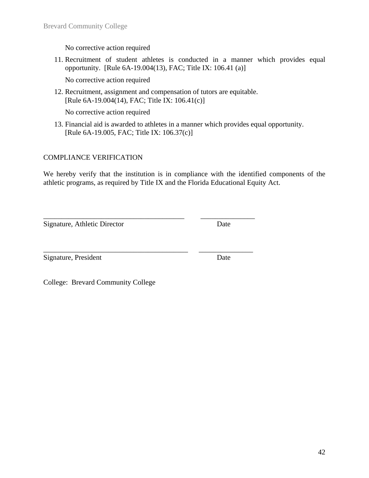No corrective action required

11. Recruitment of student athletes is conducted in a manner which provides equal opportunity. [Rule 6A-19.004(13), FAC; Title IX: 106.41 (a)]

No corrective action required

12. Recruitment, assignment and compensation of tutors are equitable. [Rule 6A-19.004(14), FAC; Title IX: 106.41(c)]

\_\_\_\_\_\_\_\_\_\_\_\_\_\_\_\_\_\_\_\_\_\_\_\_\_\_\_\_\_\_\_\_\_\_\_\_\_\_\_ \_\_\_\_\_\_\_\_\_\_\_\_\_\_\_

\_\_\_\_\_\_\_\_\_\_\_\_\_\_\_\_\_\_\_\_\_\_\_\_\_\_\_\_\_\_\_\_\_\_\_\_\_\_\_\_ \_\_\_\_\_\_\_\_\_\_\_\_\_\_\_

No corrective action required

13. Financial aid is awarded to athletes in a manner which provides equal opportunity. [Rule 6A-19.005, FAC; Title IX: 106.37(c)]

#### COMPLIANCE VERIFICATION

We hereby verify that the institution is in compliance with the identified components of the athletic programs, as required by Title IX and the Florida Educational Equity Act.

Signature, Athletic Director Date

Signature, President Date

College: Brevard Community College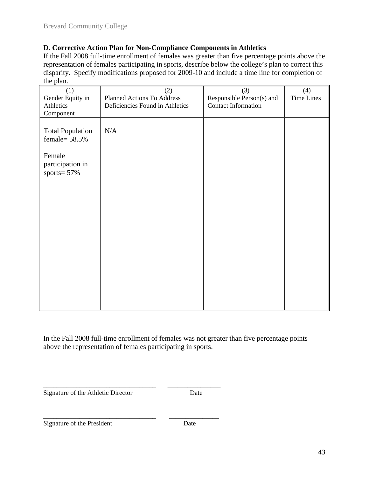#### **D. Corrective Action Plan for Non-Compliance Components in Athletics**

If the Fall 2008 full-time enrollment of females was greater than five percentage points above the representation of females participating in sports, describe below the college's plan to correct this disparity. Specify modifications proposed for 2009-10 and include a time line for completion of the plan.

| (1)<br>Gender Equity in<br>Athletics<br>Component                                            | (2)<br>Planned Actions To Address<br>Deficiencies Found in Athletics | (3)<br>Responsible Person(s) and<br><b>Contact Information</b> | (4)<br><b>Time Lines</b> |
|----------------------------------------------------------------------------------------------|----------------------------------------------------------------------|----------------------------------------------------------------|--------------------------|
| <b>Total Population</b><br>female= $58.5\%$<br>Female<br>participation in<br>sports = $57\%$ | N/A                                                                  |                                                                |                          |
|                                                                                              |                                                                      |                                                                |                          |

In the Fall 2008 full-time enrollment of females was not greater than five percentage points above the representation of females participating in sports.

Signature of the Athletic Director Date

\_\_\_\_\_\_\_\_\_\_\_\_\_\_\_\_\_\_\_\_\_\_\_\_\_\_\_\_\_\_\_\_\_\_ \_\_\_\_\_\_\_\_\_\_\_\_\_\_\_\_

\_\_\_\_\_\_\_\_\_\_\_\_\_\_\_\_\_\_\_\_\_\_\_\_\_\_\_\_\_\_\_\_\_\_ \_\_\_\_\_\_\_\_\_\_\_\_\_\_\_

Signature of the President Date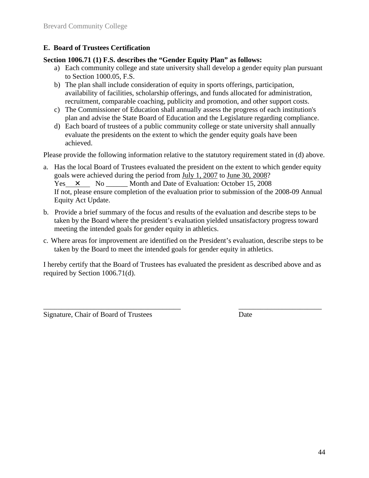#### **E. Board of Trustees Certification**

#### **Section 1006.71 (1) F.S. describes the "Gender Equity Plan" as follows:**

- a) Each community college and state university shall develop a gender equity plan pursuant to Section 1000.05, F.S.
- b) The plan shall include consideration of equity in sports offerings, participation, availability of facilities, scholarship offerings, and funds allocated for administration, recruitment, comparable coaching, publicity and promotion, and other support costs.
- c) The Commissioner of Education shall annually assess the progress of each institution's plan and advise the State Board of Education and the Legislature regarding compliance.
- d) Each board of trustees of a public community college or state university shall annually evaluate the presidents on the extent to which the gender equity goals have been achieved.

Please provide the following information relative to the statutory requirement stated in (d) above.

- a. Has the local Board of Trustees evaluated the president on the extent to which gender equity goals were achieved during the period from July 1, 2007 to June 30, 2008? Yes  $\times$  No Month and Date of Evaluation: October 15, 2008 If not, please ensure completion of the evaluation prior to submission of the 2008-09 Annual Equity Act Update.
- b. Provide a brief summary of the focus and results of the evaluation and describe steps to be taken by the Board where the president's evaluation yielded unsatisfactory progress toward meeting the intended goals for gender equity in athletics.
- c. Where areas for improvement are identified on the President's evaluation, describe steps to be taken by the Board to meet the intended goals for gender equity in athletics.

I hereby certify that the Board of Trustees has evaluated the president as described above and as required by Section 1006.71(d).

 $\overline{\phantom{a}}$  , and the contribution of the contribution of the contribution of the contribution of the contribution of the contribution of the contribution of the contribution of the contribution of the contribution of the

Signature, Chair of Board of Trustees Date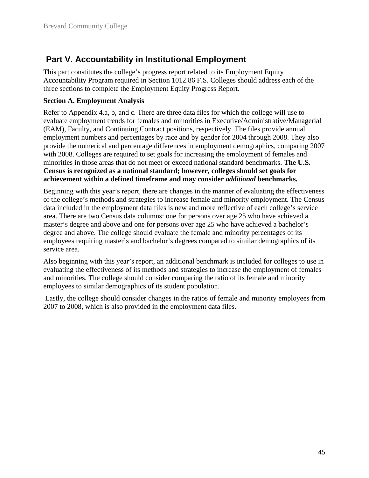## **Part V. Accountability in Institutional Employment**

This part constitutes the college's progress report related to its Employment Equity Accountability Program required in Section 1012.86 F.S. Colleges should address each of the three sections to complete the Employment Equity Progress Report.

#### **Section A. Employment Analysis**

Refer to Appendix 4.a, b, and c. There are three data files for which the college will use to evaluate employment trends for females and minorities in Executive/Administrative/Managerial (EAM), Faculty, and Continuing Contract positions, respectively. The files provide annual employment numbers and percentages by race and by gender for 2004 through 2008. They also provide the numerical and percentage differences in employment demographics, comparing 2007 with 2008. Colleges are required to set goals for increasing the employment of females and minorities in those areas that do not meet or exceed national standard benchmarks. **The U.S. Census is recognized as a national standard; however, colleges should set goals for achievement within a defined timeframe and may consider** *additional* **benchmarks.**

Beginning with this year's report, there are changes in the manner of evaluating the effectiveness of the college's methods and strategies to increase female and minority employment. The Census data included in the employment data files is new and more reflective of each college's service area. There are two Census data columns: one for persons over age 25 who have achieved a master's degree and above and one for persons over age 25 who have achieved a bachelor's degree and above. The college should evaluate the female and minority percentages of its employees requiring master's and bachelor's degrees compared to similar demographics of its service area.

Also beginning with this year's report, an additional benchmark is included for colleges to use in evaluating the effectiveness of its methods and strategies to increase the employment of females and minorities. The college should consider comparing the ratio of its female and minority employees to similar demographics of its student population.

 Lastly, the college should consider changes in the ratios of female and minority employees from 2007 to 2008, which is also provided in the employment data files.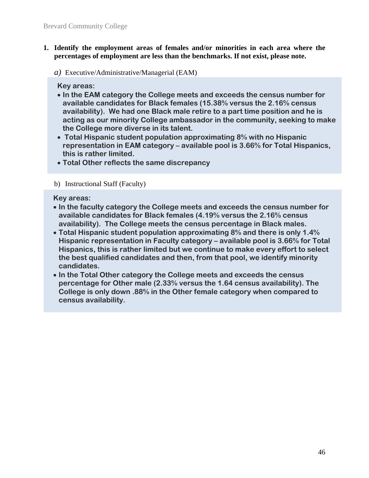- **1. Identify the employment areas of females and/or minorities in each area where the percentages of employment are less than the benchmarks. If not exist, please note.** 
	- *a)* Executive/Administrative/Managerial (EAM)

**Key areas:** 

- **In the EAM category the College meets and exceeds the census number for available candidates for Black females (15.38% versus the 2.16% census availability). We had one Black male retire to a part time position and he is acting as our minority College ambassador in the community, seeking to make the College more diverse in its talent.**
- **Total Hispanic student population approximating 8% with no Hispanic representation in EAM category – available pool is 3.66% for Total Hispanics, this is rather limited.**
- **Total Other reflects the same discrepancy**

#### b) Instructional Staff (Faculty)

**Key areas:** 

- **In the faculty category the College meets and exceeds the census number for available candidates for Black females (4.19% versus the 2.16% census availability). The College meets the census percentage in Black males.**
- **Total Hispanic student population approximating 8% and there is only 1.4% Hispanic representation in Faculty category – available pool is 3.66% for Total Hispanics, this is rather limited but we continue to make every effort to select the best qualified candidates and then, from that pool, we identify minority candidates.**
- **In the Total Other category the College meets and exceeds the census percentage for Other male (2.33% versus the 1.64 census availability). The College is only down .88% in the Other female category when compared to census availability.**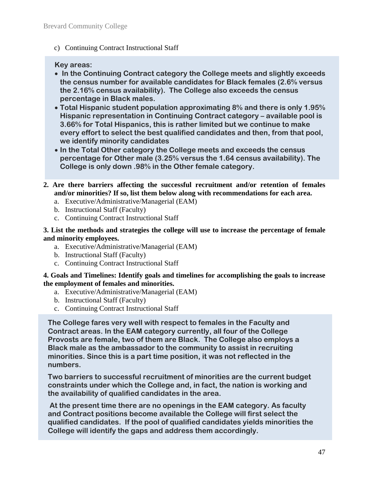c) Continuing Contract Instructional Staff

#### **Key areas:**

- **In the Continuing Contract category the College meets and slightly exceeds the census number for available candidates for Black females (2.6% versus the 2.16% census availability). The College also exceeds the census percentage in Black males.**
- **Total Hispanic student population approximating 8% and there is only 1.95% Hispanic representation in Continuing Contract category – available pool is 3.66% for Total Hispanics, this is rather limited but we continue to make every effort to select the best qualified candidates and then, from that pool, we identify minority candidates**
- **In the Total Other category the College meets and exceeds the census percentage for Other male (3.25% versus the 1.64 census availability). The College is only down .98% in the Other female category.**
- **2. Are there barriers affecting the successful recruitment and/or retention of females and/or minorities? If so, list them below along with recommendations for each area.** 
	- a. Executive/Administrative/Managerial (EAM)
	- b. Instructional Staff (Faculty)
	- c. Continuing Contract Instructional Staff

**3. List the methods and strategies the college will use to increase the percentage of female and minority employees.** 

- a. Executive/Administrative/Managerial (EAM)
- b. Instructional Staff (Faculty)
- c. Continuing Contract Instructional Staff

**4. Goals and Timelines: Identify goals and timelines for accomplishing the goals to increase the employment of females and minorities.** 

- a. Executive/Administrative/Managerial (EAM)
- b. Instructional Staff (Faculty)
- c. Continuing Contract Instructional Staff

**The College fares very well with respect to females in the Faculty and Contract areas. In the EAM category currently, all four of the College Provosts are female, two of them are Black. The College also employs a Black male as the ambassador to the community to assist in recruiting minorities. Since this is a part time position, it was not reflected in the numbers.** 

**Two barriers to successful recruitment of minorities are the current budget constraints under which the College and, in fact, the nation is working and the availability of qualified candidates in the area.** 

 **At the present time there are no openings in the EAM category. As faculty and Contract positions become available the College will first select the qualified candidates. If the pool of qualified candidates yields minorities the College will identify the gaps and address them accordingly.**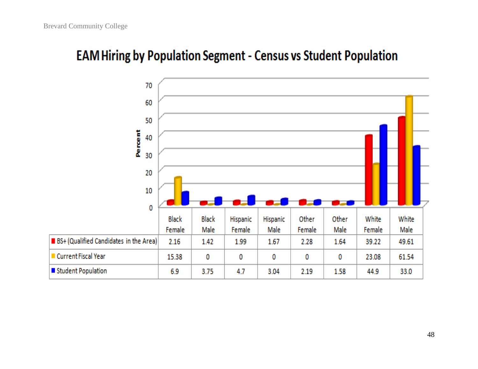# **EAM Hiring by Population Segment - Census vs Student Population**

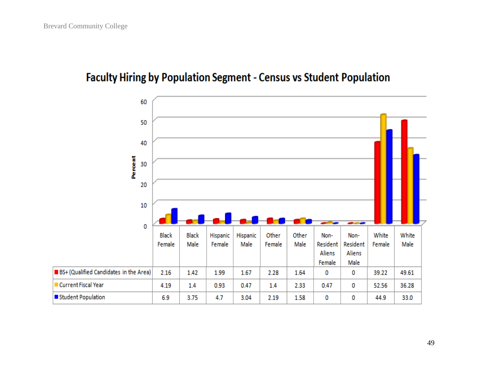## **Faculty Hiring by Population Segment - Census vs Student Population**

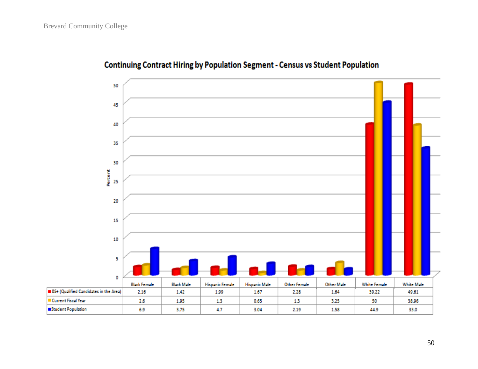

## Continuing Contract Hiring by Population Segment - Census vs Student Population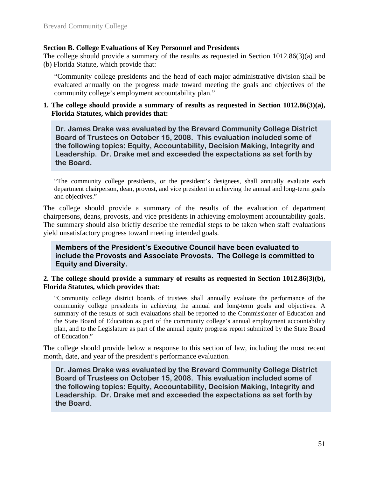#### **Section B. College Evaluations of Key Personnel and Presidents**

The college should provide a summary of the results as requested in Section 1012.86(3)(a) and (b) Florida Statute, which provide that:

"Community college presidents and the head of each major administrative division shall be evaluated annually on the progress made toward meeting the goals and objectives of the community college's employment accountability plan."

#### **1. The college should provide a summary of results as requested in Section 1012.86(3)(a), Florida Statutes, which provides that:**

**Dr. James Drake was evaluated by the Brevard Community College District Board of Trustees on October 15, 2008. This evaluation included some of the following topics: Equity, Accountability, Decision Making, Integrity and Leadership. Dr. Drake met and exceeded the expectations as set forth by the Board.** 

"The community college presidents, or the president's designees, shall annually evaluate each department chairperson, dean, provost, and vice president in achieving the annual and long-term goals and objectives."

The college should provide a summary of the results of the evaluation of department chairpersons, deans, provosts, and vice presidents in achieving employment accountability goals. The summary should also briefly describe the remedial steps to be taken when staff evaluations yield unsatisfactory progress toward meeting intended goals.

**Members of the President's Executive Council have been evaluated to include the Provosts and Associate Provosts. The College is committed to Equity and Diversity.** 

#### **2. The college should provide a summary of results as requested in Section 1012.86(3)(b), Florida Statutes, which provides that:**

"Community college district boards of trustees shall annually evaluate the performance of the community college presidents in achieving the annual and long-term goals and objectives. A summary of the results of such evaluations shall be reported to the Commissioner of Education and the State Board of Education as part of the community college's annual employment accountability plan, and to the Legislature as part of the annual equity progress report submitted by the State Board of Education."

The college should provide below a response to this section of law, including the most recent month, date, and year of the president's performance evaluation.

**Dr. James Drake was evaluated by the Brevard Community College District Board of Trustees on October 15, 2008. This evaluation included some of the following topics: Equity, Accountability, Decision Making, Integrity and Leadership. Dr. Drake met and exceeded the expectations as set forth by the Board.**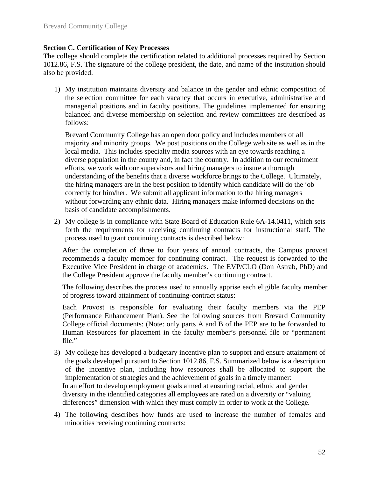#### **Section C. Certification of Key Processes**

The college should complete the certification related to additional processes required by Section 1012.86, F.S. The signature of the college president, the date, and name of the institution should also be provided.

1) My institution maintains diversity and balance in the gender and ethnic composition of the selection committee for each vacancy that occurs in executive, administrative and managerial positions and in faculty positions. The guidelines implemented for ensuring balanced and diverse membership on selection and review committees are described as follows:

Brevard Community College has an open door policy and includes members of all majority and minority groups. We post positions on the College web site as well as in the local media. This includes specialty media sources with an eye towards reaching a diverse population in the county and, in fact the country. In addition to our recruitment efforts, we work with our supervisors and hiring managers to insure a thorough understanding of the benefits that a diverse workforce brings to the College. Ultimately, the hiring managers are in the best position to identify which candidate will do the job correctly for him/her. We submit all applicant information to the hiring managers without forwarding any ethnic data. Hiring managers make informed decisions on the basis of candidate accomplishments.

2) My college is in compliance with State Board of Education Rule 6A-14.0411, which sets forth the requirements for receiving continuing contracts for instructional staff. The process used to grant continuing contracts is described below:

After the completion of three to four years of annual contracts, the Campus provost recommends a faculty member for continuing contract. The request is forwarded to the Executive Vice President in charge of academics. The EVP/CLO (Don Astrab, PhD) and the College President approve the faculty member's continuing contract.

The following describes the process used to annually apprise each eligible faculty member of progress toward attainment of continuing-contract status:

Each Provost is responsible for evaluating their faculty members via the PEP (Performance Enhancement Plan). See the following sources from Brevard Community College official documents: (Note: only parts A and B of the PEP are to be forwarded to Human Resources for placement in the faculty member's personnel file or "permanent file."

- 3) My college has developed a budgetary incentive plan to support and ensure attainment of the goals developed pursuant to Section 1012.86, F.S. Summarized below is a description of the incentive plan, including how resources shall be allocated to support the implementation of strategies and the achievement of goals in a timely manner: In an effort to develop employment goals aimed at ensuring racial, ethnic and gender diversity in the identified categories all employees are rated on a diversity or "valuing differences" dimension with which they must comply in order to work at the College.
- 4) The following describes how funds are used to increase the number of females and minorities receiving continuing contracts: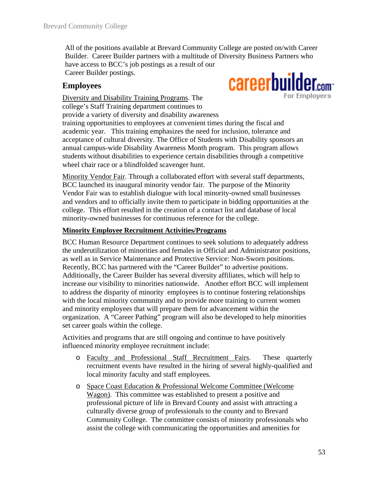All of the positions available at Brevard Community College are posted on/with Career Builder. Career Builder partners with a multitude of Diversity Business Partners who have access to BCC's job postings as a result of our Career Builder postings. careerbuilder.com

#### **Employees**

**For Employers** Diversity and Disability Training Programs. The college's Staff Training department continues to provide a variety of diversity and disability awareness training opportunities to employees at convenient times during the fiscal and academic year. This training emphasizes the need for inclusion, tolerance and acceptance of cultural diversity. The Office of Students with Disability sponsors an annual campus-wide Disability Awareness Month program. This program allows students without disabilities to experience certain disabilities through a competitive wheel chair race or a blindfolded scavenger hunt.

Minority Vendor Fair. Through a collaborated effort with several staff departments, BCC launched its inaugural minority vendor fair. The purpose of the Minority Vendor Fair was to establish dialogue with local minority-owned small businesses and vendors and to officially invite them to participate in bidding opportunities at the college. This effort resulted in the creation of a contact list and database of local minority-owned businesses for continuous reference for the college.

#### **Minority Employee Recruitment Activities/Programs**

BCC Human Resource Department continues to seek solutions to adequately address the underutilization of minorities and females in Official and Administrator positions, as well as in Service Maintenance and Protective Service: Non-Sworn positions. Recently, BCC has partnered with the "Career Builder" to advertise positions. Additionally, the Career Builder has several diversity affiliates, which will help to increase our visibility to minorities nationwide. Another effort BCC will implement to address the disparity of minority employees is to continue fostering relationships with the local minority community and to provide more training to current women and minority employees that will prepare them for advancement within the organization. A "Career Pathing" program will also be developed to help minorities set career goals within the college.

Activities and programs that are still ongoing and continue to have positively influenced minority employee recruitment include:

- o Faculty and Professional Staff Recruitment Fairs. These quarterly recruitment events have resulted in the hiring of several highly-qualified and local minority faculty and staff employees.
- o Space Coast Education & Professional Welcome Committee (Welcome Wagon). This committee was established to present a positive and professional picture of life in Brevard County and assist with attracting a culturally diverse group of professionals to the county and to Brevard Community College. The committee consists of minority professionals who assist the college with communicating the opportunities and amenities for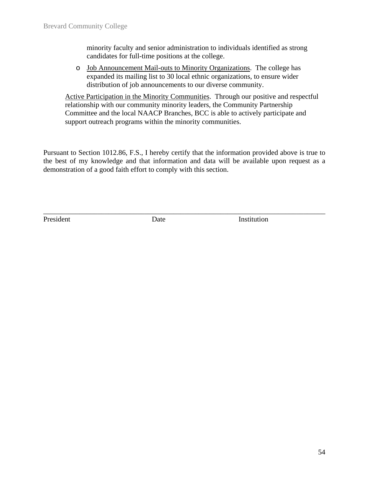minority faculty and senior administration to individuals identified as strong candidates for full-time positions at the college.

o Job Announcement Mail-outs to Minority Organizations. The college has expanded its mailing list to 30 local ethnic organizations, to ensure wider distribution of job announcements to our diverse community.

Active Participation in the Minority Communities. Through our positive and respectful relationship with our community minority leaders, the Community Partnership Committee and the local NAACP Branches, BCC is able to actively participate and support outreach programs within the minority communities.

Pursuant to Section 1012.86, F.S., I hereby certify that the information provided above is true to the best of my knowledge and that information and data will be available upon request as a demonstration of a good faith effort to comply with this section.

\_\_\_\_\_\_\_\_\_\_\_\_\_\_\_\_\_\_\_\_\_\_\_\_\_\_\_\_\_\_\_\_\_\_\_\_\_\_\_\_\_\_\_\_\_\_\_\_\_\_\_\_\_\_\_\_\_\_\_\_\_\_\_\_\_\_\_\_\_\_\_\_\_\_\_\_\_\_

President Date **Date** Institution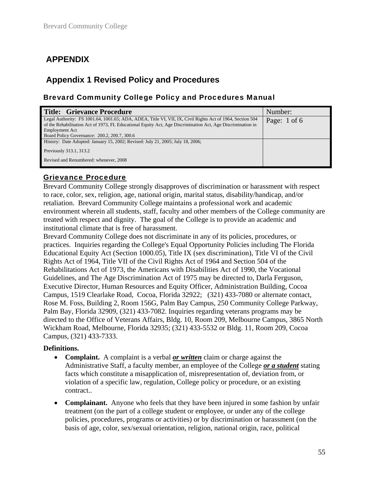## **APPENDIX**

### **Appendix 1 Revised Policy and Procedures**

#### Brevard Community College Policy and Procedures Manual

| <b>Title: Grievance Procedure</b>                                                                                                                                                                                                        | Number: |  |  |  |  |  |  |  |  |
|------------------------------------------------------------------------------------------------------------------------------------------------------------------------------------------------------------------------------------------|---------|--|--|--|--|--|--|--|--|
| Legal Authority: FS 1001.64, 1001.65; ADA, ADEA, Title VI, VII, IX, Civil Rights Act of 1964, Section 504<br>Page: 1 of 6<br>of the Rehabilitation Act of 1973, FL Educational Equity Act, Age Discrimination Act, Age Discrimination in |         |  |  |  |  |  |  |  |  |
| <b>Employment Act</b>                                                                                                                                                                                                                    |         |  |  |  |  |  |  |  |  |
| Board Policy Governance: 200.2, 200.7, 300.6                                                                                                                                                                                             |         |  |  |  |  |  |  |  |  |
| History: Date Adopted: January 15, 2002; Revised: July 21, 2005; July 18, 2006;                                                                                                                                                          |         |  |  |  |  |  |  |  |  |
| Previously 313.1, 313.2                                                                                                                                                                                                                  |         |  |  |  |  |  |  |  |  |
| Revised and Renumbered: whenever, 2008                                                                                                                                                                                                   |         |  |  |  |  |  |  |  |  |

#### Grievance Procedure

Brevard Community College strongly disapproves of discrimination or harassment with respect to race, color, sex, religion, age, national origin, marital status, disability/handicap, and/or retaliation. Brevard Community College maintains a professional work and academic environment wherein all students, staff, faculty and other members of the College community are treated with respect and dignity. The goal of the College is to provide an academic and institutional climate that is free of harassment.

Brevard Community College does not discriminate in any of its policies, procedures, or practices. Inquiries regarding the College's Equal Opportunity Policies including The Florida Educational Equity Act (Section 1000.05), Title IX (sex discrimination), Title VI of the Civil Rights Act of 1964, Title VII of the Civil Rights Act of 1964 and Section 504 of the Rehabilitations Act of 1973, the Americans with Disabilities Act of 1990, the Vocational Guidelines, and The Age Discrimination Act of 1975 may be directed to, Darla Ferguson, Executive Director, Human Resources and Equity Officer, Administration Building, Cocoa Campus, 1519 Clearlake Road, Cocoa, Florida 32922; (321) 433-7080 or alternate contact, Rose M. Foss, Building 2, Room 156G, Palm Bay Campus, 250 Community College Parkway, Palm Bay, Florida 32909, (321) 433-7082. Inquiries regarding veterans programs may be directed to the Office of Veterans Affairs, Bldg. 10, Room 209, Melbourne Campus, 3865 North Wickham Road, Melbourne, Florida 32935; (321) 433-5532 or Bldg. 11, Room 209, Cocoa Campus, (321) 433-7333.

#### **Definitions.**

- **Complaint.** A complaint is a verbal *or written* claim or charge against the Administrative Staff, a faculty member, an employee of the College *or a student* stating facts which constitute a misapplication of, misrepresentation of, deviation from, or violation of a specific law, regulation, College policy or procedure, or an existing contract..
- **Complainant.** Anyone who feels that they have been injured in some fashion by unfair treatment (on the part of a college student or employee, or under any of the college policies, procedures, programs or activities) or by discrimination or harassment (on the basis of age, color, sex/sexual orientation, religion, national origin, race, political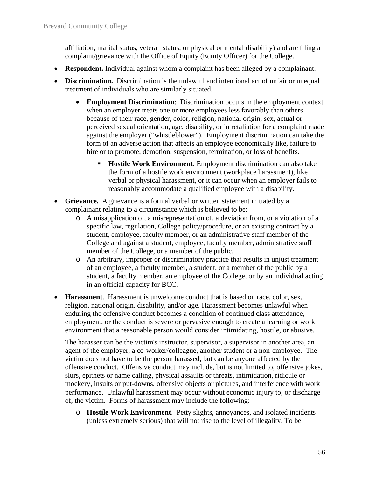affiliation, marital status, veteran status, or physical or mental disability) and are filing a complaint/grievance with the Office of Equity (Equity Officer) for the College.

- **Respondent.** Individual against whom a complaint has been alleged by a complainant.
- **Discrimination.** Discrimination is the unlawful and intentional act of unfair or unequal treatment of individuals who are similarly situated.
	- **Employment Discrimination**: Discrimination occurs in the employment context when an employer treats one or more employees less favorably than others because of their race, gender, color, religion, national origin, sex, actual or perceived sexual orientation, age, disability, or in retaliation for a complaint made against the employer ("whistleblower"). Employment discrimination can take the form of an adverse action that affects an employee economically like, failure to hire or to promote, demotion, suspension, termination, or loss of benefits.
		- **Hostile Work Environment:** Employment discrimination can also take the form of a hostile work environment (workplace harassment), like verbal or physical harassment, or it can occur when an employer fails to reasonably accommodate a qualified employee with a disability.
- **Grievance.** A grievance is a formal verbal or written statement initiated by a complainant relating to a circumstance which is believed to be:
	- o A misapplication of, a misrepresentation of, a deviation from, or a violation of a specific law, regulation, College policy/procedure, or an existing contract by a student, employee, faculty member, or an administrative staff member of the College and against a student, employee, faculty member, administrative staff member of the College, or a member of the public.
	- o An arbitrary, improper or discriminatory practice that results in unjust treatment of an employee, a faculty member, a student, or a member of the public by a student, a faculty member, an employee of the College, or by an individual acting in an official capacity for BCC.
- **Harassment**. Harassment is unwelcome conduct that is based on race, color, sex, religion, national origin, disability, and/or age. Harassment becomes unlawful when enduring the offensive conduct becomes a condition of continued class attendance, employment, or the conduct is severe or pervasive enough to create a learning or work environment that a reasonable person would consider intimidating, hostile, or abusive.

The harasser can be the victim's instructor, supervisor, a supervisor in another area, an agent of the employer, a co-worker/colleague, another student or a non-employee. The victim does not have to be the person harassed, but can be anyone affected by the offensive conduct. Offensive conduct may include, but is not limited to, offensive jokes, slurs, epithets or name calling, physical assaults or threats, intimidation, ridicule or mockery, insults or put-downs, offensive objects or pictures, and interference with work performance. Unlawful harassment may occur without economic injury to, or discharge of, the victim. Forms of harassment may include the following:

o **Hostile Work Environment**. Petty slights, annoyances, and isolated incidents (unless extremely serious) that will not rise to the level of illegality. To be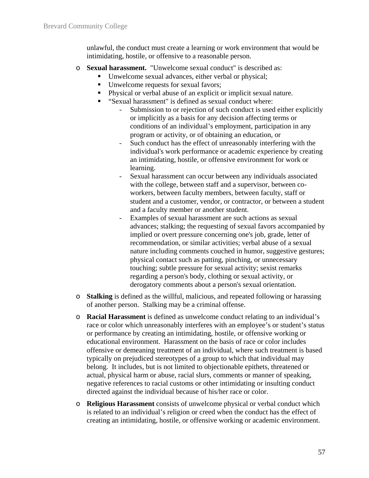unlawful, the conduct must create a learning or work environment that would be intimidating, hostile, or offensive to a reasonable person.

- o **Sexual harassment.** "Unwelcome sexual conduct" is described as:
	- Unwelcome sexual advances, either verbal or physical;
		- Unwelcome requests for sexual favors;
		- Physical or verbal abuse of an explicit or implicit sexual nature.
		- "Sexual harassment" is defined as sexual conduct where:
			- Submission to or rejection of such conduct is used either explicitly or implicitly as a basis for any decision affecting terms or conditions of an individual's employment, participation in any program or activity, or of obtaining an education, or
			- Such conduct has the effect of unreasonably interfering with the individual's work performance or academic experience by creating an intimidating, hostile, or offensive environment for work or learning.
			- Sexual harassment can occur between any individuals associated with the college, between staff and a supervisor, between coworkers, between faculty members, between faculty, staff or student and a customer, vendor, or contractor, or between a student and a faculty member or another student.
			- Examples of sexual harassment are such actions as sexual advances; stalking; the requesting of sexual favors accompanied by implied or overt pressure concerning one's job, grade, letter of recommendation, or similar activities; verbal abuse of a sexual nature including comments couched in humor, suggestive gestures; physical contact such as patting, pinching, or unnecessary touching; subtle pressure for sexual activity; sexist remarks regarding a person's body, clothing or sexual activity, or derogatory comments about a person's sexual orientation.
- o **Stalking** is defined as the willful, malicious, and repeated following or harassing of another person. Stalking may be a criminal offense.
- o **Racial Harassment** is defined as unwelcome conduct relating to an individual's race or color which unreasonably interferes with an employee's or student's status or performance by creating an intimidating, hostile, or offensive working or educational environment. Harassment on the basis of race or color includes offensive or demeaning treatment of an individual, where such treatment is based typically on prejudiced stereotypes of a group to which that individual may belong. It includes, but is not limited to objectionable epithets, threatened or actual, physical harm or abuse, racial slurs, comments or manner of speaking, negative references to racial customs or other intimidating or insulting conduct directed against the individual because of his/her race or color.
- o **Religious Harassment** consists of unwelcome physical or verbal conduct which is related to an individual's religion or creed when the conduct has the effect of creating an intimidating, hostile, or offensive working or academic environment.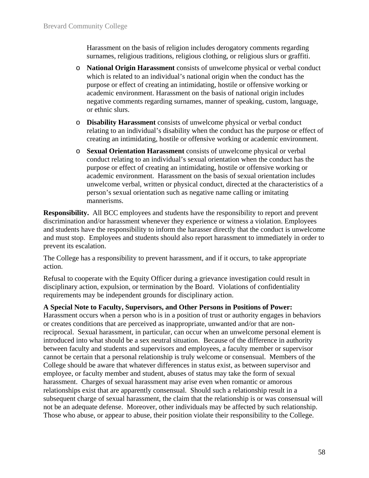Harassment on the basis of religion includes derogatory comments regarding surnames, religious traditions, religious clothing, or religious slurs or graffiti.

- o **National Origin Harassment** consists of unwelcome physical or verbal conduct which is related to an individual's national origin when the conduct has the purpose or effect of creating an intimidating, hostile or offensive working or academic environment. Harassment on the basis of national origin includes negative comments regarding surnames, manner of speaking, custom, language, or ethnic slurs.
- o **Disability Harassment** consists of unwelcome physical or verbal conduct relating to an individual's disability when the conduct has the purpose or effect of creating an intimidating, hostile or offensive working or academic environment.
- o **Sexual Orientation Harassment** consists of unwelcome physical or verbal conduct relating to an individual's sexual orientation when the conduct has the purpose or effect of creating an intimidating, hostile or offensive working or academic environment. Harassment on the basis of sexual orientation includes unwelcome verbal, written or physical conduct, directed at the characteristics of a person's sexual orientation such as negative name calling or imitating mannerisms.

**Responsibility.** All BCC employees and students have the responsibility to report and prevent discrimination and/or harassment whenever they experience or witness a violation. Employees and students have the responsibility to inform the harasser directly that the conduct is unwelcome and must stop. Employees and students should also report harassment to immediately in order to prevent its escalation.

The College has a responsibility to prevent harassment, and if it occurs, to take appropriate action.

Refusal to cooperate with the Equity Officer during a grievance investigation could result in disciplinary action, expulsion, or termination by the Board. Violations of confidentiality requirements may be independent grounds for disciplinary action.

#### **A Special Note to Faculty, Supervisors, and Other Persons in Positions of Power:**

Harassment occurs when a person who is in a position of trust or authority engages in behaviors or creates conditions that are perceived as inappropriate, unwanted and/or that are nonreciprocal. Sexual harassment, in particular, can occur when an unwelcome personal element is introduced into what should be a sex neutral situation. Because of the difference in authority between faculty and students and supervisors and employees, a faculty member or supervisor cannot be certain that a personal relationship is truly welcome or consensual. Members of the College should be aware that whatever differences in status exist, as between supervisor and employee, or faculty member and student, abuses of status may take the form of sexual harassment. Charges of sexual harassment may arise even when romantic or amorous relationships exist that are apparently consensual. Should such a relationship result in a subsequent charge of sexual harassment, the claim that the relationship is or was consensual will not be an adequate defense. Moreover, other individuals may be affected by such relationship. Those who abuse, or appear to abuse, their position violate their responsibility to the College.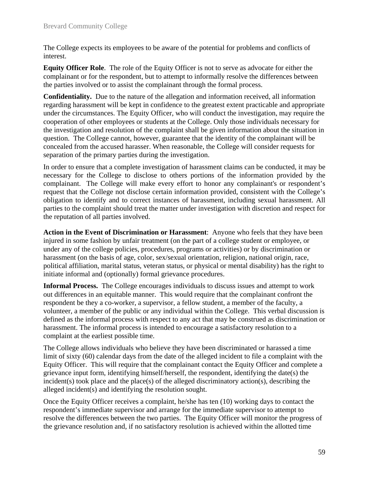The College expects its employees to be aware of the potential for problems and conflicts of interest.

**Equity Officer Role**. The role of the Equity Officer is not to serve as advocate for either the complainant or for the respondent, but to attempt to informally resolve the differences between the parties involved or to assist the complainant through the formal process.

**Confidentiality.** Due to the nature of the allegation and information received, all information regarding harassment will be kept in confidence to the greatest extent practicable and appropriate under the circumstances. The Equity Officer, who will conduct the investigation, may require the cooperation of other employees or students at the College. Only those individuals necessary for the investigation and resolution of the complaint shall be given information about the situation in question. The College cannot, however, guarantee that the identity of the complainant will be concealed from the accused harasser. When reasonable, the College will consider requests for separation of the primary parties during the investigation.

In order to ensure that a complete investigation of harassment claims can be conducted, it may be necessary for the College to disclose to others portions of the information provided by the complainant. The College will make every effort to honor any complainant's or respondent's request that the College not disclose certain information provided, consistent with the College's obligation to identify and to correct instances of harassment, including sexual harassment. All parties to the complaint should treat the matter under investigation with discretion and respect for the reputation of all parties involved.

**Action in the Event of Discrimination or Harassment**: Anyone who feels that they have been injured in some fashion by unfair treatment (on the part of a college student or employee, or under any of the college policies, procedures, programs or activities) or by discrimination or harassment (on the basis of age, color, sex/sexual orientation, religion, national origin, race, political affiliation, marital status, veteran status, or physical or mental disability) has the right to initiate informal and (optionally) formal grievance procedures.

**Informal Process.** The College encourages individuals to discuss issues and attempt to work out differences in an equitable manner. This would require that the complainant confront the respondent be they a co-worker, a supervisor, a fellow student, a member of the faculty, a volunteer, a member of the public or any individual within the College. This verbal discussion is defined as the informal process with respect to any act that may be construed as discrimination or harassment. The informal process is intended to encourage a satisfactory resolution to a complaint at the earliest possible time.

The College allows individuals who believe they have been discriminated or harassed a time limit of sixty (60) calendar days from the date of the alleged incident to file a complaint with the Equity Officer. This will require that the complainant contact the Equity Officer and complete a grievance input form, identifying himself/herself, the respondent, identifying the date(s) the incident(s) took place and the place(s) of the alleged discriminatory action(s), describing the alleged incident(s) and identifying the resolution sought.

Once the Equity Officer receives a complaint, he/she has ten (10) working days to contact the respondent's immediate supervisor and arrange for the immediate supervisor to attempt to resolve the differences between the two parties. The Equity Officer will monitor the progress of the grievance resolution and, if no satisfactory resolution is achieved within the allotted time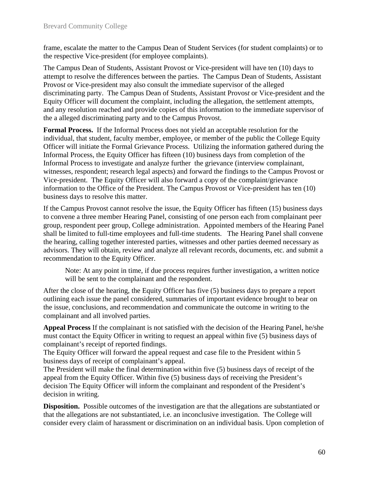frame, escalate the matter to the Campus Dean of Student Services (for student complaints) or to the respective Vice-president (for employee complaints).

The Campus Dean of Students, Assistant Provost or Vice-president will have ten (10) days to attempt to resolve the differences between the parties. The Campus Dean of Students*,* Assistant Provos*t* or Vice-president may also consult the immediate supervisor of the alleged discriminating party. The Campus Dean of Students*,* Assistant Provos*t* or Vice-president and the Equity Officer will document the complaint, including the allegation, the settlement attempts, and any resolution reached and provide copies of this information to the immediate supervisor of the a alleged discriminating party and to the Campus Provost.

**Formal Process.** If the Informal Process does not yield an acceptable resolution for the individual, that student, faculty member, employee, or member of the public the College Equity Officer will initiate the Formal Grievance Process. Utilizing the information gathered during the Informal Process, the Equity Officer has fifteen (10) business days from completion of the Informal Process to investigate and analyze further the grievance (interview complainant, witnesses, respondent; research legal aspects) and forward the findings to the Campus Provost or Vice-president. The Equity Officer will also forward a copy of the complaint/grievance information to the Office of the President. The Campus Provost or Vice-president has ten (10) business days to resolve this matter.

If the Campus Provost cannot resolve the issue, the Equity Officer has fifteen (15) business days to convene a three member Hearing Panel, consisting of one person each from complainant peer group, respondent peer group, College administration. Appointed members of the Hearing Panel shall be limited to full-time employees and full-time students. The Hearing Panel shall convene the hearing, calling together interested parties, witnesses and other parties deemed necessary as advisors. They will obtain, review and analyze all relevant records, documents, etc. and submit a recommendation to the Equity Officer.

Note: At any point in time, if due process requires further investigation, a written notice will be sent to the complainant and the respondent.

After the close of the hearing, the Equity Officer has five (5) business days to prepare a report outlining each issue the panel considered, summaries of important evidence brought to bear on the issue, conclusions, and recommendation and communicate the outcome in writing to the complainant and all involved parties.

**Appeal Process** If the complainant is not satisfied with the decision of the Hearing Panel, he/she must contact the Equity Officer in writing to request an appeal within five (5) business days of complainant's receipt of reported findings.

The Equity Officer will forward the appeal request and case file to the President within 5 business days of receipt of complainant's appeal.

The President will make the final determination within five (5) business days of receipt of the appeal from the Equity Officer. Within five (5) business days of receiving the President's decision The Equity Officer will inform the complainant and respondent of the President's decision in writing.

**Disposition.** Possible outcomes of the investigation are that the allegations are substantiated or that the allegations are not substantiated, i.e. an inconclusive investigation. The College will consider every claim of harassment or discrimination on an individual basis. Upon completion of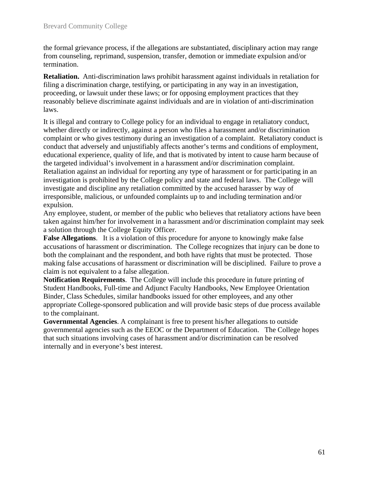the formal grievance process, if the allegations are substantiated, disciplinary action may range from counseling, reprimand, suspension, transfer, demotion or immediate expulsion and/or termination.

**Retaliation.** Anti-discrimination laws prohibit harassment against individuals in retaliation for filing a discrimination charge, testifying, or participating in any way in an investigation, proceeding, or lawsuit under these laws; or for opposing employment practices that they reasonably believe discriminate against individuals and are in violation of anti-discrimination laws.

It is illegal and contrary to College policy for an individual to engage in retaliatory conduct, whether directly or indirectly, against a person who files a harassment and/or discrimination complaint or who gives testimony during an investigation of a complaint. Retaliatory conduct is conduct that adversely and unjustifiably affects another's terms and conditions of employment, educational experience, quality of life, and that is motivated by intent to cause harm because of the targeted individual's involvement in a harassment and/or discrimination complaint. Retaliation against an individual for reporting any type of harassment or for participating in an investigation is prohibited by the College policy and state and federal laws. The College will investigate and discipline any retaliation committed by the accused harasser by way of irresponsible, malicious, or unfounded complaints up to and including termination and/or expulsion.

Any employee, student, or member of the public who believes that retaliatory actions have been taken against him/her for involvement in a harassment and/or discrimination complaint may seek a solution through the College Equity Officer.

**False Allegations**. It is a violation of this procedure for anyone to knowingly make false accusations of harassment or discrimination. The College recognizes that injury can be done to both the complainant and the respondent, and both have rights that must be protected. Those making false accusations of harassment or discrimination will be disciplined. Failure to prove a claim is not equivalent to a false allegation.

**Notification Requirements**. The College will include this procedure in future printing of Student Handbooks, Full-time and Adjunct Faculty Handbooks, New Employee Orientation Binder, Class Schedules, similar handbooks issued for other employees, and any other appropriate College-sponsored publication and will provide basic steps of due process available to the complainant.

**Governmental Agencies**. A complainant is free to present his/her allegations to outside governmental agencies such as the EEOC or the Department of Education. The College hopes that such situations involving cases of harassment and/or discrimination can be resolved internally and in everyone's best interest.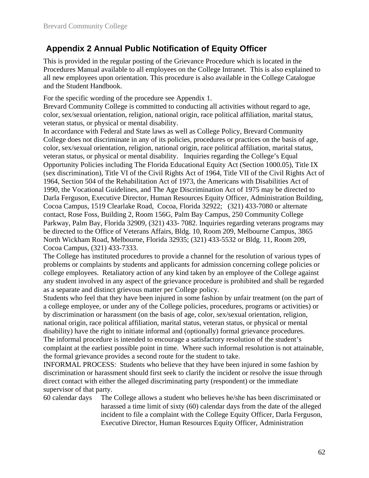## **Appendix 2 Annual Public Notification of Equity Officer**

This is provided in the regular posting of the Grievance Procedure which is located in the Procedures Manual available to all employees on the College Intranet. This is also explained to all new employees upon orientation. This procedure is also available in the College Catalogue and the Student Handbook.

For the specific wording of the procedure see Appendix 1.

Brevard Community College is committed to conducting all activities without regard to age, color, sex/sexual orientation, religion, national origin, race political affiliation, marital status, veteran status, or physical or mental disability.

In accordance with Federal and State laws as well as College Policy, Brevard Community College does not discriminate in any of its policies, procedures or practices on the basis of age, color, sex/sexual orientation, religion, national origin, race political affiliation, marital status, veteran status, or physical or mental disability. Inquiries regarding the College's Equal Opportunity Policies including The Florida Educational Equity Act (Section 1000.05), Title IX (sex discrimination), Title VI of the Civil Rights Act of 1964, Title VII of the Civil Rights Act of 1964, Section 504 of the Rehabilitation Act of 1973, the Americans with Disabilities Act of 1990, the Vocational Guidelines, and The Age Discrimination Act of 1975 may be directed to Darla Ferguson, Executive Director, Human Resources Equity Officer, Administration Building, Cocoa Campus, 1519 Clearlake Road, Cocoa, Florida 32922; (321) 433-7080 or alternate contact, Rose Foss, Building 2, Room 156G, Palm Bay Campus, 250 Community College Parkway, Palm Bay, Florida 32909, (321) 433- 7082. Inquiries regarding veterans programs may be directed to the Office of Veterans Affairs, Bldg. 10, Room 209, Melbourne Campus, 3865 North Wickham Road, Melbourne, Florida 32935; (321) 433-5532 or Bldg. 11, Room 209, Cocoa Campus, (321) 433-7333.

The College has instituted procedures to provide a channel for the resolution of various types of problems or complaints by students and applicants for admission concerning college policies or college employees. Retaliatory action of any kind taken by an employee of the College against any student involved in any aspect of the grievance procedure is prohibited and shall be regarded as a separate and distinct grievous matter per College policy.

Students who feel that they have been injured in some fashion by unfair treatment (on the part of a college employee, or under any of the College policies, procedures, programs or activities) or by discrimination or harassment (on the basis of age, color, sex/sexual orientation, religion, national origin, race political affiliation, marital status, veteran status, or physical or mental disability) have the right to initiate informal and (optionally) formal grievance procedures. The informal procedure is intended to encourage a satisfactory resolution of the student's complaint at the earliest possible point in time. Where such informal resolution is not attainable, the formal grievance provides a second route for the student to take.

INFORMAL PROCESS: Students who believe that they have been injured in some fashion by discrimination or harassment should first seek to clarify the incident or resolve the issue through direct contact with either the alleged discriminating party (respondent) or the immediate supervisor of that party.

60 calendar days The College allows a student who believes he/she has been discriminated or harassed a time limit of sixty (60) calendar days from the date of the alleged incident to file a complaint with the College Equity Officer, Darla Ferguson, Executive Director, Human Resources Equity Officer, Administration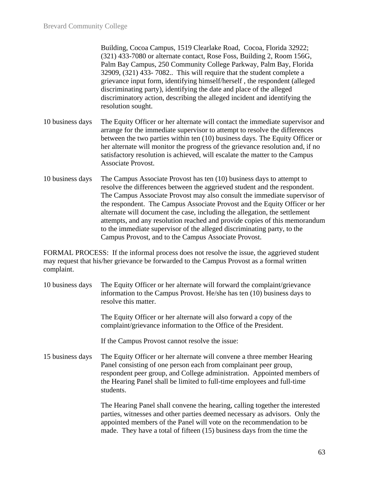Building, Cocoa Campus, 1519 Clearlake Road, Cocoa, Florida 32922; (321) 433-7080 or alternate contact, Rose Foss, Building 2, Room 156G, Palm Bay Campus, 250 Community College Parkway, Palm Bay, Florida 32909, (321) 433- 7082.. This will require that the student complete a grievance input form, identifying himself/herself , the respondent (alleged discriminating party), identifying the date and place of the alleged discriminatory action, describing the alleged incident and identifying the resolution sought.

- 10 business days The Equity Officer or her alternate will contact the immediate supervisor and arrange for the immediate supervisor to attempt to resolve the differences between the two parties within ten (10) business days. The Equity Officer or her alternate will monitor the progress of the grievance resolution and, if no satisfactory resolution is achieved, will escalate the matter to the Campus Associate Provost.
- 10 business days The Campus Associate Provost has ten (10) business days to attempt to resolve the differences between the aggrieved student and the respondent. The Campus Associate Provost may also consult the immediate supervisor of the respondent. The Campus Associate Provost and the Equity Officer or her alternate will document the case, including the allegation, the settlement attempts, and any resolution reached and provide copies of this memorandum to the immediate supervisor of the alleged discriminating party, to the Campus Provost, and to the Campus Associate Provost.

FORMAL PROCESS: If the informal process does not resolve the issue, the aggrieved student may request that his/her grievance be forwarded to the Campus Provost as a formal written complaint.

10 business days The Equity Officer or her alternate will forward the complaint/grievance information to the Campus Provost. He/she has ten (10) business days to resolve this matter.

> The Equity Officer or her alternate will also forward a copy of the complaint/grievance information to the Office of the President.

If the Campus Provost cannot resolve the issue:

15 business days The Equity Officer or her alternate will convene a three member Hearing Panel consisting of one person each from complainant peer group, respondent peer group, and College administration. Appointed members of the Hearing Panel shall be limited to full-time employees and full-time students.

> The Hearing Panel shall convene the hearing, calling together the interested parties, witnesses and other parties deemed necessary as advisors. Only the appointed members of the Panel will vote on the recommendation to be made. They have a total of fifteen (15) business days from the time the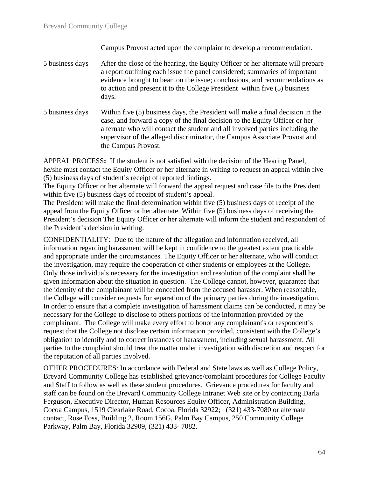Campus Provost acted upon the complaint to develop a recommendation.

5 business days After the close of the hearing, the Equity Officer or her alternate will prepare a report outlining each issue the panel considered; summaries of important evidence brought to bear on the issue; conclusions, and recommendations as to action and present it to the College President within five (5) business days.

5 business days Within five (5) business days, the President will make a final decision in the case, and forward a copy of the final decision to the Equity Officer or her alternate who will contact the student and all involved parties including the supervisor of the alleged discriminator, the Campus Associate Provost and the Campus Provost.

APPEAL PROCESS**:** If the student is not satisfied with the decision of the Hearing Panel, he/she must contact the Equity Officer or her alternate in writing to request an appeal within five (5) business days of student's receipt of reported findings.

The Equity Officer or her alternate will forward the appeal request and case file to the President within five (5) business days of receipt of student's appeal.

The President will make the final determination within five (5) business days of receipt of the appeal from the Equity Officer or her alternate. Within five (5) business days of receiving the President's decision The Equity Officer or her alternate will inform the student and respondent of the President's decision in writing.

CONFIDENTIALITY: Due to the nature of the allegation and information received, all information regarding harassment will be kept in confidence to the greatest extent practicable and appropriate under the circumstances. The Equity Officer or her alternate, who will conduct the investigation, may require the cooperation of other students or employees at the College. Only those individuals necessary for the investigation and resolution of the complaint shall be given information about the situation in question. The College cannot, however, guarantee that the identity of the complainant will be concealed from the accused harasser. When reasonable, the College will consider requests for separation of the primary parties during the investigation. In order to ensure that a complete investigation of harassment claims can be conducted, it may be necessary for the College to disclose to others portions of the information provided by the complainant. The College will make every effort to honor any complainant's or respondent's request that the College not disclose certain information provided, consistent with the College's obligation to identify and to correct instances of harassment, including sexual harassment. All parties to the complaint should treat the matter under investigation with discretion and respect for the reputation of all parties involved.

OTHER PROCEDURES: In accordance with Federal and State laws as well as College Policy, Brevard Community College has established grievance/complaint procedures for College Faculty and Staff to follow as well as these student procedures. Grievance procedures for faculty and staff can be found on the Brevard Community College Intranet Web site or by contacting Darla Ferguson, Executive Director, Human Resources Equity Officer, Administration Building, Cocoa Campus, 1519 Clearlake Road, Cocoa, Florida 32922; (321) 433-7080 or alternate contact, Rose Foss, Building 2, Room 156G, Palm Bay Campus, 250 Community College Parkway, Palm Bay, Florida 32909, (321) 433- 7082.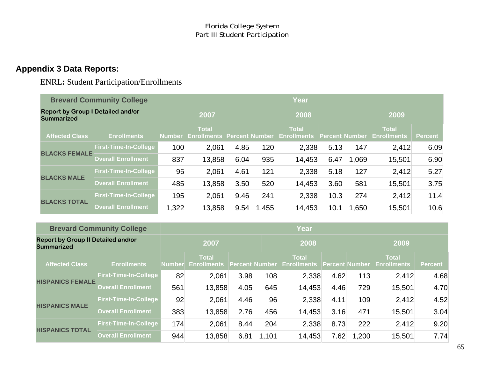## **Appendix 3 Data Reports:**

ENRL**:** Student Participation/Enrollments

|                                                               | <b>Brevard Community College</b> | Year          |                                    |      |                |                                    |                       |       |                                    |                |  |  |  |  |
|---------------------------------------------------------------|----------------------------------|---------------|------------------------------------|------|----------------|------------------------------------|-----------------------|-------|------------------------------------|----------------|--|--|--|--|
| <b>Report by Group I Detailed and/or</b><br><b>Summarized</b> |                                  | 2007          |                                    |      |                | 2008                               |                       |       | 2009                               |                |  |  |  |  |
| <b>Affected Class</b>                                         | <b>Enrollments</b>               | <b>Number</b> | <b>Total</b><br><b>Enrollments</b> |      | Percent Number | <b>Total</b><br><b>Enrollments</b> | <b>Percent Number</b> |       | <b>Total</b><br><b>Enrollments</b> | <b>Percent</b> |  |  |  |  |
|                                                               | <b>First-Time-In-College</b>     | 100           | 2,061                              | 4.85 | 120            | 2,338                              | 5.13                  | 147   | 2,412                              | 6.09           |  |  |  |  |
| <b>BLACKS FEMALE</b>                                          | <b>Overall Enrollment</b>        | 837           | 13,858                             | 6.04 | 935            | 14,453                             | 6.47                  | 1,069 | 15,501                             | 6.90           |  |  |  |  |
| <b>BLACKS MALE</b>                                            | <b>First-Time-In-College</b>     | 95            | 2,061                              | 4.61 | 121            | 2,338                              | 5.18                  | 127   | 2,412                              | 5.27           |  |  |  |  |
|                                                               | <b>Overall Enrollment</b>        | 485           | 13,858                             | 3.50 | 520            | 14,453                             | 3.60                  | 581   | 15,501                             | 3.75           |  |  |  |  |
| <b>BLACKS TOTAL</b>                                           | <b>First-Time-In-College</b>     | 195           | 2,061                              | 9.46 | 241            | 2,338                              | 10.3                  | 274   | 2,412                              | 11.4           |  |  |  |  |
|                                                               | <b>Overall Enrollment</b>        | 1,322         | 13,858                             | 9.54 | 1,455          | 14,453                             | 10.1                  | 1,650 | 15,501                             | 10.6           |  |  |  |  |

|                                                                | <b>Brevard Community College</b> |               |                                    |                       |       | Year                               |                |       |                                    |                |  |
|----------------------------------------------------------------|----------------------------------|---------------|------------------------------------|-----------------------|-------|------------------------------------|----------------|-------|------------------------------------|----------------|--|
| <b>Report by Group II Detailed and/or</b><br><b>Summarized</b> |                                  | 2007          |                                    |                       |       | 2008                               |                |       | 2009                               |                |  |
| <b>Affected Class</b>                                          | <b>Enrollments</b>               | <b>Number</b> | <b>Total</b><br><b>Enrollments</b> | <b>Percent Number</b> |       | <b>Total</b><br><b>Enrollments</b> | Percent Number |       | <b>Total</b><br><b>Enrollments</b> | <b>Percent</b> |  |
|                                                                | <b>First-Time-In-College</b>     | 82            | 2,061                              | 3.98                  | 108   | 2,338                              | 4.62           | 113   | 2,412                              | 4.68           |  |
| <b>HISPANICS FEMALE</b>                                        | <b>Overall Enrollment</b>        | 561           | 13,858                             | 4.05                  | 645   | 14,453                             | 4.46           | 729   | 15,501                             | 4.70           |  |
|                                                                | <b>First-Time-In-College</b>     | 92            | 2,061                              | 4.46                  | 96    | 2,338                              | 4.11           | 109   | 2,412                              | 4.52           |  |
| <b>HISPANICS MALE</b>                                          | <b>Overall Enrollment</b>        | 383           | 13,858                             | 2.76                  | 456   | 14,453                             | 3.16           | 471   | 15,501                             | 3.04           |  |
| <b>HISPANICS TOTAL</b>                                         | <b>First-Time-In-College</b>     | 174           | 2,061                              | 8.44                  | 204   | 2,338                              | 8.73           | 222   | 2,412                              | 9.20           |  |
|                                                                | <b>Overall Enrollment</b>        | 944           | 13,858                             | 6.81                  | 1,101 | 14,453                             | 7.62           | 1,200 | 15,501                             | 7.74           |  |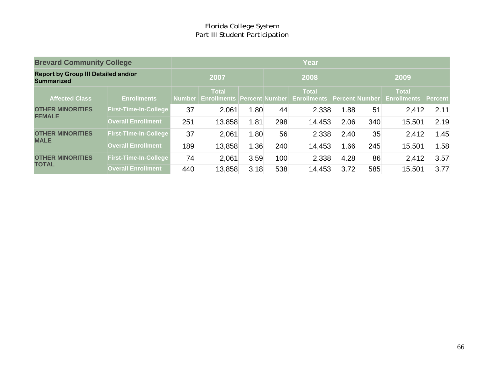| <b>Brevard Community College</b>                                |                              | <b>Year</b> |                                                   |      |      |                                    |      |                       |                                            |      |
|-----------------------------------------------------------------|------------------------------|-------------|---------------------------------------------------|------|------|------------------------------------|------|-----------------------|--------------------------------------------|------|
| <b>Report by Group III Detailed and/or</b><br><b>Summarized</b> |                              |             | 2007                                              |      | 2008 |                                    |      | 2009                  |                                            |      |
| <b>Affected Class</b>                                           | <b>Enrollments</b>           |             | <b>Total</b><br>Number Enrollments Percent Number |      |      | <b>Total</b><br><b>Enrollments</b> |      | <b>Percent Number</b> | <b>Total</b><br><b>Enrollments Percent</b> |      |
|                                                                 |                              |             |                                                   |      |      |                                    |      |                       |                                            |      |
| <b>OTHER MINORITIES</b><br><b>FEMALE</b>                        | <b>First-Time-In-College</b> | 37          | 2,061                                             | 1.80 | 44   | 2,338                              | 1.88 | 51                    | 2,412                                      | 2.11 |
|                                                                 | <b>Overall Enrollment</b>    | 251         | 13,858                                            | 1.81 | 298  | 14,453                             | 2.06 | 340                   | 15,501                                     | 2.19 |
| <b>OTHER MINORITIES</b>                                         | <b>First-Time-In-College</b> | 37          | 2,061                                             | 1.80 | 56   | 2,338                              | 2.40 | 35                    | 2,412                                      | 1.45 |
| <b>MALE</b>                                                     | <b>Overall Enrollment</b>    | 189         | 13,858                                            | 1.36 | 240  | 14,453                             | 1.66 | 245                   | 15,501                                     | 1.58 |
| <b>OTHER MINORITIES</b><br><b>TOTAL</b>                         | <b>First-Time-In-College</b> | 74          | 2,061                                             | 3.59 | 100  | 2,338                              | 4.28 | 86                    | 2,412                                      | 3.57 |
|                                                                 | <b>Overall Enrollment</b>    | 440         | 13,858                                            | 3.18 | 538  | 14,453                             | 3.72 | 585                   | 15,501                                     | 3.77 |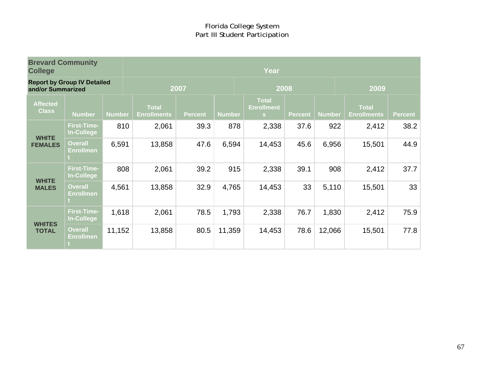| <b>Brevard Community</b><br><b>College</b> |                                         |               | Year                               |                |               |                                        |                |               |                                    |                |  |  |  |
|--------------------------------------------|-----------------------------------------|---------------|------------------------------------|----------------|---------------|----------------------------------------|----------------|---------------|------------------------------------|----------------|--|--|--|
| and/or Summarized                          | <b>Report by Group IV Detailed</b>      |               |                                    | 2007           |               | 2008                                   |                |               | 2009                               |                |  |  |  |
| <b>Affected</b><br><b>Class</b>            | <b>Number</b>                           | <b>Number</b> | <b>Total</b><br><b>Enrollments</b> | <b>Percent</b> | <b>Number</b> | <b>Total</b><br><b>Enrollment</b><br>S | <b>Percent</b> | <b>Number</b> | <b>Total</b><br><b>Enrollments</b> | <b>Percent</b> |  |  |  |
|                                            | <b>First-Time-</b><br><b>In-College</b> | 810           | 2,061                              | 39.3           | 878           | 2,338                                  | 37.6           | 922           | 2,412                              | 38.2           |  |  |  |
| <b>WHITE</b><br><b>FEMALES</b>             | <b>Overall</b><br><b>Enrollmen</b>      | 6,591         | 13,858                             | 47.6           | 6,594         | 14,453                                 | 45.6           | 6,956         | 15,501                             | 44.9           |  |  |  |
|                                            | <b>First-Time-</b><br><b>In-College</b> | 808           | 2,061                              | 39.2           | 915           | 2,338                                  | 39.1           | 908           | 2,412                              | 37.7           |  |  |  |
| <b>WHITE</b><br><b>MALES</b>               | <b>Overall</b><br><b>Enrollmen</b>      | 4,561         | 13,858                             | 32.9           | 4,765         | 14,453                                 | 33             | 5,110         | 15,501                             | 33             |  |  |  |
|                                            | <b>First-Time-</b><br>In-College        | 1,618         | 2,061                              | 78.5           | 1,793         | 2,338                                  | 76.7           | 1,830         | 2,412                              | 75.9           |  |  |  |
| <b>WHITES</b><br><b>TOTAL</b>              | <b>Overall</b><br><b>Enrollmen</b>      | 11,152        | 13,858                             | 80.5           | 11,359        | 14,453                                 | 78.6           | 12,066        | 15,501                             | 77.8           |  |  |  |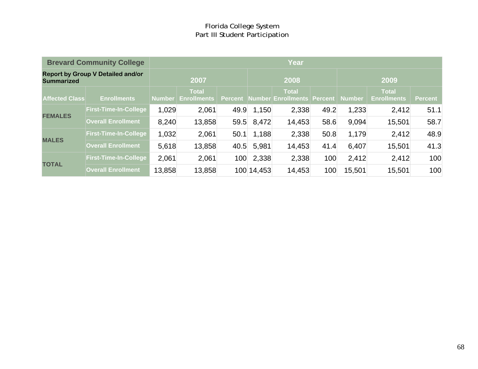|                       | <b>Brevard Community College</b>         | <b>Year</b>   |                                    |         |            |                                            |      |        |                                    |                |  |  |
|-----------------------|------------------------------------------|---------------|------------------------------------|---------|------------|--------------------------------------------|------|--------|------------------------------------|----------------|--|--|
| <b>Summarized</b>     | <b>Report by Group V Detailed and/or</b> |               | 2007                               |         | 2008       |                                            |      | 2009   |                                    |                |  |  |
| <b>Affected Class</b> | <b>Enrollments</b>                       | <b>Number</b> | <b>Total</b><br><b>Enrollments</b> | Percent |            | <b>Total</b><br>Number Enrollments Percent |      | Number | <b>Total</b><br><b>Enrollments</b> | <b>Percent</b> |  |  |
|                       | <b>First-Time-In-College</b>             | 1,029         | 2,061                              | 49.9    | 1,150      | 2,338                                      | 49.2 | 1,233  | 2,412                              | 51.1           |  |  |
| <b>FEMALES</b>        | <b>Overall Enrollment</b>                | 8,240         | 13,858                             | 59.5    | 8,472      | 14,453                                     | 58.6 | 9.094  | 15,501                             | 58.7           |  |  |
|                       | <b>First-Time-In-College</b>             | 1,032         | 2,061                              | 50.1    | 1,188      | 2,338                                      | 50.8 | 1,179  | 2,412                              | 48.9           |  |  |
| <b>MALES</b>          | <b>Overall Enrollment</b>                | 5,618         | 13,858                             | 40.5    | 5,981      | 14,453                                     | 41.4 | 6,407  | 15,501                             | 41.3           |  |  |
| <b>TOTAL</b>          | <b>First-Time-In-College</b>             | 2,061         | 2,061                              | 100     | 2,338      | 2,338                                      | 100  | 2,412  | 2,412                              | 100            |  |  |
|                       | <b>Overall Enrollment</b>                | 13,858        | 13,858                             |         | 100 14,453 | 14,453                                     | 100  | 15,501 | 15,501                             | 100            |  |  |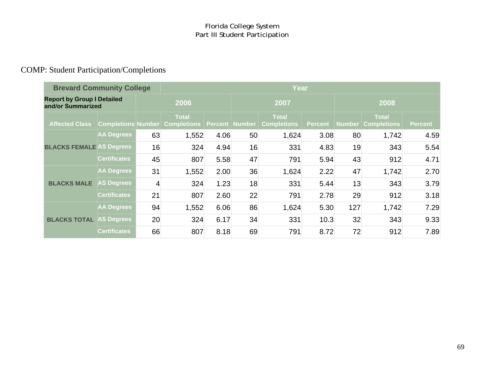## COMP: Student Participation/Completions

| <b>Brevard Community College</b>                       |                           |      | <b>Year</b>                        |                |      |                                    |                |        |                                    |         |  |  |  |  |
|--------------------------------------------------------|---------------------------|------|------------------------------------|----------------|------|------------------------------------|----------------|--------|------------------------------------|---------|--|--|--|--|
| <b>Report by Group I Detailed</b><br>and/or Summarized |                           | 2006 |                                    |                | 2007 |                                    |                | 2008   |                                    |         |  |  |  |  |
| <b>Affected Class</b>                                  | <b>Completions Number</b> |      | <b>Total</b><br><b>Completions</b> | Percent Number |      | <b>Total</b><br><b>Completions</b> | <b>Percent</b> | Number | <b>Total</b><br><b>Completions</b> | Percent |  |  |  |  |
|                                                        | <b>AA Degrees</b>         | 63   | 1,552                              | 4.06           | 50   | 1,624                              | 3.08           | 80     | 1,742                              | 4.59    |  |  |  |  |
| <b>BLACKS FEMALE AS Degrees</b>                        |                           | 16   | 324                                | 4.94           | 16   | 331                                | 4.83           | 19     | 343                                | 5.54    |  |  |  |  |
|                                                        | <b>Certificates</b>       | 45   | 807                                | 5.58           | 47   | 791                                | 5.94           | 43     | 912                                | 4.71    |  |  |  |  |
|                                                        | <b>AA Degrees</b>         | 31   | 1,552                              | 2.00           | 36   | 1,624                              | 2.22           | 47     | 1,742                              | 2.70    |  |  |  |  |
| <b>BLACKS MALE</b>                                     | <b>AS Degrees</b>         | 4    | 324                                | 1.23           | 18   | 331                                | 5.44           | 13     | 343                                | 3.79    |  |  |  |  |
|                                                        | <b>Certificates</b>       | 21   | 807                                | 2.60           | 22   | 791                                | 2.78           | 29     | 912                                | 3.18    |  |  |  |  |
|                                                        | <b>AA Degrees</b>         | 94   | 1,552                              | 6.06           | 86   | 1,624                              | 5.30           | 127    | 1,742                              | 7.29    |  |  |  |  |
| <b>BLACKS TOTAL AS Degrees</b>                         |                           | 20   | 324                                | 6.17           | 34   | 331                                | 10.3           | 32     | 343                                | 9.33    |  |  |  |  |
|                                                        | <b>Certificates</b>       | 66   | 807                                | 8.18           | 69   | 791                                | 8.72           | 72     | 912                                | 7.89    |  |  |  |  |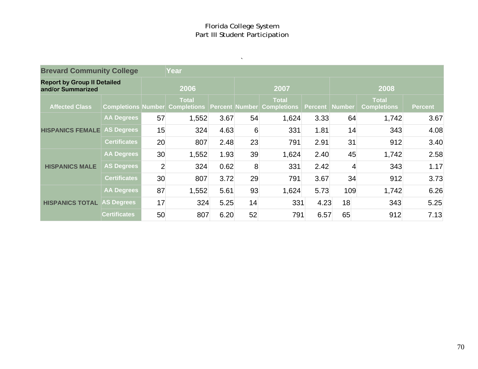$\mathbf{x} = \mathbf{y}$  ,  $\mathbf{y} = \mathbf{y}$ 

| <b>Brevard Community College</b>                        |                     |                | Year                                                                      |      |    |              |                         |                |                                    |                |  |  |  |
|---------------------------------------------------------|---------------------|----------------|---------------------------------------------------------------------------|------|----|--------------|-------------------------|----------------|------------------------------------|----------------|--|--|--|
| <b>Report by Group II Detailed</b><br>and/or Summarized |                     |                | 2006                                                                      |      |    | 2007         |                         |                | 2008                               |                |  |  |  |
| <b>Affected Class</b>                                   |                     |                | <b>Total</b><br>Completions Number Completions Percent Number Completions |      |    | <b>Total</b> | <b>Percent   Number</b> |                | <b>Total</b><br><b>Completions</b> | <b>Percent</b> |  |  |  |
|                                                         | <b>AA Degrees</b>   | 57             | 1,552                                                                     | 3.67 | 54 | 1,624        | 3.33                    | 64             | 1,742                              | 3.67           |  |  |  |
| <b>HISPANICS FEMALE</b>                                 | <b>AS Degrees</b>   | 15             | 324                                                                       | 4.63 | 6  | 331          | 1.81                    | 14             | 343                                | 4.08           |  |  |  |
|                                                         | <b>Certificates</b> | 20             | 807                                                                       | 2.48 | 23 | 791          | 2.91                    | 31             | 912                                | 3.40           |  |  |  |
|                                                         | <b>AA Degrees</b>   | 30             | 1,552                                                                     | 1.93 | 39 | 1,624        | 2.40                    | 45             | 1,742                              | 2.58           |  |  |  |
| <b>HISPANICS MALE</b>                                   | <b>AS Degrees</b>   | $\overline{2}$ | 324                                                                       | 0.62 | 8  | 331          | 2.42                    | $\overline{4}$ | 343                                | 1.17           |  |  |  |
|                                                         | <b>Certificates</b> | 30             | 807                                                                       | 3.72 | 29 | 791          | 3.67                    | 34             | 912                                | 3.73           |  |  |  |
|                                                         | <b>AA Degrees</b>   | 87             | 1,552                                                                     | 5.61 | 93 | 1,624        | 5.73                    | 109            | 1,742                              | 6.26           |  |  |  |
| <b>HISPANICS TOTAL</b>                                  | <b>AS Degrees</b>   | 17             | 324                                                                       | 5.25 | 14 | 331          | 4.23                    | 18             | 343                                | 5.25           |  |  |  |
|                                                         | <b>Certificates</b> | 50             | 807                                                                       | 6.20 | 52 | 791          | 6.57                    | 65             | 912                                | 7.13           |  |  |  |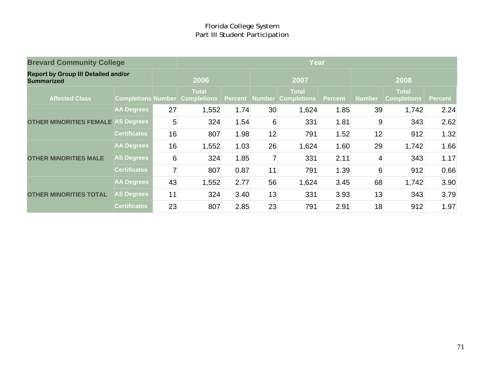| <b>Brevard Community College</b>                                |                           |      | Year                               |      |                |                                                       |                |        |                                    |                |  |
|-----------------------------------------------------------------|---------------------------|------|------------------------------------|------|----------------|-------------------------------------------------------|----------------|--------|------------------------------------|----------------|--|
| <b>Report by Group III Detailed and/or</b><br><b>Summarized</b> |                           | 2006 |                                    |      | 2007           |                                                       |                | 2008   |                                    |                |  |
| <b>Affected Class</b>                                           | <b>Completions Number</b> |      | <b>Total</b><br><b>Completions</b> |      |                | <b>Total</b><br><b>Percent   Number   Completions</b> | <b>Percent</b> | Number | <b>Total</b><br><b>Completions</b> | <b>Percent</b> |  |
| <b>OTHER MINORITIES FEMALE AS Degrees</b>                       | <b>AA Degrees</b>         | 27   | 1,552                              | 1.74 | 30             | 1,624                                                 | 1.85           | 39     | 1,742                              | 2.24           |  |
|                                                                 |                           | 5    | 324                                | 1.54 | 6              | 331                                                   | 1.81           | 9      | 343                                | 2.62           |  |
|                                                                 | <b>Certificates</b>       | 16   | 807                                | 1.98 | 12             | 791                                                   | 1.52           | 12     | 912                                | 1.32           |  |
| <b>OTHER MINORITIES MALE</b>                                    | <b>AA Degrees</b>         | 16   | 1,552                              | 1.03 | 26             | 1,624                                                 | 1.60           | 29     | 1,742                              | 1.66           |  |
|                                                                 | <b>AS Degrees</b>         | 6    | 324                                | 1.85 | $\overline{7}$ | 331                                                   | 2.11           | 4      | 343                                | 1.17           |  |
|                                                                 | <b>Certificates</b>       | 7    | 807                                | 0.87 | 11             | 791                                                   | 1.39           | 6      | 912                                | 0.66           |  |
| <b>OTHER MINORITIES TOTAL</b>                                   | <b>AA Degrees</b>         | 43   | 1,552                              | 2.77 | 56             | 1,624                                                 | 3.45           | 68     | 1,742                              | 3.90           |  |
|                                                                 | <b>AS Degrees</b>         | 11   | 324                                | 3.40 | 13             | 331                                                   | 3.93           | 13     | 343                                | 3.79           |  |
|                                                                 | <b>Certificates</b>       | 23   | 807                                | 2.85 | 23             | 791                                                   | 2.91           | 18     | 912                                | 1.97           |  |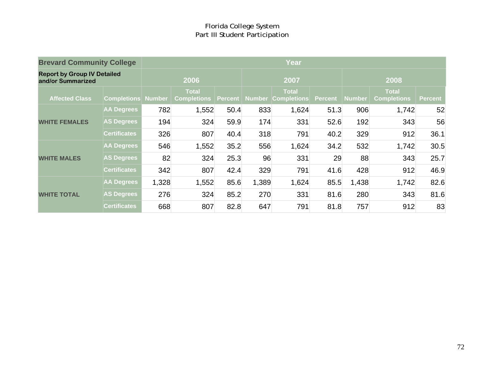| <b>Brevard Community College</b>                        |                           | <b>Year</b> |                                    |         |       |                                           |                |               |                                    |                |  |
|---------------------------------------------------------|---------------------------|-------------|------------------------------------|---------|-------|-------------------------------------------|----------------|---------------|------------------------------------|----------------|--|
| <b>Report by Group IV Detailed</b><br>and/or Summarized |                           | 2006        |                                    |         |       | 2007                                      |                | 2008          |                                    |                |  |
| <b>Affected Class</b>                                   | <b>Completions Number</b> |             | <b>Total</b><br><b>Completions</b> | Percent |       | <b>Total</b><br><b>Number Completions</b> | <b>Percent</b> | <b>Number</b> | <b>Total</b><br><b>Completions</b> | <b>Percent</b> |  |
| <b>WHITE FEMALES</b>                                    | <b>AA Degrees</b>         | 782         | 1,552                              | 50.4    | 833   | 1,624                                     | 51.3           | 906           | 1,742                              | 52             |  |
|                                                         | <b>AS Degrees</b>         | 194         | 324                                | 59.9    | 174   | 331                                       | 52.6           | 192           | 343                                | 56             |  |
|                                                         | <b>Certificates</b>       | 326         | 807                                | 40.4    | 318   | 791                                       | 40.2           | 329           | 912                                | 36.1           |  |
| <b>WHITE MALES</b>                                      | <b>AA Degrees</b>         | 546         | 1,552                              | 35.2    | 556   | 1,624                                     | 34.2           | 532           | 1,742                              | 30.5           |  |
|                                                         | <b>AS Degrees</b>         | 82          | 324                                | 25.3    | 96    | 331                                       | 29             | 88            | 343                                | 25.7           |  |
|                                                         | <b>Certificates</b>       | 342         | 807                                | 42.4    | 329   | 791                                       | 41.6           | 428           | 912                                | 46.9           |  |
| <b>WHITE TOTAL</b>                                      | <b>AA Degrees</b>         | 1,328       | 1,552                              | 85.6    | 1,389 | 1,624                                     | 85.5           | 1,438         | 1,742                              | 82.6           |  |
|                                                         | <b>AS Degrees</b>         | 276         | 324                                | 85.2    | 270   | 331                                       | 81.6           | 280           | 343                                | 81.6           |  |
|                                                         | <b>Certificates</b>       | 668         | 807                                | 82.8    | 647   | 791                                       | 81.8           | 757           | 912                                | 83             |  |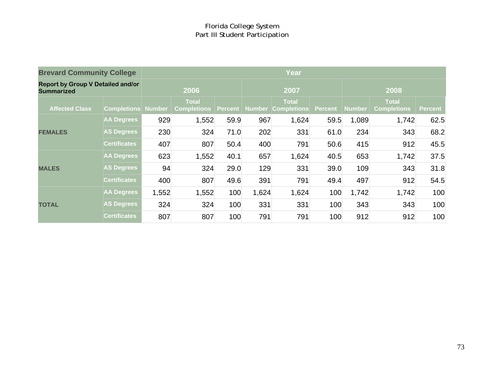## Florida College System Part III Student Participation

| <b>Brevard Community College</b>                              |                           |       |                                    |      |       | Year                                                    |                |               |                                    |                |
|---------------------------------------------------------------|---------------------------|-------|------------------------------------|------|-------|---------------------------------------------------------|----------------|---------------|------------------------------------|----------------|
| <b>Report by Group V Detailed and/or</b><br><b>Summarized</b> |                           |       | 2006                               |      |       | 2007                                                    |                |               | 2008                               |                |
| <b>Affected Class</b>                                         | <b>Completions Number</b> |       | <b>Total</b><br><b>Completions</b> |      |       | <b>Total</b><br><b>Percent   Number   Completions  </b> | <b>Percent</b> | <b>Number</b> | <b>Total</b><br><b>Completions</b> | <b>Percent</b> |
|                                                               | <b>AA Degrees</b>         | 929   | 1,552                              | 59.9 | 967   | 1,624                                                   | 59.5           | 1,089         | 1,742                              | 62.5           |
| <b>FEMALES</b>                                                | <b>AS Degrees</b>         | 230   | 324                                | 71.0 | 202   | 331                                                     | 61.0           | 234           | 343                                | 68.2           |
|                                                               | <b>Certificates</b>       | 407   | 807                                | 50.4 | 400   | 791                                                     | 50.6           | 415           | 912                                | 45.5           |
|                                                               | <b>AA Degrees</b>         | 623   | 1,552                              | 40.1 | 657   | 1,624                                                   | 40.5           | 653           | 1,742                              | 37.5           |
| <b>MALES</b>                                                  | <b>AS Degrees</b>         | 94    | 324                                | 29.0 | 129   | 331                                                     | 39.0           | 109           | 343                                | 31.8           |
|                                                               | <b>Certificates</b>       | 400   | 807                                | 49.6 | 391   | 791                                                     | 49.4           | 497           | 912                                | 54.5           |
|                                                               | <b>AA Degrees</b>         | 1,552 | 1,552                              | 100  | 1,624 | 1,624                                                   | 100            | 1,742         | 1,742                              | 100            |
| <b>TOTAL</b>                                                  | <b>AS Degrees</b>         | 324   | 324                                | 100  | 331   | 331                                                     | 100            | 343           | 343                                | 100            |
|                                                               | <b>Certificates</b>       | 807   | 807                                | 100  | 791   | 791                                                     | 100            | 912           | 912                                | 100            |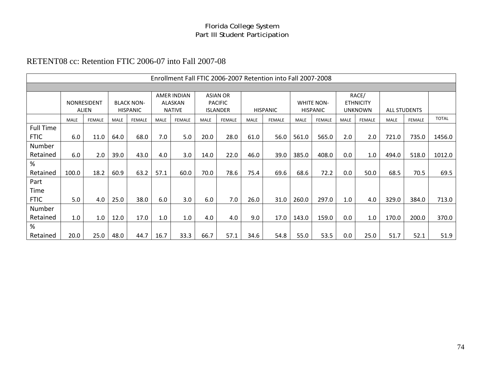#### Florida College System Part III Student Participation

## RETENT08 cc: Retention FTIC 2006-07 into Fall 2007-08

|                  |             |               |             |                   |             |                    |      |                 |      | Enrollment Fall FTIC 2006-2007 Retention into Fall 2007-2008 |             |                   |             |                  |             |                     |              |
|------------------|-------------|---------------|-------------|-------------------|-------------|--------------------|------|-----------------|------|--------------------------------------------------------------|-------------|-------------------|-------------|------------------|-------------|---------------------|--------------|
|                  |             |               |             |                   |             |                    |      |                 |      |                                                              |             |                   |             |                  |             |                     |              |
|                  |             |               |             |                   |             | <b>AMER INDIAN</b> |      | <b>ASIAN OR</b> |      |                                                              |             |                   |             | RACE/            |             |                     |              |
|                  |             | NONRESIDENT   |             | <b>BLACK NON-</b> |             | ALASKAN            |      | <b>PACIFIC</b>  |      |                                                              |             | <b>WHITE NON-</b> |             | <b>ETHNICITY</b> |             |                     |              |
|                  |             | ALIEN         |             | <b>HISPANIC</b>   |             | <b>NATIVE</b>      |      | <b>ISLANDER</b> |      | <b>HISPANIC</b>                                              |             | <b>HISPANIC</b>   |             | <b>UNKNOWN</b>   |             | <b>ALL STUDENTS</b> |              |
|                  | <b>MALE</b> | <b>FEMALE</b> | <b>MALE</b> | <b>FEMALE</b>     | <b>MALE</b> | <b>FEMALE</b>      | MALE | <b>FEMALE</b>   | MALE | <b>FEMALE</b>                                                | <b>MALE</b> | <b>FEMALE</b>     | <b>MALE</b> | <b>FEMALE</b>    | <b>MALE</b> | <b>FEMALE</b>       | <b>TOTAL</b> |
| <b>Full Time</b> |             |               |             |                   |             |                    |      |                 |      |                                                              |             |                   |             |                  |             |                     |              |
| <b>FTIC</b>      | 6.0         | 11.0          | 64.0        | 68.0              | 7.0         | 5.0                | 20.0 | 28.0            | 61.0 | 56.0                                                         | 561.0       | 565.0             | 2.0         | 2.0              | 721.0       | 735.0               | 1456.0       |
| Number           |             |               |             |                   |             |                    |      |                 |      |                                                              |             |                   |             |                  |             |                     |              |
| Retained         | 6.0         | 2.0           | 39.0        | 43.0              | 4.0         | 3.0                | 14.0 | 22.0            | 46.0 | 39.0                                                         | 385.0       | 408.0             | 0.0         | 1.0              | 494.0       | 518.0               | 1012.0       |
| %                |             |               |             |                   |             |                    |      |                 |      |                                                              |             |                   |             |                  |             |                     |              |
| Retained         | 100.0       | 18.2          | 60.9        | 63.2              | 57.1        | 60.0               | 70.0 | 78.6            | 75.4 | 69.6                                                         | 68.6        | 72.2              | 0.0         | 50.0             | 68.5        | 70.5                | 69.5         |
| Part             |             |               |             |                   |             |                    |      |                 |      |                                                              |             |                   |             |                  |             |                     |              |
| Time             |             |               |             |                   |             |                    |      |                 |      |                                                              |             |                   |             |                  |             |                     |              |
| <b>FTIC</b>      | 5.0         | 4.0           | 25.0        | 38.0              | 6.0         | 3.0                | 6.0  | 7.0             | 26.0 | 31.0                                                         | 260.0       | 297.0             | 1.0         | 4.0              | 329.0       | 384.0               | 713.0        |
| Number           |             |               |             |                   |             |                    |      |                 |      |                                                              |             |                   |             |                  |             |                     |              |
| Retained         | 1.0         | 1.0           | 12.0        | 17.0              | 1.0         | 1.0                | 4.0  | 4.0             | 9.0  | 17.0                                                         | 143.0       | 159.0             | 0.0         | 1.0              | 170.0       | 200.0               | 370.0        |
| %                |             |               |             |                   |             |                    |      |                 |      |                                                              |             |                   |             |                  |             |                     |              |
| Retained         | 20.0        | 25.0          | 48.0        | 44.7              | 16.7        | 33.3               | 66.7 | 57.1            | 34.6 | 54.8                                                         | 55.0        | 53.5              | 0.0         | 25.0             | 51.7        | 52.1                | 51.9         |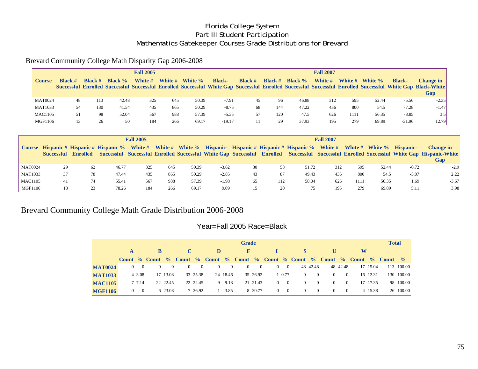## Florida College System Part III Student Participation Mathematics Gatekeeper Courses Grade Distributions for Brevard

#### Brevard Community College Math Disparity Gap 2006-2008

|                |                |                |            | <b>Fall 2005</b> |         |         |               |                  |                  |                   | <b>Fall 2007</b> |         |         |               |                                                                                                                                                                                 |
|----------------|----------------|----------------|------------|------------------|---------|---------|---------------|------------------|------------------|-------------------|------------------|---------|---------|---------------|---------------------------------------------------------------------------------------------------------------------------------------------------------------------------------|
| Course         | <b>Black #</b> | <b>Black #</b> | Black $\%$ | White #          | White # | White % | <b>Black-</b> | <b>Black</b> $#$ | <b>Black</b> $#$ | <b>Black</b> $\%$ | White #          | White # | White % | <b>Black-</b> | <b>Change in</b><br>Successful Enrolled Successful Successful Enrolled Successful White Gap Successful Enrolled Successful Successful Enrolled Successful White Gap Black-White |
|                |                |                |            |                  |         |         |               |                  |                  |                   |                  |         |         |               | Gap                                                                                                                                                                             |
| <b>MAT0024</b> | 48             | 113            | 42.48      | 325              | 645     | 50.39   | $-7.91$       | 45               | 96               | 46.88             | 312              | 595     | 52.44   | $-5.56$       | $-2.35$                                                                                                                                                                         |
| <b>MAT1033</b> | 54             | 130            | 41.54      | 435              | 865     | 50.29   | $-8.75$       | 68               | 144              | 47.22             | 436              | 800     | 54.5    | $-7.28$       | $-1.47$                                                                                                                                                                         |
| <b>MAC1105</b> | 51             | 98             | 52.04      | 567              | 988     | 57.39   | $-5.35$       | 57               | 120              | 47.5              | 626              | 1111    | 56.35   | $-8.85$       | 3.5                                                                                                                                                                             |
| MGF1106        |                | 26             | 50         | 184              | 266     | 69.17   | $-19.17$      |                  | 29               | 37.93             | 195              | 279     | 69.89   | $-31.96$      | 12.79                                                                                                                                                                           |

|                |    |                     |       | <b>Fall 2005</b> |     |       |         |    |     |                                                                                                                                    | <b>Fall 2007</b> |      |       |           |                                                                                                                                                            |
|----------------|----|---------------------|-------|------------------|-----|-------|---------|----|-----|------------------------------------------------------------------------------------------------------------------------------------|------------------|------|-------|-----------|------------------------------------------------------------------------------------------------------------------------------------------------------------|
|                |    | Successful Enrolled |       |                  |     |       |         |    |     | Course Hispanic # Hispanic # Hispanic % White # White # White % Hispanic- Hispanic # Hispanic # Hispanic % White # White # White % |                  |      |       | Hispanic- | Change in<br>Successful Successful Enrolled Successful White Gap Successful Enrolled Successful Enrolled Successful White Gap Hispanic-White<br><b>Gap</b> |
| <b>MAT0024</b> | 29 | 62                  | 46.77 | 325              | 645 | 50.39 | $-3.62$ | 30 | 58  | 51.72                                                                                                                              | 312              | 595  | 52.44 | $-0.72$   | $-2.9$                                                                                                                                                     |
| <b>MAT1033</b> | 37 | 78                  | 47.44 | 435              | 865 | 50.29 | $-2.85$ | 43 | 87  | 49.43                                                                                                                              | 436              | 800  | 54.5  | $-5.07$   | 2.22                                                                                                                                                       |
| <b>MAC1105</b> | 41 | 74                  | 55.41 | 567              | 988 | 57.39 | $-1.98$ | 65 | 112 | 58.04                                                                                                                              | 626              | 1111 | 56.35 | 1.69      | $-3.67$                                                                                                                                                    |
| MGF1106        | 18 | 23                  | 78.26 | 184              | 266 | 69.17 | 9.09    | 15 | 20  |                                                                                                                                    | 195              | 279  | 69.89 | 5.11      | 3.98                                                                                                                                                       |

## Brevard Community College Math Grade Distribution 2006-2008

#### Year=Fall 2005 Race=Black

|                |   |             |          |          |          |          |          |                | <b>Grade</b> |                |             |          |          |                                                                                 |                |   |          | <b>Total</b> |            |
|----------------|---|-------------|----------|----------|----------|----------|----------|----------------|--------------|----------------|-------------|----------|----------|---------------------------------------------------------------------------------|----------------|---|----------|--------------|------------|
|                | A |             | B.       |          | C        |          | D        |                | F            |                |             |          |          |                                                                                 |                | W |          |              |            |
|                |   |             |          |          |          |          |          |                |              |                |             |          |          | Count % Count % Count % Count % Count % Count % Count % Count % Count % Count % |                |   |          |              |            |
| <b>MAT0024</b> |   | $0 \quad 0$ | $\Omega$ | $\Omega$ | $\Omega$ | $\theta$ | $\Omega$ | $\overline{0}$ | $\theta$     | $\overline{0}$ | $0 \quad 0$ |          | 48 42.48 |                                                                                 | 48 42.48       |   | 17 15.04 |              | 113 100.00 |
| <b>MAT1033</b> |   | 4 3.08      |          | 17 13.08 |          | 33 25.38 |          | 24 18.46       |              | 35 26.92       | 1 0.77      | $\Omega$ | $\Omega$ | $\Omega$                                                                        | $\theta$       |   | 16 12.31 |              | 130 100.00 |
| <b>MAC1105</b> |   | 7 7.14      |          | 22 22.45 |          | 22 22.45 |          | 9 9.18         |              | 21 21.43       | $0 \quad 0$ | $\Omega$ | $\Omega$ | $\Omega$                                                                        | $\theta$       |   | 17 17.35 |              | 98 100.00  |
| <b>MGF1106</b> |   | $0 \quad 0$ |          | 6 23.08  |          | 7 26.92  |          | 1 3.85         |              | 8 30.77        | $0 \quad 0$ | $\Omega$ | $\Omega$ | $\Omega$                                                                        | $\overline{0}$ |   | 4 15.38  |              | 26 100.00  |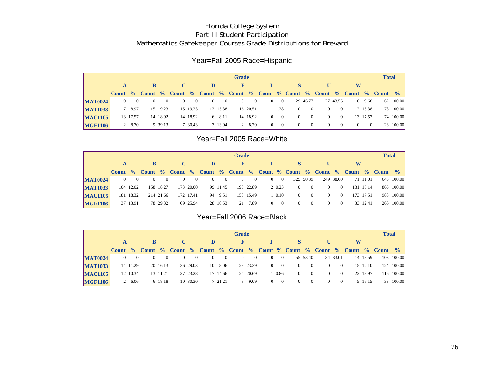## Florida College System Part III Student Participation Mathematics Gatekeeper Courses Grade Distributions for Brevard

#### Year=Fall 2005 Race=Hispanic

|                |              |                |                |                |          |                |          | <b>Grade</b> |          |             |                                                                               |                |                |                |          |                | <b>Total</b> |                |
|----------------|--------------|----------------|----------------|----------------|----------|----------------|----------|--------------|----------|-------------|-------------------------------------------------------------------------------|----------------|----------------|----------------|----------|----------------|--------------|----------------|
|                |              | B              |                |                |          | D              |          | F            |          |             |                                                                               |                |                |                | W        |                |              |                |
|                |              |                |                |                |          |                |          |              |          |             | Count % Count % Count % Count % Count % Count % Count % Count % Count % Count |                |                |                |          |                |              | $\frac{6}{10}$ |
| <b>MAT0024</b> | $0 \qquad 0$ | $\overline{0}$ | $\overline{0}$ | $\overline{0}$ | $\sim 0$ | $\overline{0}$ | $\sim 0$ | $\sim$ 0     | $\sim 0$ | $0\qquad 0$ |                                                                               | 29 46.77       |                | 27 43.55       |          | 6 9.68         |              | 62 100.00      |
| <b>MAT1033</b> | 7 8.97       |                | 15 19.23       |                | 15 19.23 |                | 12 15.38 |              | 16 20.51 | 1 1.28      | $\overline{0}$                                                                | $\sim 0$       | $\Omega$       | $\overline{0}$ |          | 12 15.38       |              | 78 100.00      |
| <b>MAC1105</b> | 13 17.57     |                | 14 18.92       |                | 14 18.92 |                | 6 8.11   |              | 14 18.92 | $0 \quad 0$ | $\overline{0}$                                                                | $\overline{0}$ | $\overline{0}$ | $\overline{0}$ |          | 13 17.57       |              | 74 100.00      |
| <b>MGF1106</b> | 2 8.70       |                | 9 39.13        |                | 7 30.43  |                | 3 13.04  |              | 2 8.70   | $0 \quad 0$ | $\theta$                                                                      | $\overline{0}$ | $\overline{0}$ | $\overline{0}$ | $\theta$ | $\overline{0}$ |              | 23 100.00      |

#### Year=Fall 2005 Race=White

|                |          |           |              |           |          |           |          |                | <b>Grade</b>                                                                  |           |             |                |                |          |                |   |           | <b>Total</b> |                |
|----------------|----------|-----------|--------------|-----------|----------|-----------|----------|----------------|-------------------------------------------------------------------------------|-----------|-------------|----------------|----------------|----------|----------------|---|-----------|--------------|----------------|
|                |          |           | <sup>B</sup> |           | C        |           | D        |                | $\mathbf{F}$                                                                  |           |             | <b>S</b>       |                | U        |                | W |           |              |                |
|                |          |           |              |           |          |           |          |                | Count % Count % Count % Count % Count % Count % Count % Count % Count % Count |           |             |                |                |          |                |   |           |              | $\frac{6}{10}$ |
| <b>MAT0024</b> | $\theta$ | $\sim 0$  | $\theta$     | $\theta$  | $\theta$ | $\sim 0$  | $\theta$ | $\overline{0}$ | $\theta$                                                                      | $\bf{0}$  | $0 \quad 0$ |                | 325 50.39      |          | 249 38.60      |   | 71 11.01  |              | 645 100.00     |
| <b>MAT1033</b> |          | 104 12.02 |              | 158 18.27 |          | 173 20.00 |          | 99 11.45       |                                                                               | 198 22.89 | 2 0.23      | $\overline{0}$ | $\Omega$       | $\Omega$ | $\overline{0}$ |   | 131 15.14 |              | 865 100.00     |
| <b>MAC1105</b> |          | 181 18.32 |              | 214 21.66 |          | 172 17.41 |          | 94 9.51        |                                                                               | 153 15.49 | 1 0.10      | $\Omega$       | $\Omega$       | $\Omega$ | $\overline{0}$ |   | 173 17.51 |              | 988 100.00     |
| <b>MGF1106</b> |          | 37 13.91  |              | 78 29.32  |          | 69 25.94  |          | 28 10.53       |                                                                               | 21 7.89   | $0 \quad 0$ | $\overline{0}$ | $\overline{0}$ | $\theta$ | $\overline{0}$ |   | 33 12.41  |              | 266 100.00     |

#### Year=Fall 2006 Race=Black

|                |          |          |          |          |          |          |          | <b>Grade</b> |          |          |                   |          |          |          |                |                                                                               |          | <b>Total</b> |                |
|----------------|----------|----------|----------|----------|----------|----------|----------|--------------|----------|----------|-------------------|----------|----------|----------|----------------|-------------------------------------------------------------------------------|----------|--------------|----------------|
|                |          | B.       |          |          |          | D        |          | F            |          |          |                   |          |          |          |                | W                                                                             |          |              |                |
|                |          |          |          |          |          |          |          |              |          |          |                   |          |          |          |                | Count % Count % Count % Count % Count % Count % Count % Count % Count % Count |          |              | $\frac{6}{10}$ |
| <b>MAT0024</b> | - 0      | $\theta$ | $\theta$ | $\theta$ | $\bf{0}$ | $\theta$ | $\theta$ | $\theta$     | -0       | $\theta$ | $\sim 0$          |          | 55 53.40 |          | 34 33.01       |                                                                               | 14 13.59 |              | 103 100.00     |
| <b>MAT1033</b> | 14 11.29 |          | 20 16.13 |          | 36 29.03 |          | 10 8.06  |              | 29 23.39 | $\Omega$ | $\hspace{1.6cm}0$ | 0        |          | $^{(1)}$ | $\Omega$       |                                                                               | 15 12.10 |              | 124 100.00     |
| <b>MAC1105</b> | 12 10.34 |          | 13 11.21 |          | 27 23.28 |          | 17 14.66 |              | 24 20.69 |          | 1 0.86            | 0        |          | $\Omega$ | $\overline{0}$ |                                                                               | 22 18.97 |              | 116 100.00     |
| <b>MGF1106</b> | 2 6.06   |          | 6 18.18  |          | 10 30.30 |          | 7 21.21  | 3            | 9.09     | $\Omega$ | $\hspace{0.6cm}0$ | $^{(1)}$ | $\Omega$ | $^{(1)}$ | $\theta$       |                                                                               | 5 15.15  |              | 33 100.00      |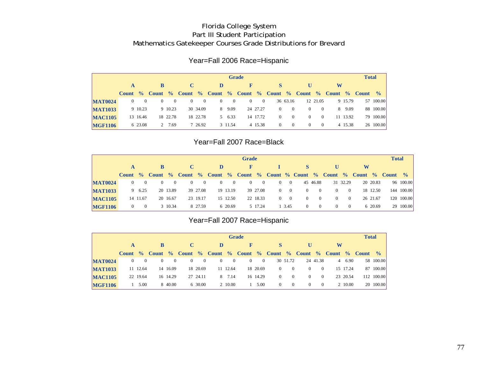## Florida College System Part III Student Participation Mathematics Gatekeeper Courses Grade Distributions for Brevard

#### Year=Fall 2006 Race=Hispanic

|                |              |          |          |          |   |          |          |                | <b>Grade</b> |          |          |          |          |                |   |          | <b>Total</b>                                                    |               |
|----------------|--------------|----------|----------|----------|---|----------|----------|----------------|--------------|----------|----------|----------|----------|----------------|---|----------|-----------------------------------------------------------------|---------------|
|                | A            |          | B        |          |   |          | D        |                |              |          |          |          | U        |                | W |          |                                                                 |               |
|                | <b>Count</b> |          |          |          |   |          |          |                |              |          |          |          |          |                |   |          | % Count % Count % Count % Count % Count % Count % Count % Count | $\frac{0}{0}$ |
| <b>MAT0024</b> | $\theta$     | $\Omega$ | $\Omega$ | $\Omega$ | 0 | $\theta$ | $\theta$ | $\overline{0}$ | $\theta$     | $\bf{0}$ |          | 36 63.16 |          | 12 21.05       |   | 9 15.79  |                                                                 | 57 100.00     |
| <b>MAT1033</b> |              | 9 10.23  |          | 9 10.23  |   | 30 34.09 |          | 8 9.09         |              | 24 27.27 | $\Omega$ | $\Omega$ | $\Omega$ | $\Omega$       |   | 8 9.09   |                                                                 | 88 100.00     |
| <b>MAC1105</b> |              | 13 16.46 |          | 18 22.78 |   | 18 22.78 |          | 5 6.33         |              | 14 17.72 | $\Omega$ | $\Omega$ | $\Omega$ | $\overline{0}$ |   | 11 13.92 |                                                                 | 79 100.00     |
| <b>MGF1106</b> |              | 6 23.08  |          | 7.69     |   | 7 26.92  |          | 3 11.54        |              | 4 15.38  | $\Omega$ | $\Omega$ | $\Omega$ | $\theta$       |   | 4 15.38  |                                                                 | 26 100.00     |

## Year=Fall 2007 Race=Black

|                |          |                |          |          |          |          |          |          | <b>Grade</b>                                                                  |          |          |             |          |          |          |                |   |          | <b>Total</b> |               |
|----------------|----------|----------------|----------|----------|----------|----------|----------|----------|-------------------------------------------------------------------------------|----------|----------|-------------|----------|----------|----------|----------------|---|----------|--------------|---------------|
|                | A        |                | B        |          | C        |          | D        |          |                                                                               |          |          |             |          |          |          |                | W |          |              |               |
|                |          |                |          |          |          |          |          |          | Count % Count % Count % Count % Count % Count % Count % Count % Count % Count |          |          |             |          |          |          |                |   |          |              | $\frac{0}{0}$ |
| <b>MAT0024</b> | $\Omega$ | $\theta$       | $\theta$ | 0        | $^{(1)}$ | $\bf{0}$ | $\Omega$ | $\theta$ | $\theta$                                                                      | 0        | $^{(1)}$ | $\sim 0$    |          | 45 46.88 |          | 31 32.29       |   | 20 20.83 |              | 96 100.00     |
| <b>MAT1033</b> |          | 9 6.25         |          | 20 13.89 |          | 39 27.08 |          | 19 13.19 |                                                                               | 39 27.08 |          | $0 \quad 0$ | $\Omega$ | $\Omega$ | $\Omega$ | $\overline{0}$ |   | 18 12.50 |              | 144 100.00    |
| <b>MAC1105</b> |          | 14 11.67       |          | 20 16.67 |          | 23 19.17 |          | 15 12.50 |                                                                               | 22 18.33 | $^{(1)}$ | $\sim$ 0    | $\Omega$ | $\theta$ | $\theta$ | $\overline{0}$ |   | 26 21.67 |              | 120 100.00    |
| <b>MGF1106</b> | $\Omega$ | $\overline{0}$ |          | 3 10.34  |          | 8 27.59  |          | 6 20.69  |                                                                               | 5 17.24  |          | 1 3.45      | $\Omega$ | $\theta$ | $\theta$ | $\overline{0}$ |   | 6 20.69  |              | 29 100.00     |

## Year=Fall 2007 Race=Hispanic

|                |              |                |          |          |                |              |                |                | <b>Grade</b>                                                          |              |          |          |          |                |   |          | <b>Total</b> |                |
|----------------|--------------|----------------|----------|----------|----------------|--------------|----------------|----------------|-----------------------------------------------------------------------|--------------|----------|----------|----------|----------------|---|----------|--------------|----------------|
|                | $\mathbf{A}$ |                |          |          | $\mathbf C$    |              | D              |                |                                                                       |              |          |          |          |                | W |          |              |                |
|                |              |                |          |          |                |              |                |                | Count % Count % Count % Count % Count % Count % Count % Count % Count |              |          |          |          |                |   |          |              | $\frac{6}{10}$ |
| <b>MAT0024</b> | $\Omega$     | $\overline{0}$ | $\Omega$ | $\theta$ | $\overline{0}$ | $\mathbf{0}$ | $\overline{0}$ | $\overline{0}$ | $\overline{0}$                                                        | $\mathbf{0}$ |          | 30 51.72 |          | 24 41.38       |   | 4 6.90   |              | 58 100.00      |
| <b>MAT1033</b> |              | 11 12.64       |          | 14 16.09 |                | 18 20.69     |                | 11 12.64       |                                                                       | 18 20.69     | $\Omega$ | $\Omega$ | $\Omega$ | $\overline{0}$ |   | 15 17.24 |              | 87 100.00      |
| <b>MAC1105</b> |              | 22 19.64       |          | 16 14.29 |                | 27 24.11     |                | 8 7.14         |                                                                       | 16 14.29     | $\Omega$ | $\Omega$ | $\Omega$ | $\overline{0}$ |   | 23 20.54 |              | 112 100.00     |
| <b>MGF1106</b> |              | 5.00           |          | 8 40.00  |                | 6 30.00      |                | 2 10.00        |                                                                       | 5.00         | $\Omega$ | $\Omega$ | $\Omega$ | $\overline{0}$ |   | 2 10.00  |              | 20 100.00      |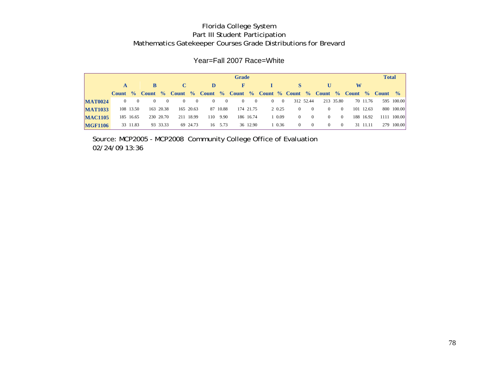#### Florida College System Part III Student Participation Mathematics Gatekeeper Courses Grade Distributions for Brevard

### Year=Fall 2007 Race=White

|                |                |              |          |           |                |           |                |              | <b>Grade</b>   |           |             |                                                                                         |           |          |                |   |           | <b>Total</b> |             |
|----------------|----------------|--------------|----------|-----------|----------------|-----------|----------------|--------------|----------------|-----------|-------------|-----------------------------------------------------------------------------------------|-----------|----------|----------------|---|-----------|--------------|-------------|
|                |                |              |          |           |                |           | D              |              | $\mathbf{F}$   |           |             | <b>S</b>                                                                                |           | U        |                | W |           |              |             |
|                |                |              |          |           |                |           |                |              |                |           |             | Count % Count % Count % Count % Count % Count % Count % Count % Count % Count % Count % |           |          |                |   |           |              |             |
| <b>MAT0024</b> | $\overline{0}$ | $\mathbf{0}$ | $\Omega$ | $\Omega$  | $\overline{0}$ | $\sim 0$  | $\overline{0}$ | $\mathbf{0}$ | $\overline{0}$ | $\sim 0$  | $0\qquad 0$ |                                                                                         | 312 52.44 |          | 213 35.80      |   | 70 11.76  |              | 595 100.00  |
| <b>MAT1033</b> |                | 108 13.50    |          | 163 20.38 |                | 165 20.63 |                | 87 10.88     |                | 174 21.75 | 2 0.25      | $\overline{0}$                                                                          |           | $\Omega$ | $\mathbf{0}$   |   | 101 12.63 |              | 800 100.00  |
| <b>MAC1105</b> |                | 185 16.65    |          | 230 20.70 |                | 211 18.99 | 110            | 9.90         |                | 186 16.74 | 1 0.09      | $\Omega$                                                                                |           | $\Omega$ | $\overline{0}$ |   | 188 16.92 |              | 1111 100.00 |
| <b>MGF1106</b> |                | 33 11.83     |          | 93 33.33  |                | 69 24.73  |                | 16 5.73      |                | 36 12.90  | 1 0.36      | $\theta$                                                                                |           | $\Omega$ | $\theta$       |   | 31 11.11  |              | 279 100.00  |

Source: MCP2005 - MCP2008 Community College Office of Evaluation 02/24/09 13:36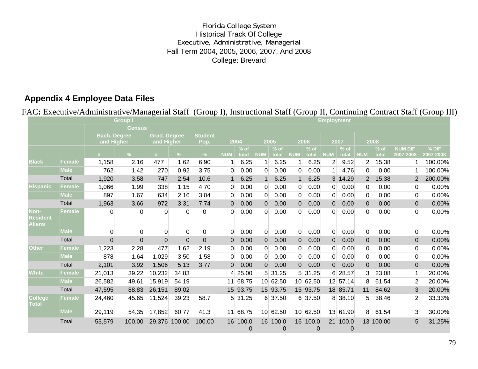## Florida College System Historical Track Of College Executive, Administrative, Managerial Fall Term 2004, 2005, 2006, 2007, And 2008 College: Brevard

# **Appendix 4 Employee Data Files**

FAC**:** Executive/Administrative/Managerial Staff (Group I), Instructional Staff (Group II, Continuing Contract Staff (Group III)

|                                   | <b>Employment</b> |                     |                |                     |                |                |                |                 |                |                          |                |                            |                |                 |                |                 |                             |                      |
|-----------------------------------|-------------------|---------------------|----------------|---------------------|----------------|----------------|----------------|-----------------|----------------|--------------------------|----------------|----------------------------|----------------|-----------------|----------------|-----------------|-----------------------------|----------------------|
|                                   |                   |                     | <b>Census</b>  |                     |                |                |                |                 |                |                          |                |                            |                |                 |                |                 |                             |                      |
|                                   |                   | <b>Bach, Degree</b> |                | <b>Grad. Degree</b> |                | <b>Student</b> |                |                 |                |                          |                |                            |                |                 |                |                 |                             |                      |
|                                   |                   | and Higher          |                | and Higher          |                | Pop.           | 2004           |                 | 2005           |                          | 2006           |                            | 2007           |                 | 2008           |                 |                             |                      |
|                                   |                   | #                   | $\frac{9}{6}$  | #                   | %              | $\frac{9}{6}$  | <b>NUM</b>     | $%$ of<br>total | <b>NUM</b>     | $%$ of<br>total          | <b>NUM</b>     | $%$ of<br>total            | <b>NUM</b>     | $%$ of<br>total | <b>NUM</b>     | $%$ of<br>total | <b>NUM DIF</b><br>2007-2008 | $%$ DIF<br>2007-2008 |
| <b>Black</b>                      | <b>Female</b>     | 1,158               | 2.16           | 477                 | 1.62           | 6.90           | $\mathbf{1}$   | 6.25            | $\mathbf 1$    | 6.25                     | $\mathbf{1}$   | 6.25                       | $\overline{2}$ | 9.52            | $\overline{2}$ | 15.38           |                             | 100.00%              |
|                                   | <b>Male</b>       | 762                 | 1.42           | 270                 | 0.92           | 3.75           | $\Omega$       | 0.00            | $\Omega$       | 0.00                     | $\overline{0}$ | 0.00                       | $\mathbf{1}$   | 4.76            | $\Omega$       | 0.00            | -1                          | 100.00%              |
|                                   | Total             | 1,920               | 3.58           | 747                 | 2.54           | 10.6           | $\mathbf 1$    | 6.25            | $\mathbf 1$    | 6.25                     | $\mathbf 1$    | 6.25                       |                | 3 14.29         | $\overline{2}$ | 15.38           | 2                           | 200.00%              |
| <b>Hispanic</b>                   | Female            | 1,066               | 1.99           | 338                 | 1.15           | 4.70           | 0              | 0.00            | $\Omega$       | 0.00                     | $\Omega$       | 0.00                       | $\Omega$       | 0.00            | 0              | 0.00            | 0                           | 0.00%                |
|                                   | <b>Male</b>       | 897                 | 1.67           | 634                 | 2.16           | 3.04           | 0              | 0.00            | 0              | 0.00                     | 0              | 0.00                       | 0              | 0.00            | 0              | 0.00            | $\Omega$                    | 0.00%                |
|                                   | Total             | 1,963               | 3.66           | 972                 | 3.31           | 7.74           | $\overline{0}$ | 0.00            | $\Omega$       | 0.00                     | $\overline{0}$ | 0.00                       | $\Omega$       | 0.00            | 0              | 0.00            | $\overline{0}$              | 0.00%                |
| Non-<br>Resident<br><b>Aliens</b> | <b>Female</b>     | $\Omega$            | 0              | $\mathbf 0$         | $\Omega$       | 0              | 0              | 0.00            | 0              | 0.00                     | 0              | 0.00                       | 0              | 0.00            | $\Omega$       | 0.00            | $\Omega$                    | 0.00%                |
|                                   | <b>Male</b>       | $\mathbf 0$         | $\mathbf 0$    | $\mathbf 0$         | $\mathbf 0$    | $\mathbf 0$    | 0              | 0.00            | $\overline{0}$ | 0.00                     | 0              | 0.00                       | 0              | 0.00            | 0              | 0.00            | $\Omega$                    | 0.00%                |
|                                   | Total             | $\overline{0}$      | $\overline{0}$ | $\mathbf 0$         | $\overline{0}$ | $\mathbf{0}$   | 0              | 0.00            | $\Omega$       | 0.00                     | $\Omega$       | 0.00                       | $\overline{0}$ | 0.00            | 0              | 0.00            | $\overline{0}$              | 0.00%                |
| <b>Other</b>                      | <b>Female</b>     | 1,223               | 2.28           | 477                 | 1.62           | 2.19           | 0              | 0.00            | $\overline{0}$ | 0.00                     | $\overline{0}$ | 0.00                       | 0              | 0.00            | 0              | 0.00            | $\mathbf 0$                 | 0.00%                |
|                                   | <b>Male</b>       | 878                 | 1.64           | 1,029               | 3.50           | 1.58           | $\Omega$       | 0.00            | $\overline{0}$ | 0.00                     | $\overline{0}$ | 0.00                       | $\overline{0}$ | 0.00            | 0              | 0.00            | 0                           | 0.00%                |
|                                   | Total             | 2,101               | 3.92           | 1,506               | 5.13           | 3.77           | $\mathbf 0$    | 0.00            | $\overline{0}$ | 0.00                     | $\overline{0}$ | 0.00                       | $\overline{0}$ | 0.00            | 0              | 0.00            | $\overline{0}$              | 0.00%                |
| <b>White</b>                      | Female            | 21,013              | 39.22          | 10,232              | 34.83          |                |                | 4 25.00         |                | 5 31.25                  |                | 5 31.25                    |                | 6 28.57         | 3              | 23.08           | 1                           | 20.00%               |
|                                   | <b>Male</b>       | 26,582              | 49.61          | 15,919              | 54.19          |                |                | 11 68.75        |                | 10 62.50                 |                | 10 62.50                   |                | 12 57.14        | 8              | 61.54           | $\overline{2}$              | 20.00%               |
|                                   | Total             | 47,595              | 88.83          | 26,151              | 89.02          |                |                | 15 93.75        |                | 15 93.75                 |                | 15 93.75                   |                | 18 85.71        | 11             | 84.62           | 3                           | 20.00%               |
| <b>College</b><br>Total           | Female            | 24,460              | 45.65          | 11,524              | 39.23          | 58.7           |                | 5 31.25         |                | 6 37.50                  |                | 6 37.50                    |                | 8 38.10         | 5              | 38.46           | $\overline{2}$              | 33.33%               |
|                                   | <b>Male</b>       | 29,119              | 54.35          | 17,852              | 60.77          | 41.3           |                | 11 68.75        |                | 10 62.50                 |                | 10 62.50                   |                | 13 61.90        | 8              | 61.54           | $\overline{3}$              | 30.00%               |
|                                   | Total             | 53,579              | 100.00         |                     | 29,376 100.00  | 100.00         |                | 16 100.0<br>0   |                | 16 100.0<br>$\mathbf{0}$ |                | 16 100.0<br>$\overline{0}$ |                | 21 100.0<br>0   |                | 13 100.00       | 5                           | 31.25%               |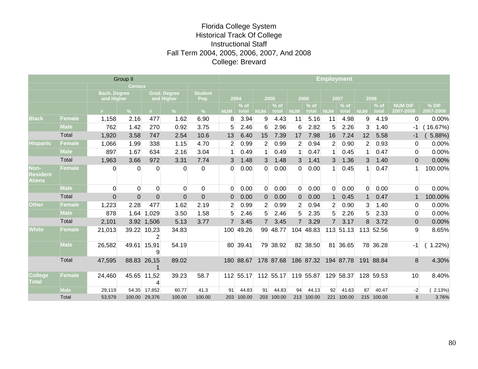## Florida College System Historical Track Of College Instructional Staff Fall Term 2004, 2005, 2006, 2007, And 2008 College: Brevard

| Group II                          |               |                                   |                |                                   |               |                        |                |                 | <b>Employment</b> |                 |                |                 |                |                 |                 |                 |                             |                      |  |  |
|-----------------------------------|---------------|-----------------------------------|----------------|-----------------------------------|---------------|------------------------|----------------|-----------------|-------------------|-----------------|----------------|-----------------|----------------|-----------------|-----------------|-----------------|-----------------------------|----------------------|--|--|
|                                   | <b>Census</b> |                                   |                |                                   |               |                        |                |                 |                   |                 |                |                 |                |                 |                 |                 |                             |                      |  |  |
|                                   |               | <b>Bach. Degree</b><br>and Higher |                | <b>Grad. Degree</b><br>and Higher |               | <b>Student</b><br>Pop. | 2004           |                 | 2005              |                 | 2006           |                 | 2007           |                 | 2008            |                 |                             |                      |  |  |
|                                   |               | #                                 | $\%$           | #                                 | $\frac{9}{6}$ | $\%$                   | <b>NUM</b>     | $%$ of<br>total | <b>NUM</b>        | $%$ of<br>total | <b>NUM</b>     | $%$ of<br>total | <b>NUM</b>     | $%$ of<br>total | <b>NUM</b>      | $%$ of<br>total | <b>NUM DIF</b><br>2007-2008 | $%$ DIF<br>2007-2008 |  |  |
| <b>Black</b>                      | <b>Female</b> | 1,158                             | 2.16           | 477                               | 1.62          | 6.90                   | 8              | 3.94            | 9                 | 4.43            | 11             | 5.16            | 11             | 4.98            | 9               | 4.19            | $\mathbf 0$                 | 0.00%                |  |  |
|                                   | <b>Male</b>   | 762                               | 1.42           | 270                               | 0.92          | 3.75                   | 5              | 2.46            | 6                 | 2.96            | 6              | 2.82            | 5              | 2.26            | 3               | 1.40            | -1                          | 16.67%)              |  |  |
|                                   | Total         | 1,920                             | 3.58           | 747                               | 2.54          | 10.6                   | 13             | 6.40            | 15                | 7.39            | 17             | 7.98            | 16             | 7.24            | 12 <sup>2</sup> | 5.58            | -1                          | 5.88%)               |  |  |
| <b>Hispanic</b>                   | <b>Female</b> | 1,066                             | 1.99           | 338                               | 1.15          | 4.70                   | $\overline{2}$ | 0.99            | $\overline{2}$    | 0.99            | $\overline{2}$ | 0.94            | $\overline{2}$ | 0.90            | $\overline{2}$  | 0.93            | 0                           | 0.00%                |  |  |
|                                   | <b>Male</b>   | 897                               | 1.67           | 634                               | 2.16          | 3.04                   | 1 <sup>1</sup> | 0.49            | 1 <sup>1</sup>    | 0.49            | 1 <sup>1</sup> | 0.47            | 1 <sup>1</sup> | 0.45            | 1               | 0.47            | 0                           | 0.00%                |  |  |
|                                   | Total         | 1,963                             | 3.66           | 972                               | 3.31          | 7.74                   | 3              | 1.48            | 3                 | 1.48            | 3              | 1.41            | 3              | 1.36            | 3 <sup>1</sup>  | 1.40            | $\overline{0}$              | 0.00%                |  |  |
| Non-<br>Resident<br><b>Aliens</b> | <b>Female</b> | $\overline{0}$                    | $\Omega$       | $\Omega$                          | $\Omega$      | $\mathbf 0$            | 0              | 0.00            | $\Omega$          | 0.00            | $\overline{0}$ | 0.00            | $\mathbf{1}$   | 0.45            | 1 <sup>1</sup>  | 0.47            |                             | 100.00%              |  |  |
|                                   | <b>Male</b>   | $\Omega$                          | $\Omega$       | 0                                 | $\Omega$      | $\Omega$               | $\Omega$       | 0.00            | 0                 | 0.00            | 0              | 0.00            | 0              | 0.00            | 0               | 0.00            | $\Omega$                    | 0.00%                |  |  |
|                                   | Total         | $\overline{0}$                    | $\overline{0}$ | $\overline{0}$                    | $\Omega$      | $\mathbf 0$            | 0              | 0.00            | $\Omega$          | 0.00            | $\Omega$       | 0.00            | 1              | 0.45            | 1               | 0.47            | -1                          | 100.00%              |  |  |
| <b>Other</b>                      | Female        | 1,223                             | 2.28           | 477                               | 1.62          | 2.19                   | $\overline{2}$ | 0.99            | $\overline{2}$    | 0.99            | $\overline{2}$ | 0.94            | $\overline{2}$ | 0.90            | 3               | 1.40            | 0                           | 0.00%                |  |  |
|                                   | <b>Male</b>   | 878                               | 1.64           | 1,029                             | 3.50          | 1.58                   | 5              | 2.46            | 5                 | 2.46            | 5              | 2.35            | 5              | 2.26            | 5               | 2.33            | 0                           | 0.00%                |  |  |
|                                   | Total         | 2,101                             |                | 3.92 1,506                        | 5.13          | 3.77                   | $\overline{7}$ | 3.45            | $\overline{7}$    | 3.45            | $\overline{7}$ | 3.29            | $7^{\circ}$    | 3.17            | 8               | 3.72            | $\overline{0}$              | 0.00%                |  |  |
| <b>White</b>                      | Female        | 21,013                            |                | 39.22 10,23<br>$\overline{2}$     | 34.83         |                        |                | 100 49.26       |                   | 99 48.77        |                | 104 48.83       |                | 113 51.13       |                 | 113 52.56       | 9                           | 8.65%                |  |  |
|                                   | <b>Male</b>   | 26,582                            | 49.61          | 15,91<br>9                        | 54.19         |                        |                | 80 39.41        |                   | 79 38.92        |                | 82 38.50        |                | 81 36.65        |                 | 78 36.28        | -1                          | 1.22%                |  |  |
|                                   | Total         | 47,595                            |                | 88.83 26,15                       | 89.02         |                        |                | 180 88.67       |                   | 178 87.68       |                | 186 87.32       |                | 194 87.78       |                 | 191 88.84       | 8                           | 4.30%                |  |  |
| <b>College</b><br>Total           | Female        | 24,460                            |                | 45.65 11,52<br>4                  | 39.23         | 58.7                   |                | 112 55.17       |                   | 112 55.17       |                | 119 55.87       |                | 129 58.37       |                 | 128 59.53       | 10                          | 8.40%                |  |  |
|                                   | <b>Male</b>   | 29,119                            |                | 54.35 17,852                      | 60.77         | 41.3                   | 91             | 44.83           | 91                | 44.83           | 94             | 44.13           | 92             | 41.63           | 87              | 40.47           | $-2$                        | 2.13%                |  |  |
|                                   | Total         | 53,579                            |                | 100.00 29,376                     | 100.00        | 100.00                 |                | 203 100.00      |                   | 203 100.00      |                | 213 100.00      |                | 221 100.00      |                 | 215 100.00      | 8                           | 3.76%                |  |  |